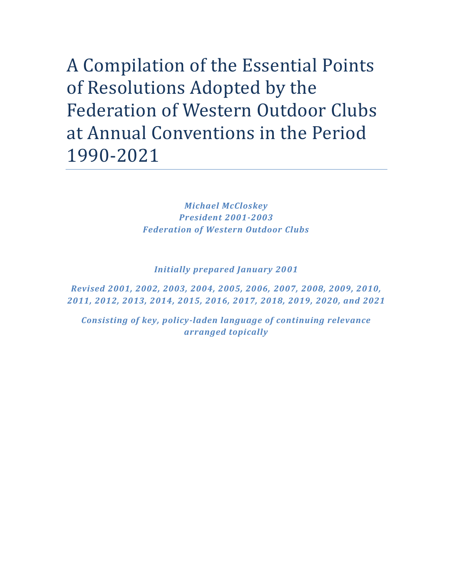A Compilation of the Essential Points of Resolutions Adopted by the Federation of Western Outdoor Clubs at Annual Conventions in the Period 1990-2021

> *Michael McCloskey President 2001-2003 Federation of Western Outdoor Clubs*

*Initially prepared January 2001*

*Revised 2001, 2002, 2003, 2004, 2005, 2006, 2007, 2008, 2009, 2010, 2011, 2012, 2013, 2014, 2015, 2016, 2017, 2018, 2019, 2020, and 2021*

*Consisting of key, policy-laden language of continuing relevance arranged topically*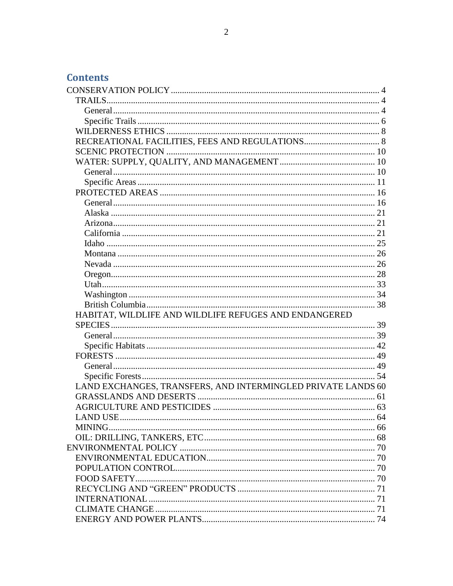# **Contents**

| HABITAT, WILDLIFE AND WILDLIFE REFUGES AND ENDANGERED        |    |
|--------------------------------------------------------------|----|
|                                                              |    |
|                                                              |    |
|                                                              |    |
|                                                              |    |
|                                                              |    |
|                                                              |    |
| LAND EXCHANGES, TRANSFERS, AND INTERMINGLED PRIVATE LANDS 60 |    |
|                                                              |    |
|                                                              |    |
|                                                              | 64 |
| MINING                                                       |    |
|                                                              |    |
|                                                              |    |
|                                                              |    |
|                                                              |    |
|                                                              |    |
|                                                              |    |
|                                                              |    |
|                                                              |    |
|                                                              |    |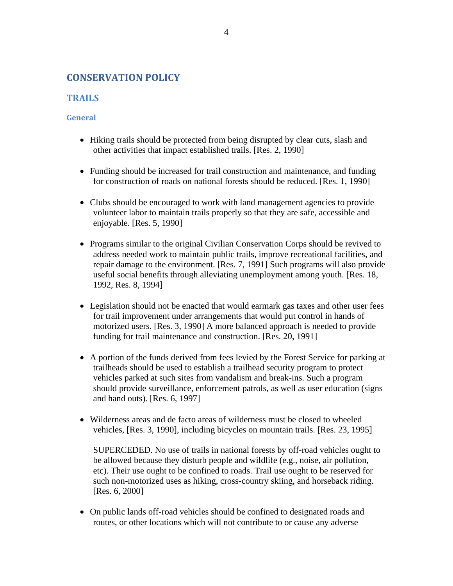# <span id="page-3-0"></span>**CONSERVATION POLICY**

# <span id="page-3-1"></span>**TRAILS**

# <span id="page-3-2"></span>**General**

- Hiking trails should be protected from being disrupted by clear cuts, slash and other activities that impact established trails. [Res. 2, 1990]
- Funding should be increased for trail construction and maintenance, and funding for construction of roads on national forests should be reduced. [Res. 1, 1990]
- Clubs should be encouraged to work with land management agencies to provide volunteer labor to maintain trails properly so that they are safe, accessible and enjoyable. [Res. 5, 1990]
- Programs similar to the original Civilian Conservation Corps should be revived to address needed work to maintain public trails, improve recreational facilities, and repair damage to the environment. [Res. 7, 1991] Such programs will also provide useful social benefits through alleviating unemployment among youth. [Res. 18, 1992, Res. 8, 1994]
- Legislation should not be enacted that would earmark gas taxes and other user fees for trail improvement under arrangements that would put control in hands of motorized users. [Res. 3, 1990] A more balanced approach is needed to provide funding for trail maintenance and construction. [Res. 20, 1991]
- A portion of the funds derived from fees levied by the Forest Service for parking at trailheads should be used to establish a trailhead security program to protect vehicles parked at such sites from vandalism and break-ins. Such a program should provide surveillance, enforcement patrols, as well as user education (signs and hand outs). [Res. 6, 1997]
- Wilderness areas and de facto areas of wilderness must be closed to wheeled vehicles, [Res. 3, 1990], including bicycles on mountain trails. [Res. 23, 1995]

SUPERCEDED. No use of trails in national forests by off-road vehicles ought to be allowed because they disturb people and wildlife (e.g., noise, air pollution, etc). Their use ought to be confined to roads. Trail use ought to be reserved for such non-motorized uses as hiking, cross-country skiing, and horseback riding. [Res. 6, 2000]

• On public lands off-road vehicles should be confined to designated roads and routes, or other locations which will not contribute to or cause any adverse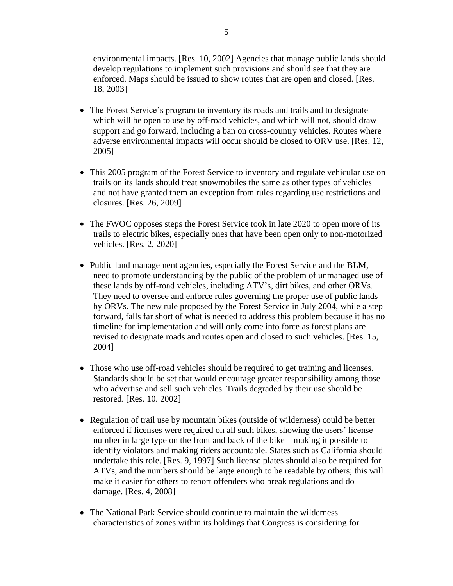environmental impacts. [Res. 10, 2002] Agencies that manage public lands should develop regulations to implement such provisions and should see that they are enforced. Maps should be issued to show routes that are open and closed. [Res. 18, 2003]

- The Forest Service's program to inventory its roads and trails and to designate which will be open to use by off-road vehicles, and which will not, should draw support and go forward, including a ban on cross-country vehicles. Routes where adverse environmental impacts will occur should be closed to ORV use. [Res. 12, 2005]
- This 2005 program of the Forest Service to inventory and regulate vehicular use on trails on its lands should treat snowmobiles the same as other types of vehicles and not have granted them an exception from rules regarding use restrictions and closures. [Res. 26, 2009]
- The FWOC opposes steps the Forest Service took in late 2020 to open more of its trails to electric bikes, especially ones that have been open only to non-motorized vehicles. [Res. 2, 2020]
- Public land management agencies, especially the Forest Service and the BLM, need to promote understanding by the public of the problem of unmanaged use of these lands by off-road vehicles, including ATV's, dirt bikes, and other ORVs. They need to oversee and enforce rules governing the proper use of public lands by ORVs. The new rule proposed by the Forest Service in July 2004, while a step forward, falls far short of what is needed to address this problem because it has no timeline for implementation and will only come into force as forest plans are revised to designate roads and routes open and closed to such vehicles. [Res. 15, 2004]
- Those who use off-road vehicles should be required to get training and licenses. Standards should be set that would encourage greater responsibility among those who advertise and sell such vehicles. Trails degraded by their use should be restored. [Res. 10. 2002]
- Regulation of trail use by mountain bikes (outside of wilderness) could be better enforced if licenses were required on all such bikes, showing the users' license number in large type on the front and back of the bike—making it possible to identify violators and making riders accountable. States such as California should undertake this role. [Res. 9, 1997] Such license plates should also be required for ATVs, and the numbers should be large enough to be readable by others; this will make it easier for others to report offenders who break regulations and do damage. [Res. 4, 2008]
- The National Park Service should continue to maintain the wilderness characteristics of zones within its holdings that Congress is considering for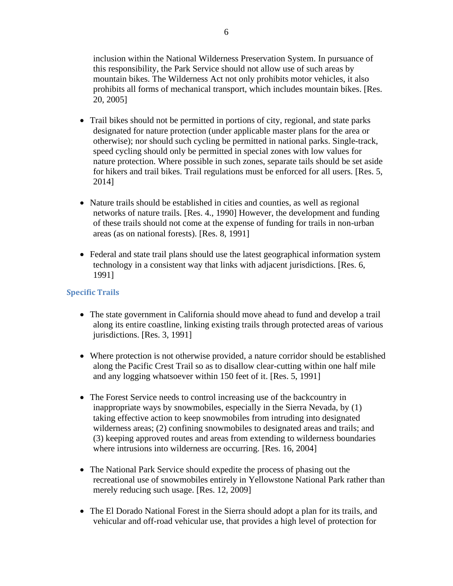inclusion within the National Wilderness Preservation System. In pursuance of this responsibility, the Park Service should not allow use of such areas by mountain bikes. The Wilderness Act not only prohibits motor vehicles, it also prohibits all forms of mechanical transport, which includes mountain bikes. [Res. 20, 2005]

- Trail bikes should not be permitted in portions of city, regional, and state parks designated for nature protection (under applicable master plans for the area or otherwise); nor should such cycling be permitted in national parks. Single-track, speed cycling should only be permitted in special zones with low values for nature protection. Where possible in such zones, separate tails should be set aside for hikers and trail bikes. Trail regulations must be enforced for all users. [Res. 5, 2014]
- Nature trails should be established in cities and counties, as well as regional networks of nature trails. [Res. 4., 1990] However, the development and funding of these trails should not come at the expense of funding for trails in non-urban areas (as on national forests). [Res. 8, 1991]
- Federal and state trail plans should use the latest geographical information system technology in a consistent way that links with adjacent jurisdictions. [Res. 6, 1991]

# <span id="page-5-0"></span>**Specific Trails**

- The state government in California should move ahead to fund and develop a trail along its entire coastline, linking existing trails through protected areas of various jurisdictions. [Res. 3, 1991]
- Where protection is not otherwise provided, a nature corridor should be established along the Pacific Crest Trail so as to disallow clear-cutting within one half mile and any logging whatsoever within 150 feet of it. [Res. 5, 1991]
- The Forest Service needs to control increasing use of the backcountry in inappropriate ways by snowmobiles, especially in the Sierra Nevada, by (1) taking effective action to keep snowmobiles from intruding into designated wilderness areas; (2) confining snowmobiles to designated areas and trails; and (3) keeping approved routes and areas from extending to wilderness boundaries where intrusions into wilderness are occurring. [Res. 16, 2004]
- The National Park Service should expedite the process of phasing out the recreational use of snowmobiles entirely in Yellowstone National Park rather than merely reducing such usage. [Res. 12, 2009]
- The El Dorado National Forest in the Sierra should adopt a plan for its trails, and vehicular and off-road vehicular use, that provides a high level of protection for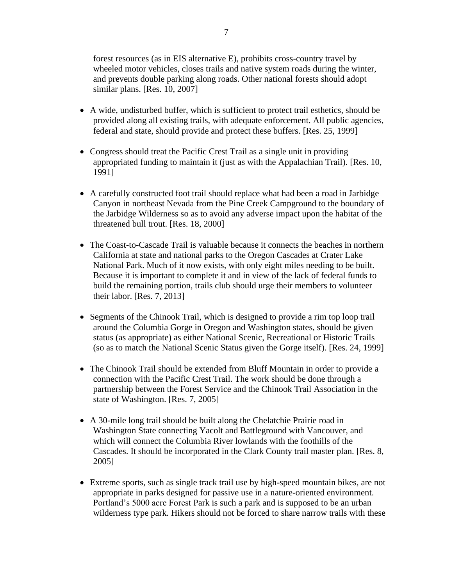forest resources (as in EIS alternative E), prohibits cross-country travel by wheeled motor vehicles, closes trails and native system roads during the winter, and prevents double parking along roads. Other national forests should adopt similar plans. [Res. 10, 2007]

- A wide, undisturbed buffer, which is sufficient to protect trail esthetics, should be provided along all existing trails, with adequate enforcement. All public agencies, federal and state, should provide and protect these buffers. [Res. 25, 1999]
- Congress should treat the Pacific Crest Trail as a single unit in providing appropriated funding to maintain it (just as with the Appalachian Trail). [Res. 10, 1991]
- A carefully constructed foot trail should replace what had been a road in Jarbidge Canyon in northeast Nevada from the Pine Creek Campground to the boundary of the Jarbidge Wilderness so as to avoid any adverse impact upon the habitat of the threatened bull trout. [Res. 18, 2000]
- The Coast-to-Cascade Trail is valuable because it connects the beaches in northern California at state and national parks to the Oregon Cascades at Crater Lake National Park. Much of it now exists, with only eight miles needing to be built. Because it is important to complete it and in view of the lack of federal funds to build the remaining portion, trails club should urge their members to volunteer their labor. [Res. 7, 2013]
- Segments of the Chinook Trail, which is designed to provide a rim top loop trail around the Columbia Gorge in Oregon and Washington states, should be given status (as appropriate) as either National Scenic, Recreational or Historic Trails (so as to match the National Scenic Status given the Gorge itself). [Res. 24, 1999]
- The Chinook Trail should be extended from Bluff Mountain in order to provide a connection with the Pacific Crest Trail. The work should be done through a partnership between the Forest Service and the Chinook Trail Association in the state of Washington. [Res. 7, 2005]
- A 30-mile long trail should be built along the Chelatchie Prairie road in Washington State connecting Yacolt and Battleground with Vancouver, and which will connect the Columbia River lowlands with the foothills of the Cascades. It should be incorporated in the Clark County trail master plan. [Res. 8, 2005]
- Extreme sports, such as single track trail use by high-speed mountain bikes, are not appropriate in parks designed for passive use in a nature-oriented environment. Portland's 5000 acre Forest Park is such a park and is supposed to be an urban wilderness type park. Hikers should not be forced to share narrow trails with these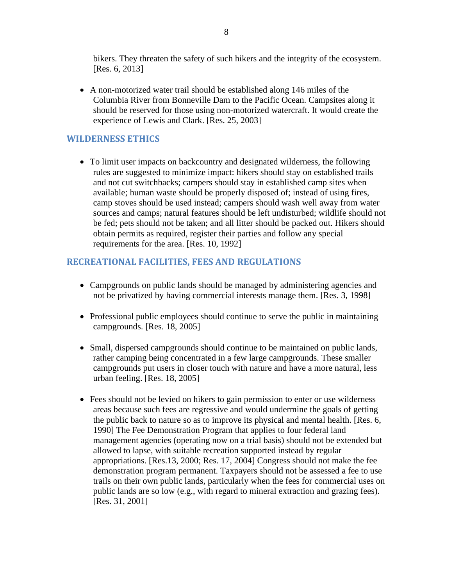bikers. They threaten the safety of such hikers and the integrity of the ecosystem. [Res. 6, 2013]

• A non-motorized water trail should be established along 146 miles of the Columbia River from Bonneville Dam to the Pacific Ocean. Campsites along it should be reserved for those using non-motorized watercraft. It would create the experience of Lewis and Clark. [Res. 25, 2003]

# <span id="page-7-0"></span>**WILDERNESS ETHICS**

• To limit user impacts on backcountry and designated wilderness, the following rules are suggested to minimize impact: hikers should stay on established trails and not cut switchbacks; campers should stay in established camp sites when available; human waste should be properly disposed of; instead of using fires, camp stoves should be used instead; campers should wash well away from water sources and camps; natural features should be left undisturbed; wildlife should not be fed; pets should not be taken; and all litter should be packed out. Hikers should obtain permits as required, register their parties and follow any special requirements for the area. [Res. 10, 1992]

# <span id="page-7-1"></span>**RECREATIONAL FACILITIES, FEES AND REGULATIONS**

- Campgrounds on public lands should be managed by administering agencies and not be privatized by having commercial interests manage them. [Res. 3, 1998]
- Professional public employees should continue to serve the public in maintaining campgrounds. [Res. 18, 2005]
- Small, dispersed campgrounds should continue to be maintained on public lands, rather camping being concentrated in a few large campgrounds. These smaller campgrounds put users in closer touch with nature and have a more natural, less urban feeling. [Res. 18, 2005]
- Fees should not be levied on hikers to gain permission to enter or use wilderness areas because such fees are regressive and would undermine the goals of getting the public back to nature so as to improve its physical and mental health. [Res. 6, 1990] The Fee Demonstration Program that applies to four federal land management agencies (operating now on a trial basis) should not be extended but allowed to lapse, with suitable recreation supported instead by regular appropriations. [Res.13, 2000; Res. 17, 2004] Congress should not make the fee demonstration program permanent. Taxpayers should not be assessed a fee to use trails on their own public lands, particularly when the fees for commercial uses on public lands are so low (e.g., with regard to mineral extraction and grazing fees). [Res. 31, 2001]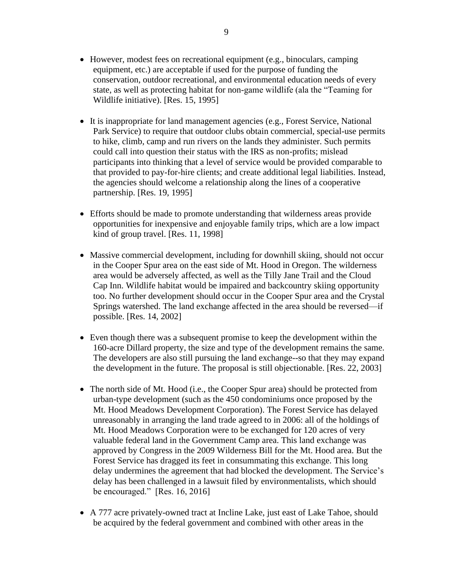- However, modest fees on recreational equipment (e.g., binoculars, camping equipment, etc.) are acceptable if used for the purpose of funding the conservation, outdoor recreational, and environmental education needs of every state, as well as protecting habitat for non-game wildlife (ala the "Teaming for Wildlife initiative). [Res. 15, 1995]
- It is inappropriate for land management agencies (e.g., Forest Service, National Park Service) to require that outdoor clubs obtain commercial, special-use permits to hike, climb, camp and run rivers on the lands they administer. Such permits could call into question their status with the IRS as non-profits; mislead participants into thinking that a level of service would be provided comparable to that provided to pay-for-hire clients; and create additional legal liabilities. Instead, the agencies should welcome a relationship along the lines of a cooperative partnership. [Res. 19, 1995]
- Efforts should be made to promote understanding that wilderness areas provide opportunities for inexpensive and enjoyable family trips, which are a low impact kind of group travel. [Res. 11, 1998]
- Massive commercial development, including for downhill skiing, should not occur in the Cooper Spur area on the east side of Mt. Hood in Oregon. The wilderness area would be adversely affected, as well as the Tilly Jane Trail and the Cloud Cap Inn. Wildlife habitat would be impaired and backcountry skiing opportunity too. No further development should occur in the Cooper Spur area and the Crystal Springs watershed. The land exchange affected in the area should be reversed—if possible. [Res. 14, 2002]
- Even though there was a subsequent promise to keep the development within the 160-acre Dillard property, the size and type of the development remains the same. The developers are also still pursuing the land exchange--so that they may expand the development in the future. The proposal is still objectionable. [Res. 22, 2003]
- The north side of Mt. Hood (i.e., the Cooper Spur area) should be protected from urban-type development (such as the 450 condominiums once proposed by the Mt. Hood Meadows Development Corporation). The Forest Service has delayed unreasonably in arranging the land trade agreed to in 2006: all of the holdings of Mt. Hood Meadows Corporation were to be exchanged for 120 acres of very valuable federal land in the Government Camp area. This land exchange was approved by Congress in the 2009 Wilderness Bill for the Mt. Hood area. But the Forest Service has dragged its feet in consummating this exchange. This long delay undermines the agreement that had blocked the development. The Service's delay has been challenged in a lawsuit filed by environmentalists, which should be encouraged." [Res. 16, 2016]
- A 777 acre privately-owned tract at Incline Lake, just east of Lake Tahoe, should be acquired by the federal government and combined with other areas in the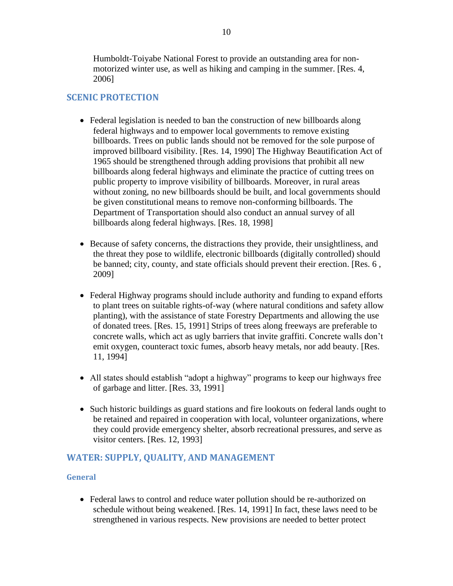Humboldt-Toiyabe National Forest to provide an outstanding area for nonmotorized winter use, as well as hiking and camping in the summer. [Res. 4, 2006]

# <span id="page-9-0"></span>**SCENIC PROTECTION**

- Federal legislation is needed to ban the construction of new billboards along federal highways and to empower local governments to remove existing billboards. Trees on public lands should not be removed for the sole purpose of improved billboard visibility. [Res. 14, 1990] The Highway Beautification Act of 1965 should be strengthened through adding provisions that prohibit all new billboards along federal highways and eliminate the practice of cutting trees on public property to improve visibility of billboards. Moreover, in rural areas without zoning, no new billboards should be built, and local governments should be given constitutional means to remove non-conforming billboards. The Department of Transportation should also conduct an annual survey of all billboards along federal highways. [Res. 18, 1998]
- Because of safety concerns, the distractions they provide, their unsightliness, and the threat they pose to wildlife, electronic billboards (digitally controlled) should be banned; city, county, and state officials should prevent their erection. [Res. 6 , 2009]
- Federal Highway programs should include authority and funding to expand efforts to plant trees on suitable rights-of-way (where natural conditions and safety allow planting), with the assistance of state Forestry Departments and allowing the use of donated trees. [Res. 15, 1991] Strips of trees along freeways are preferable to concrete walls, which act as ugly barriers that invite graffiti. Concrete walls don't emit oxygen, counteract toxic fumes, absorb heavy metals, nor add beauty. [Res. 11, 1994]
- All states should establish "adopt a highway" programs to keep our highways free of garbage and litter. [Res. 33, 1991]
- Such historic buildings as guard stations and fire lookouts on federal lands ought to be retained and repaired in cooperation with local, volunteer organizations, where they could provide emergency shelter, absorb recreational pressures, and serve as visitor centers. [Res. 12, 1993]

# <span id="page-9-1"></span>**WATER: SUPPLY, QUALITY, AND MANAGEMENT**

### <span id="page-9-2"></span>**General**

• Federal laws to control and reduce water pollution should be re-authorized on schedule without being weakened. [Res. 14, 1991] In fact, these laws need to be strengthened in various respects. New provisions are needed to better protect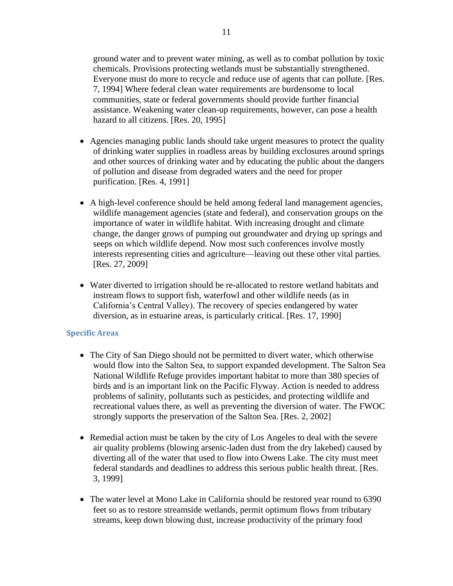ground water and to prevent water mining, as well as to combat pollution by toxic chemicals. Provisions protecting wetlands must be substantially strengthened. Everyone must do more to recycle and reduce use of agents that can pollute. [Res. 7, 1994] Where federal clean water requirements are burdensome to local communities, state or federal governments should provide further financial assistance. Weakening water clean-up requirements, however, can pose a health hazard to all citizens. [Res. 20, 1995]

- Agencies managing public lands should take urgent measures to protect the quality of drinking water supplies in roadless areas by building exclosures around springs and other sources of drinking water and by educating the public about the dangers of pollution and disease from degraded waters and the need for proper purification. [Res. 4, 1991]
- A high-level conference should be held among federal land management agencies, wildlife management agencies (state and federal), and conservation groups on the importance of water in wildlife habitat. With increasing drought and climate change, the danger grows of pumping out groundwater and drying up springs and seeps on which wildlife depend. Now most such conferences involve mostly interests representing cities and agriculture—leaving out these other vital parties. [Res. 27, 2009]
- Water diverted to irrigation should be re-allocated to restore wetland habitats and instream flows to support fish, waterfowl and other wildlife needs (as in California's Central Valley). The recovery of species endangered by water diversion, as in estuarine areas, is particularly critical. [Res. 17, 1990]

#### <span id="page-10-0"></span>**Specific Areas**

- The City of San Diego should not be permitted to divert water, which otherwise would flow into the Salton Sea, to support expanded development. The Salton Sea National Wildlife Refuge provides important habitat to more than 380 species of birds and is an important link on the Pacific Flyway. Action is needed to address problems of salinity, pollutants such as pesticides, and protecting wildlife and recreational values there, as well as preventing the diversion of water. The FWOC strongly supports the preservation of the Salton Sea. [Res. 2, 2002]
- Remedial action must be taken by the city of Los Angeles to deal with the severe air quality problems (blowing arsenic-laden dust from the dry lakebed) caused by diverting all of the water that used to flow into Owens Lake. The city must meet federal standards and deadlines to address this serious public health threat. [Res. 3, 1999]
- The water level at Mono Lake in California should be restored year round to 6390 feet so as to restore streamside wetlands, permit optimum flows from tributary streams, keep down blowing dust, increase productivity of the primary food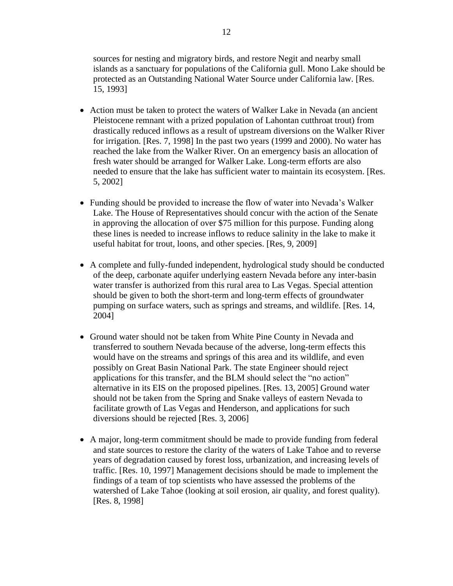sources for nesting and migratory birds, and restore Negit and nearby small islands as a sanctuary for populations of the California gull. Mono Lake should be protected as an Outstanding National Water Source under California law. [Res. 15, 1993]

- Action must be taken to protect the waters of Walker Lake in Nevada (an ancient Pleistocene remnant with a prized population of Lahontan cutthroat trout) from drastically reduced inflows as a result of upstream diversions on the Walker River for irrigation. [Res. 7, 1998] In the past two years (1999 and 2000). No water has reached the lake from the Walker River. On an emergency basis an allocation of fresh water should be arranged for Walker Lake. Long-term efforts are also needed to ensure that the lake has sufficient water to maintain its ecosystem. [Res. 5, 2002]
- Funding should be provided to increase the flow of water into Nevada's Walker Lake. The House of Representatives should concur with the action of the Senate in approving the allocation of over \$75 million for this purpose. Funding along these lines is needed to increase inflows to reduce salinity in the lake to make it useful habitat for trout, loons, and other species. [Res, 9, 2009]
- A complete and fully-funded independent, hydrological study should be conducted of the deep, carbonate aquifer underlying eastern Nevada before any inter-basin water transfer is authorized from this rural area to Las Vegas. Special attention should be given to both the short-term and long-term effects of groundwater pumping on surface waters, such as springs and streams, and wildlife. [Res. 14, 2004]
- Ground water should not be taken from White Pine County in Nevada and transferred to southern Nevada because of the adverse, long-term effects this would have on the streams and springs of this area and its wildlife, and even possibly on Great Basin National Park. The state Engineer should reject applications for this transfer, and the BLM should select the "no action" alternative in its EIS on the proposed pipelines. [Res. 13, 2005] Ground water should not be taken from the Spring and Snake valleys of eastern Nevada to facilitate growth of Las Vegas and Henderson, and applications for such diversions should be rejected [Res. 3, 2006]
- A major, long-term commitment should be made to provide funding from federal and state sources to restore the clarity of the waters of Lake Tahoe and to reverse years of degradation caused by forest loss, urbanization, and increasing levels of traffic. [Res. 10, 1997] Management decisions should be made to implement the findings of a team of top scientists who have assessed the problems of the watershed of Lake Tahoe (looking at soil erosion, air quality, and forest quality). [Res. 8, 1998]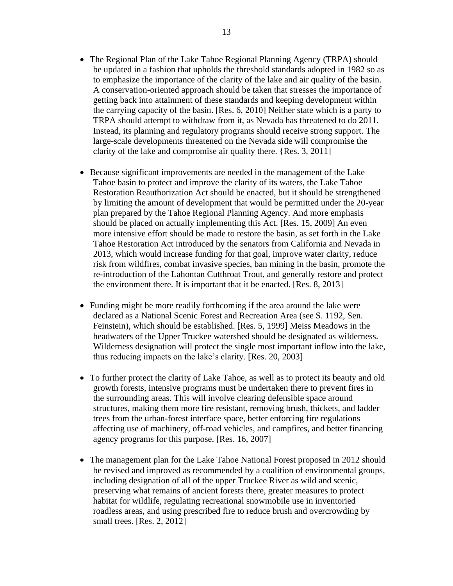- The Regional Plan of the Lake Tahoe Regional Planning Agency (TRPA) should be updated in a fashion that upholds the threshold standards adopted in 1982 so as to emphasize the importance of the clarity of the lake and air quality of the basin. A conservation-oriented approach should be taken that stresses the importance of getting back into attainment of these standards and keeping development within the carrying capacity of the basin. [Res. 6, 2010] Neither state which is a party to TRPA should attempt to withdraw from it, as Nevada has threatened to do 2011. Instead, its planning and regulatory programs should receive strong support. The large-scale developments threatened on the Nevada side will compromise the clarity of the lake and compromise air quality there. {Res. 3, 2011]
- Because significant improvements are needed in the management of the Lake Tahoe basin to protect and improve the clarity of its waters, the Lake Tahoe Restoration Reauthorization Act should be enacted, but it should be strengthened by limiting the amount of development that would be permitted under the 20-year plan prepared by the Tahoe Regional Planning Agency. And more emphasis should be placed on actually implementing this Act. [Res. 15, 2009] An even more intensive effort should be made to restore the basin, as set forth in the Lake Tahoe Restoration Act introduced by the senators from California and Nevada in 2013, which would increase funding for that goal, improve water clarity, reduce risk from wildfires, combat invasive species, ban mining in the basin, promote the re-introduction of the Lahontan Cutthroat Trout, and generally restore and protect the environment there. It is important that it be enacted. [Res. 8, 2013]
- Funding might be more readily forthcoming if the area around the lake were declared as a National Scenic Forest and Recreation Area (see S. 1192, Sen. Feinstein), which should be established. [Res. 5, 1999] Meiss Meadows in the headwaters of the Upper Truckee watershed should be designated as wilderness. Wilderness designation will protect the single most important inflow into the lake, thus reducing impacts on the lake's clarity. [Res. 20, 2003]
- To further protect the clarity of Lake Tahoe, as well as to protect its beauty and old growth forests, intensive programs must be undertaken there to prevent fires in the surrounding areas. This will involve clearing defensible space around structures, making them more fire resistant, removing brush, thickets, and ladder trees from the urban-forest interface space, better enforcing fire regulations affecting use of machinery, off-road vehicles, and campfires, and better financing agency programs for this purpose. [Res. 16, 2007]
- The management plan for the Lake Tahoe National Forest proposed in 2012 should be revised and improved as recommended by a coalition of environmental groups, including designation of all of the upper Truckee River as wild and scenic, preserving what remains of ancient forests there, greater measures to protect habitat for wildlife, regulating recreational snowmobile use in inventoried roadless areas, and using prescribed fire to reduce brush and overcrowding by small trees. [Res. 2, 2012]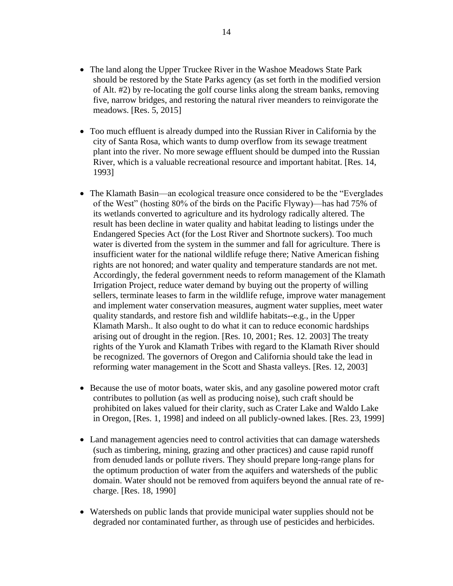- The land along the Upper Truckee River in the Washoe Meadows State Park should be restored by the State Parks agency (as set forth in the modified version of Alt. #2) by re-locating the golf course links along the stream banks, removing five, narrow bridges, and restoring the natural river meanders to reinvigorate the meadows. [Res. 5, 2015]
- Too much effluent is already dumped into the Russian River in California by the city of Santa Rosa, which wants to dump overflow from its sewage treatment plant into the river. No more sewage effluent should be dumped into the Russian River, which is a valuable recreational resource and important habitat. [Res. 14, 1993]
- The Klamath Basin—an ecological treasure once considered to be the "Everglades of the West" (hosting 80% of the birds on the Pacific Flyway)—has had 75% of its wetlands converted to agriculture and its hydrology radically altered. The result has been decline in water quality and habitat leading to listings under the Endangered Species Act (for the Lost River and Shortnote suckers). Too much water is diverted from the system in the summer and fall for agriculture. There is insufficient water for the national wildlife refuge there; Native American fishing rights are not honored; and water quality and temperature standards are not met. Accordingly, the federal government needs to reform management of the Klamath Irrigation Project, reduce water demand by buying out the property of willing sellers, terminate leases to farm in the wildlife refuge, improve water management and implement water conservation measures, augment water supplies, meet water quality standards, and restore fish and wildlife habitats--e.g., in the Upper Klamath Marsh.. It also ought to do what it can to reduce economic hardships arising out of drought in the region. [Res. 10, 2001; Res. 12. 2003] The treaty rights of the Yurok and Klamath Tribes with regard to the Klamath River should be recognized. The governors of Oregon and California should take the lead in reforming water management in the Scott and Shasta valleys. [Res. 12, 2003]
- Because the use of motor boats, water skis, and any gasoline powered motor craft contributes to pollution (as well as producing noise), such craft should be prohibited on lakes valued for their clarity, such as Crater Lake and Waldo Lake in Oregon, [Res. 1, 1998] and indeed on all publicly-owned lakes. [Res. 23, 1999]
- Land management agencies need to control activities that can damage watersheds (such as timbering, mining, grazing and other practices) and cause rapid runoff from denuded lands or pollute rivers. They should prepare long-range plans for the optimum production of water from the aquifers and watersheds of the public domain. Water should not be removed from aquifers beyond the annual rate of recharge. [Res. 18, 1990]
- Watersheds on public lands that provide municipal water supplies should not be degraded nor contaminated further, as through use of pesticides and herbicides.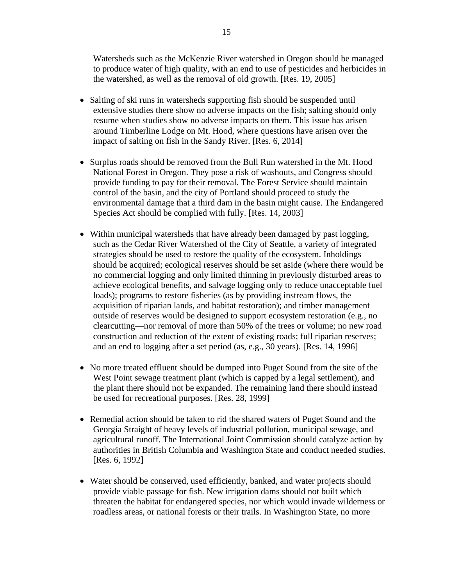Watersheds such as the McKenzie River watershed in Oregon should be managed to produce water of high quality, with an end to use of pesticides and herbicides in the watershed, as well as the removal of old growth. [Res. 19, 2005]

- Salting of ski runs in watersheds supporting fish should be suspended until extensive studies there show no adverse impacts on the fish; salting should only resume when studies show no adverse impacts on them. This issue has arisen around Timberline Lodge on Mt. Hood, where questions have arisen over the impact of salting on fish in the Sandy River. [Res. 6, 2014]
- Surplus roads should be removed from the Bull Run watershed in the Mt. Hood National Forest in Oregon. They pose a risk of washouts, and Congress should provide funding to pay for their removal. The Forest Service should maintain control of the basin, and the city of Portland should proceed to study the environmental damage that a third dam in the basin might cause. The Endangered Species Act should be complied with fully. [Res. 14, 2003]
- Within municipal watersheds that have already been damaged by past logging, such as the Cedar River Watershed of the City of Seattle, a variety of integrated strategies should be used to restore the quality of the ecosystem. Inholdings should be acquired; ecological reserves should be set aside (where there would be no commercial logging and only limited thinning in previously disturbed areas to achieve ecological benefits, and salvage logging only to reduce unacceptable fuel loads); programs to restore fisheries (as by providing instream flows, the acquisition of riparian lands, and habitat restoration); and timber management outside of reserves would be designed to support ecosystem restoration (e.g., no clearcutting—nor removal of more than 50% of the trees or volume; no new road construction and reduction of the extent of existing roads; full riparian reserves; and an end to logging after a set period (as, e.g., 30 years). [Res. 14, 1996]
- No more treated effluent should be dumped into Puget Sound from the site of the West Point sewage treatment plant (which is capped by a legal settlement), and the plant there should not be expanded. The remaining land there should instead be used for recreational purposes. [Res. 28, 1999]
- Remedial action should be taken to rid the shared waters of Puget Sound and the Georgia Straight of heavy levels of industrial pollution, municipal sewage, and agricultural runoff. The International Joint Commission should catalyze action by authorities in British Columbia and Washington State and conduct needed studies. [Res. 6, 1992]
- Water should be conserved, used efficiently, banked, and water projects should provide viable passage for fish. New irrigation dams should not built which threaten the habitat for endangered species, nor which would invade wilderness or roadless areas, or national forests or their trails. In Washington State, no more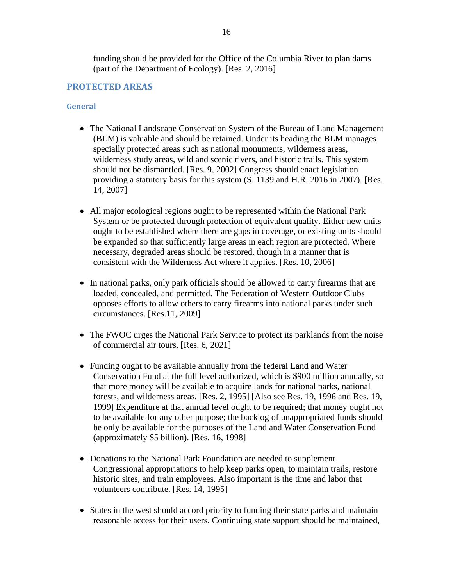funding should be provided for the Office of the Columbia River to plan dams (part of the Department of Ecology). [Res. 2, 2016]

# <span id="page-15-0"></span>**PROTECTED AREAS**

#### <span id="page-15-1"></span>**General**

- The National Landscape Conservation System of the Bureau of Land Management (BLM) is valuable and should be retained. Under its heading the BLM manages specially protected areas such as national monuments, wilderness areas, wilderness study areas, wild and scenic rivers, and historic trails. This system should not be dismantled. [Res. 9, 2002] Congress should enact legislation providing a statutory basis for this system (S. 1139 and H.R. 2016 in 2007). [Res. 14, 2007]
- All major ecological regions ought to be represented within the National Park System or be protected through protection of equivalent quality. Either new units ought to be established where there are gaps in coverage, or existing units should be expanded so that sufficiently large areas in each region are protected. Where necessary, degraded areas should be restored, though in a manner that is consistent with the Wilderness Act where it applies. [Res. 10, 2006]
- In national parks, only park officials should be allowed to carry firearms that are loaded, concealed, and permitted. The Federation of Western Outdoor Clubs opposes efforts to allow others to carry firearms into national parks under such circumstances. [Res.11, 2009]
- The FWOC urges the National Park Service to protect its parklands from the noise of commercial air tours. [Res. 6, 2021]
- Funding ought to be available annually from the federal Land and Water Conservation Fund at the full level authorized, which is \$900 million annually, so that more money will be available to acquire lands for national parks, national forests, and wilderness areas. [Res. 2, 1995] [Also see Res. 19, 1996 and Res. 19, 1999] Expenditure at that annual level ought to be required; that money ought not to be available for any other purpose; the backlog of unappropriated funds should be only be available for the purposes of the Land and Water Conservation Fund (approximately \$5 billion). [Res. 16, 1998]
- Donations to the National Park Foundation are needed to supplement Congressional appropriations to help keep parks open, to maintain trails, restore historic sites, and train employees. Also important is the time and labor that volunteers contribute. [Res. 14, 1995]
- States in the west should accord priority to funding their state parks and maintain reasonable access for their users. Continuing state support should be maintained,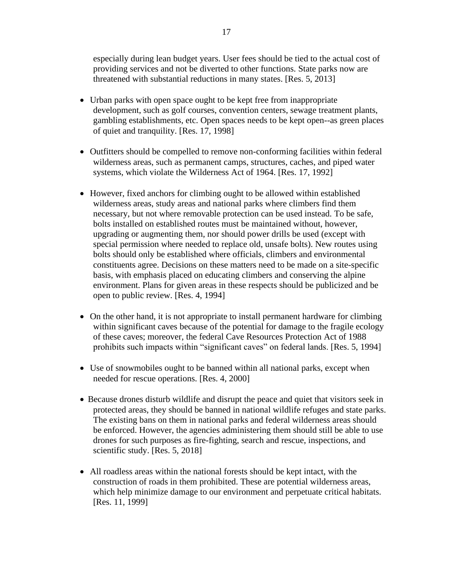especially during lean budget years. User fees should be tied to the actual cost of providing services and not be diverted to other functions. State parks now are threatened with substantial reductions in many states. [Res. 5, 2013]

- Urban parks with open space ought to be kept free from inappropriate development, such as golf courses, convention centers, sewage treatment plants, gambling establishments, etc. Open spaces needs to be kept open--as green places of quiet and tranquility. [Res. 17, 1998]
- Outfitters should be compelled to remove non-conforming facilities within federal wilderness areas, such as permanent camps, structures, caches, and piped water systems, which violate the Wilderness Act of 1964. [Res. 17, 1992]
- However, fixed anchors for climbing ought to be allowed within established wilderness areas, study areas and national parks where climbers find them necessary, but not where removable protection can be used instead. To be safe, bolts installed on established routes must be maintained without, however, upgrading or augmenting them, nor should power drills be used (except with special permission where needed to replace old, unsafe bolts). New routes using bolts should only be established where officials, climbers and environmental constituents agree. Decisions on these matters need to be made on a site-specific basis, with emphasis placed on educating climbers and conserving the alpine environment. Plans for given areas in these respects should be publicized and be open to public review. [Res. 4, 1994]
- On the other hand, it is not appropriate to install permanent hardware for climbing within significant caves because of the potential for damage to the fragile ecology of these caves; moreover, the federal Cave Resources Protection Act of 1988 prohibits such impacts within "significant caves" on federal lands. [Res. 5, 1994]
- Use of snowmobiles ought to be banned within all national parks, except when needed for rescue operations. [Res. 4, 2000]
- Because drones disturb wildlife and disrupt the peace and quiet that visitors seek in protected areas, they should be banned in national wildlife refuges and state parks. The existing bans on them in national parks and federal wilderness areas should be enforced. However, the agencies administering them should still be able to use drones for such purposes as fire-fighting, search and rescue, inspections, and scientific study. [Res. 5, 2018]
- All roadless areas within the national forests should be kept intact, with the construction of roads in them prohibited. These are potential wilderness areas, which help minimize damage to our environment and perpetuate critical habitats. [Res. 11, 1999]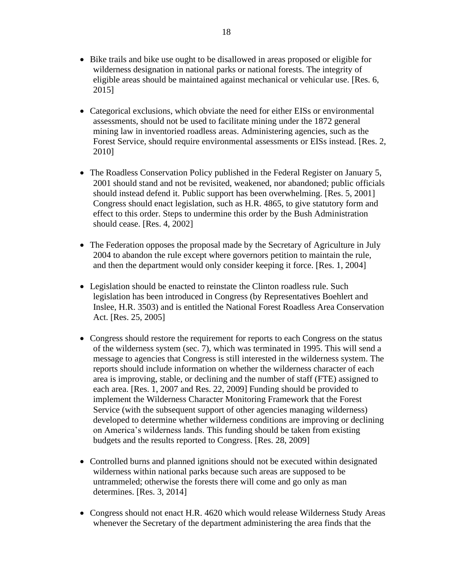- Bike trails and bike use ought to be disallowed in areas proposed or eligible for wilderness designation in national parks or national forests. The integrity of eligible areas should be maintained against mechanical or vehicular use. [Res. 6, 2015]
- Categorical exclusions, which obviate the need for either EISs or environmental assessments, should not be used to facilitate mining under the 1872 general mining law in inventoried roadless areas. Administering agencies, such as the Forest Service, should require environmental assessments or EISs instead. [Res. 2, 2010]
- The Roadless Conservation Policy published in the Federal Register on January 5, 2001 should stand and not be revisited, weakened, nor abandoned; public officials should instead defend it. Public support has been overwhelming. [Res. 5, 2001] Congress should enact legislation, such as H.R. 4865, to give statutory form and effect to this order. Steps to undermine this order by the Bush Administration should cease. [Res. 4, 2002]
- The Federation opposes the proposal made by the Secretary of Agriculture in July 2004 to abandon the rule except where governors petition to maintain the rule, and then the department would only consider keeping it force. [Res. 1, 2004]
- Legislation should be enacted to reinstate the Clinton roadless rule. Such legislation has been introduced in Congress (by Representatives Boehlert and Inslee, H.R. 3503) and is entitled the National Forest Roadless Area Conservation Act. [Res. 25, 2005]
- Congress should restore the requirement for reports to each Congress on the status of the wilderness system (sec. 7), which was terminated in 1995. This will send a message to agencies that Congress is still interested in the wilderness system. The reports should include information on whether the wilderness character of each area is improving, stable, or declining and the number of staff (FTE) assigned to each area. [Res. 1, 2007 and Res. 22, 2009] Funding should be provided to implement the Wilderness Character Monitoring Framework that the Forest Service (with the subsequent support of other agencies managing wilderness) developed to determine whether wilderness conditions are improving or declining on America's wilderness lands. This funding should be taken from existing budgets and the results reported to Congress. [Res. 28, 2009]
- Controlled burns and planned ignitions should not be executed within designated wilderness within national parks because such areas are supposed to be untrammeled; otherwise the forests there will come and go only as man determines. [Res. 3, 2014]
- Congress should not enact H.R. 4620 which would release Wilderness Study Areas whenever the Secretary of the department administering the area finds that the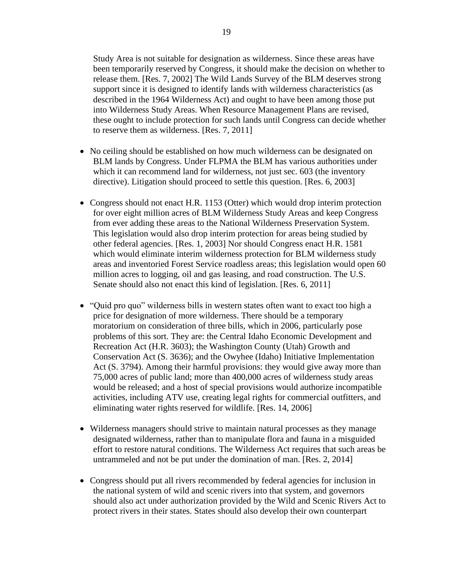Study Area is not suitable for designation as wilderness. Since these areas have been temporarily reserved by Congress, it should make the decision on whether to release them. [Res. 7, 2002] The Wild Lands Survey of the BLM deserves strong support since it is designed to identify lands with wilderness characteristics (as described in the 1964 Wilderness Act) and ought to have been among those put into Wilderness Study Areas. When Resource Management Plans are revised, these ought to include protection for such lands until Congress can decide whether to reserve them as wilderness. [Res. 7, 2011]

- No ceiling should be established on how much wilderness can be designated on BLM lands by Congress. Under FLPMA the BLM has various authorities under which it can recommend land for wilderness, not just sec. 603 (the inventory directive). Litigation should proceed to settle this question. [Res. 6, 2003]
- Congress should not enact H.R. 1153 (Otter) which would drop interim protection for over eight million acres of BLM Wilderness Study Areas and keep Congress from ever adding these areas to the National Wilderness Preservation System. This legislation would also drop interim protection for areas being studied by other federal agencies. [Res. 1, 2003] Nor should Congress enact H.R. 1581 which would eliminate interim wilderness protection for BLM wilderness study areas and inventoried Forest Service roadless areas; this legislation would open 60 million acres to logging, oil and gas leasing, and road construction. The U.S. Senate should also not enact this kind of legislation. [Res. 6, 2011]
- "Quid pro quo" wilderness bills in western states often want to exact too high a price for designation of more wilderness. There should be a temporary moratorium on consideration of three bills, which in 2006, particularly pose problems of this sort. They are: the Central Idaho Economic Development and Recreation Act (H.R. 3603); the Washington County (Utah) Growth and Conservation Act (S. 3636); and the Owyhee (Idaho) Initiative Implementation Act (S. 3794). Among their harmful provisions: they would give away more than 75,000 acres of public land; more than 400,000 acres of wilderness study areas would be released; and a host of special provisions would authorize incompatible activities, including ATV use, creating legal rights for commercial outfitters, and eliminating water rights reserved for wildlife. [Res. 14, 2006]
- Wilderness managers should strive to maintain natural processes as they manage designated wilderness, rather than to manipulate flora and fauna in a misguided effort to restore natural conditions. The Wilderness Act requires that such areas be untrammeled and not be put under the domination of man. [Res. 2, 2014]
- Congress should put all rivers recommended by federal agencies for inclusion in the national system of wild and scenic rivers into that system, and governors should also act under authorization provided by the Wild and Scenic Rivers Act to protect rivers in their states. States should also develop their own counterpart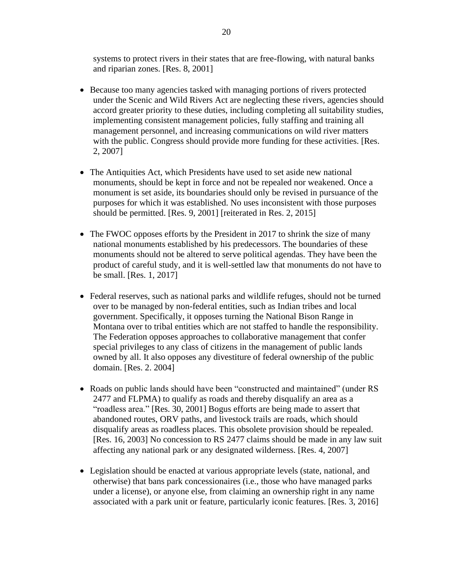systems to protect rivers in their states that are free-flowing, with natural banks and riparian zones. [Res. 8, 2001]

- Because too many agencies tasked with managing portions of rivers protected under the Scenic and Wild Rivers Act are neglecting these rivers, agencies should accord greater priority to these duties, including completing all suitability studies, implementing consistent management policies, fully staffing and training all management personnel, and increasing communications on wild river matters with the public. Congress should provide more funding for these activities. [Res. 2, 2007]
- The Antiquities Act, which Presidents have used to set aside new national monuments, should be kept in force and not be repealed nor weakened. Once a monument is set aside, its boundaries should only be revised in pursuance of the purposes for which it was established. No uses inconsistent with those purposes should be permitted. [Res. 9, 2001] [reiterated in Res. 2, 2015]
- The FWOC opposes efforts by the President in 2017 to shrink the size of many national monuments established by his predecessors. The boundaries of these monuments should not be altered to serve political agendas. They have been the product of careful study, and it is well-settled law that monuments do not have to be small. [Res. 1, 2017]
- Federal reserves, such as national parks and wildlife refuges, should not be turned over to be managed by non-federal entities, such as Indian tribes and local government. Specifically, it opposes turning the National Bison Range in Montana over to tribal entities which are not staffed to handle the responsibility. The Federation opposes approaches to collaborative management that confer special privileges to any class of citizens in the management of public lands owned by all. It also opposes any divestiture of federal ownership of the public domain. [Res. 2. 2004]
- Roads on public lands should have been "constructed and maintained" (under RS 2477 and FLPMA) to qualify as roads and thereby disqualify an area as a "roadless area." [Res. 30, 2001] Bogus efforts are being made to assert that abandoned routes, ORV paths, and livestock trails are roads, which should disqualify areas as roadless places. This obsolete provision should be repealed. [Res. 16, 2003] No concession to RS 2477 claims should be made in any law suit affecting any national park or any designated wilderness. [Res. 4, 2007]
- Legislation should be enacted at various appropriate levels (state, national, and otherwise) that bans park concessionaires (i.e., those who have managed parks under a license), or anyone else, from claiming an ownership right in any name associated with a park unit or feature, particularly iconic features. [Res. 3, 2016]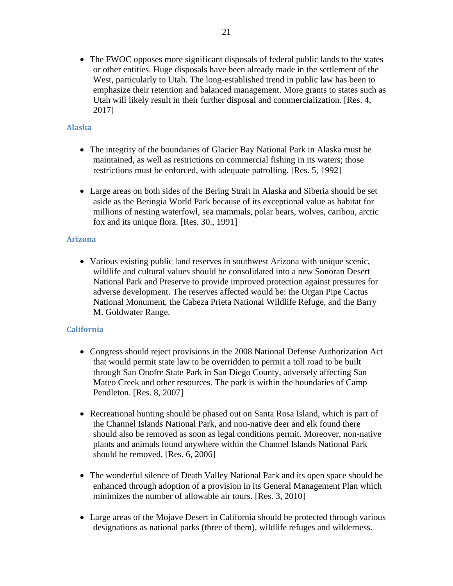• The FWOC opposes more significant disposals of federal public lands to the states or other entities. Huge disposals have been already made in the settlement of the West, particularly to Utah. The long-established trend in public law has been to emphasize their retention and balanced management. More grants to states such as Utah will likely result in their further disposal and commercialization. [Res. 4, 2017]

### <span id="page-20-0"></span>**Alaska**

- The integrity of the boundaries of Glacier Bay National Park in Alaska must be maintained, as well as restrictions on commercial fishing in its waters; those restrictions must be enforced, with adequate patrolling. [Res. 5, 1992]
- Large areas on both sides of the Bering Strait in Alaska and Siberia should be set aside as the Beringia World Park because of its exceptional value as habitat for millions of nesting waterfowl, sea mammals, polar bears, wolves, caribou, arctic fox and its unique flora. [Res. 30., 1991]

#### <span id="page-20-1"></span>**Arizona**

• Various existing public land reserves in southwest Arizona with unique scenic, wildlife and cultural values should be consolidated into a new Sonoran Desert National Park and Preserve to provide improved protection against pressures for adverse development. The reserves affected would be: the Organ Pipe Cactus National Monument, the Cabeza Prieta National Wildlife Refuge, and the Barry M. Goldwater Range.

### <span id="page-20-2"></span>**California**

- Congress should reject provisions in the 2008 National Defense Authorization Act that would permit state law to be overridden to permit a toll road to be built through San Onofre State Park in San Diego County, adversely affecting San Mateo Creek and other resources. The park is within the boundaries of Camp Pendleton. [Res. 8, 2007]
- Recreational hunting should be phased out on Santa Rosa Island, which is part of the Channel Islands National Park, and non-native deer and elk found there should also be removed as soon as legal conditions permit. Moreover, non-native plants and animals found anywhere within the Channel Islands National Park should be removed. [Res. 6, 2006]
- The wonderful silence of Death Valley National Park and its open space should be enhanced through adoption of a provision in its General Management Plan which minimizes the number of allowable air tours. [Res. 3, 2010]
- Large areas of the Mojave Desert in California should be protected through various designations as national parks (three of them), wildlife refuges and wilderness.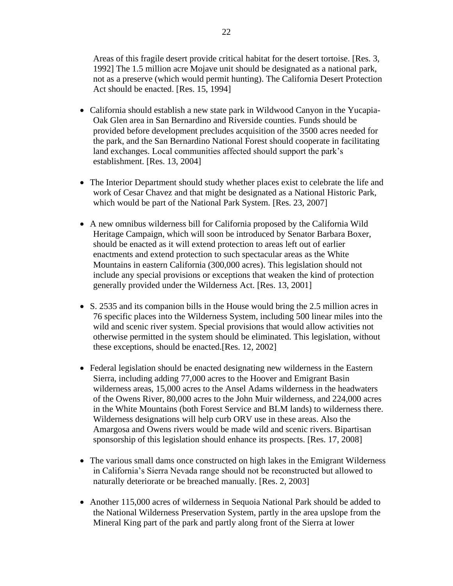Areas of this fragile desert provide critical habitat for the desert tortoise. [Res. 3, 1992] The 1.5 million acre Mojave unit should be designated as a national park, not as a preserve (which would permit hunting). The California Desert Protection Act should be enacted. [Res. 15, 1994]

- California should establish a new state park in Wildwood Canyon in the Yucapia-Oak Glen area in San Bernardino and Riverside counties. Funds should be provided before development precludes acquisition of the 3500 acres needed for the park, and the San Bernardino National Forest should cooperate in facilitating land exchanges. Local communities affected should support the park's establishment. [Res. 13, 2004]
- The Interior Department should study whether places exist to celebrate the life and work of Cesar Chavez and that might be designated as a National Historic Park, which would be part of the National Park System. [Res. 23, 2007]
- A new omnibus wilderness bill for California proposed by the California Wild Heritage Campaign, which will soon be introduced by Senator Barbara Boxer, should be enacted as it will extend protection to areas left out of earlier enactments and extend protection to such spectacular areas as the White Mountains in eastern California (300,000 acres). This legislation should not include any special provisions or exceptions that weaken the kind of protection generally provided under the Wilderness Act. [Res. 13, 2001]
- S. 2535 and its companion bills in the House would bring the 2.5 million acres in 76 specific places into the Wilderness System, including 500 linear miles into the wild and scenic river system. Special provisions that would allow activities not otherwise permitted in the system should be eliminated. This legislation, without these exceptions, should be enacted.[Res. 12, 2002]
- Federal legislation should be enacted designating new wilderness in the Eastern Sierra, including adding 77,000 acres to the Hoover and Emigrant Basin wilderness areas, 15,000 acres to the Ansel Adams wilderness in the headwaters of the Owens River, 80,000 acres to the John Muir wilderness, and 224,000 acres in the White Mountains (both Forest Service and BLM lands) to wilderness there. Wilderness designations will help curb ORV use in these areas. Also the Amargosa and Owens rivers would be made wild and scenic rivers. Bipartisan sponsorship of this legislation should enhance its prospects. [Res. 17, 2008]
- The various small dams once constructed on high lakes in the Emigrant Wilderness in California's Sierra Nevada range should not be reconstructed but allowed to naturally deteriorate or be breached manually. [Res. 2, 2003]
- Another 115,000 acres of wilderness in Sequoia National Park should be added to the National Wilderness Preservation System, partly in the area upslope from the Mineral King part of the park and partly along front of the Sierra at lower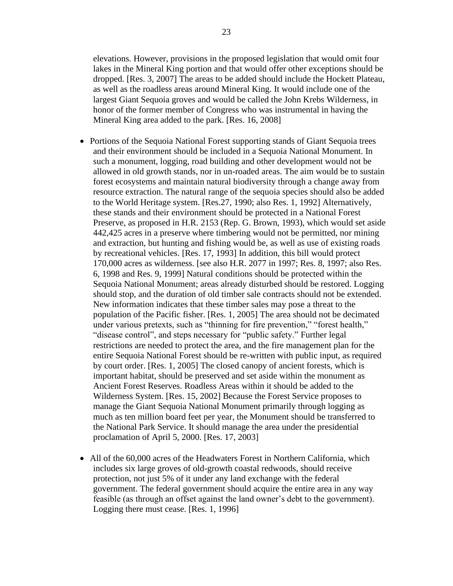elevations. However, provisions in the proposed legislation that would omit four lakes in the Mineral King portion and that would offer other exceptions should be dropped. [Res. 3, 2007] The areas to be added should include the Hockett Plateau, as well as the roadless areas around Mineral King. It would include one of the largest Giant Sequoia groves and would be called the John Krebs Wilderness, in honor of the former member of Congress who was instrumental in having the Mineral King area added to the park. [Res. 16, 2008]

- Portions of the Sequoia National Forest supporting stands of Giant Sequoia trees and their environment should be included in a Sequoia National Monument. In such a monument, logging, road building and other development would not be allowed in old growth stands, nor in un-roaded areas. The aim would be to sustain forest ecosystems and maintain natural biodiversity through a change away from resource extraction. The natural range of the sequoia species should also be added to the World Heritage system. [Res.27, 1990; also Res. 1, 1992] Alternatively, these stands and their environment should be protected in a National Forest Preserve, as proposed in H.R. 2153 (Rep. G. Brown, 1993), which would set aside 442,425 acres in a preserve where timbering would not be permitted, nor mining and extraction, but hunting and fishing would be, as well as use of existing roads by recreational vehicles. [Res. 17, 1993] In addition, this bill would protect 170,000 acres as wilderness. [see also H.R. 2077 in 1997; Res. 8, 1997; also Res. 6, 1998 and Res. 9, 1999] Natural conditions should be protected within the Sequoia National Monument; areas already disturbed should be restored. Logging should stop, and the duration of old timber sale contracts should not be extended. New information indicates that these timber sales may pose a threat to the population of the Pacific fisher. [Res. 1, 2005] The area should not be decimated under various pretexts, such as "thinning for fire prevention," "forest health," "disease control", and steps necessary for "public safety." Further legal restrictions are needed to protect the area, and the fire management plan for the entire Sequoia National Forest should be re-written with public input, as required by court order. [Res. 1, 2005] The closed canopy of ancient forests, which is important habitat, should be preserved and set aside within the monument as Ancient Forest Reserves. Roadless Areas within it should be added to the Wilderness System. [Res. 15, 2002] Because the Forest Service proposes to manage the Giant Sequoia National Monument primarily through logging as much as ten million board feet per year, the Monument should be transferred to the National Park Service. It should manage the area under the presidential proclamation of April 5, 2000. [Res. 17, 2003]
- All of the 60,000 acres of the Headwaters Forest in Northern California, which includes six large groves of old-growth coastal redwoods, should receive protection, not just 5% of it under any land exchange with the federal government. The federal government should acquire the entire area in any way feasible (as through an offset against the land owner's debt to the government). Logging there must cease. [Res. 1, 1996]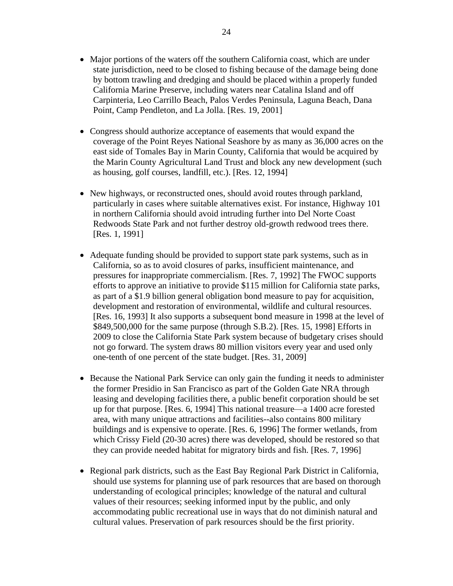- Major portions of the waters off the southern California coast, which are under state jurisdiction, need to be closed to fishing because of the damage being done by bottom trawling and dredging and should be placed within a properly funded California Marine Preserve, including waters near Catalina Island and off Carpinteria, Leo Carrillo Beach, Palos Verdes Peninsula, Laguna Beach, Dana Point, Camp Pendleton, and La Jolla. [Res. 19, 2001]
- Congress should authorize acceptance of easements that would expand the coverage of the Point Reyes National Seashore by as many as 36,000 acres on the east side of Tomales Bay in Marin County, California that would be acquired by the Marin County Agricultural Land Trust and block any new development (such as housing, golf courses, landfill, etc.). [Res. 12, 1994]
- New highways, or reconstructed ones, should avoid routes through parkland, particularly in cases where suitable alternatives exist. For instance, Highway 101 in northern California should avoid intruding further into Del Norte Coast Redwoods State Park and not further destroy old-growth redwood trees there. [Res. 1, 1991]
- Adequate funding should be provided to support state park systems, such as in California, so as to avoid closures of parks, insufficient maintenance, and pressures for inappropriate commercialism. [Res. 7, 1992] The FWOC supports efforts to approve an initiative to provide \$115 million for California state parks, as part of a \$1.9 billion general obligation bond measure to pay for acquisition, development and restoration of environmental, wildlife and cultural resources. [Res. 16, 1993] It also supports a subsequent bond measure in 1998 at the level of \$849,500,000 for the same purpose (through S.B.2). [Res. 15, 1998] Efforts in 2009 to close the California State Park system because of budgetary crises should not go forward. The system draws 80 million visitors every year and used only one-tenth of one percent of the state budget. [Res. 31, 2009]
- Because the National Park Service can only gain the funding it needs to administer the former Presidio in San Francisco as part of the Golden Gate NRA through leasing and developing facilities there, a public benefit corporation should be set up for that purpose. [Res. 6, 1994] This national treasure—a 1400 acre forested area, with many unique attractions and facilities--also contains 800 military buildings and is expensive to operate. [Res. 6, 1996] The former wetlands, from which Crissy Field (20-30 acres) there was developed, should be restored so that they can provide needed habitat for migratory birds and fish. [Res. 7, 1996]
- Regional park districts, such as the East Bay Regional Park District in California, should use systems for planning use of park resources that are based on thorough understanding of ecological principles; knowledge of the natural and cultural values of their resources; seeking informed input by the public, and only accommodating public recreational use in ways that do not diminish natural and cultural values. Preservation of park resources should be the first priority.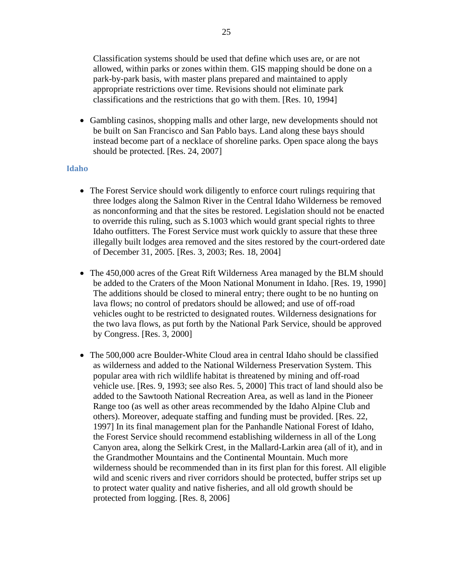Classification systems should be used that define which uses are, or are not allowed, within parks or zones within them. GIS mapping should be done on a park-by-park basis, with master plans prepared and maintained to apply appropriate restrictions over time. Revisions should not eliminate park classifications and the restrictions that go with them. [Res. 10, 1994]

• Gambling casinos, shopping malls and other large, new developments should not be built on San Francisco and San Pablo bays. Land along these bays should instead become part of a necklace of shoreline parks. Open space along the bays should be protected. [Res. 24, 2007]

#### <span id="page-24-0"></span>**Idaho**

- The Forest Service should work diligently to enforce court rulings requiring that three lodges along the Salmon River in the Central Idaho Wilderness be removed as nonconforming and that the sites be restored. Legislation should not be enacted to override this ruling, such as S.1003 which would grant special rights to three Idaho outfitters. The Forest Service must work quickly to assure that these three illegally built lodges area removed and the sites restored by the court-ordered date of December 31, 2005. [Res. 3, 2003; Res. 18, 2004]
- The 450,000 acres of the Great Rift Wilderness Area managed by the BLM should be added to the Craters of the Moon National Monument in Idaho. [Res. 19, 1990] The additions should be closed to mineral entry; there ought to be no hunting on lava flows; no control of predators should be allowed; and use of off-road vehicles ought to be restricted to designated routes. Wilderness designations for the two lava flows, as put forth by the National Park Service, should be approved by Congress. [Res. 3, 2000]
- The 500,000 acre Boulder-White Cloud area in central Idaho should be classified as wilderness and added to the National Wilderness Preservation System. This popular area with rich wildlife habitat is threatened by mining and off-road vehicle use. [Res. 9, 1993; see also Res. 5, 2000] This tract of land should also be added to the Sawtooth National Recreation Area, as well as land in the Pioneer Range too (as well as other areas recommended by the Idaho Alpine Club and others). Moreover, adequate staffing and funding must be provided. [Res. 22, 1997] In its final management plan for the Panhandle National Forest of Idaho, the Forest Service should recommend establishing wilderness in all of the Long Canyon area, along the Selkirk Crest, in the Mallard-Larkin area (all of it), and in the Grandmother Mountains and the Continental Mountain. Much more wilderness should be recommended than in its first plan for this forest. All eligible wild and scenic rivers and river corridors should be protected, buffer strips set up to protect water quality and native fisheries, and all old growth should be protected from logging. [Res. 8, 2006]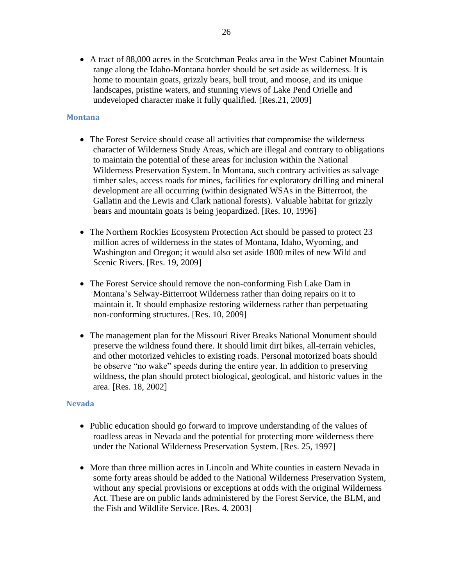• A tract of 88,000 acres in the Scotchman Peaks area in the West Cabinet Mountain range along the Idaho-Montana border should be set aside as wilderness. It is home to mountain goats, grizzly bears, bull trout, and moose, and its unique landscapes, pristine waters, and stunning views of Lake Pend Orielle and undeveloped character make it fully qualified. [Res.21, 2009]

### <span id="page-25-0"></span>**Montana**

- The Forest Service should cease all activities that compromise the wilderness character of Wilderness Study Areas, which are illegal and contrary to obligations to maintain the potential of these areas for inclusion within the National Wilderness Preservation System. In Montana, such contrary activities as salvage timber sales, access roads for mines, facilities for exploratory drilling and mineral development are all occurring (within designated WSAs in the Bitterroot, the Gallatin and the Lewis and Clark national forests). Valuable habitat for grizzly bears and mountain goats is being jeopardized. [Res. 10, 1996]
- The Northern Rockies Ecosystem Protection Act should be passed to protect 23 million acres of wilderness in the states of Montana, Idaho, Wyoming, and Washington and Oregon; it would also set aside 1800 miles of new Wild and Scenic Rivers. [Res. 19, 2009]
- The Forest Service should remove the non-conforming Fish Lake Dam in Montana's Selway-Bitterroot Wilderness rather than doing repairs on it to maintain it. It should emphasize restoring wilderness rather than perpetuating non-conforming structures. [Res. 10, 2009]
- The management plan for the Missouri River Breaks National Monument should preserve the wildness found there. It should limit dirt bikes, all-terrain vehicles, and other motorized vehicles to existing roads. Personal motorized boats should be observe "no wake" speeds during the entire year. In addition to preserving wildness, the plan should protect biological, geological, and historic values in the area. [Res. 18, 2002]

#### <span id="page-25-1"></span>**Nevada**

- Public education should go forward to improve understanding of the values of roadless areas in Nevada and the potential for protecting more wilderness there under the National Wilderness Preservation System. [Res. 25, 1997]
- More than three million acres in Lincoln and White counties in eastern Nevada in some forty areas should be added to the National Wilderness Preservation System, without any special provisions or exceptions at odds with the original Wilderness Act. These are on public lands administered by the Forest Service, the BLM, and the Fish and Wildlife Service. [Res. 4. 2003]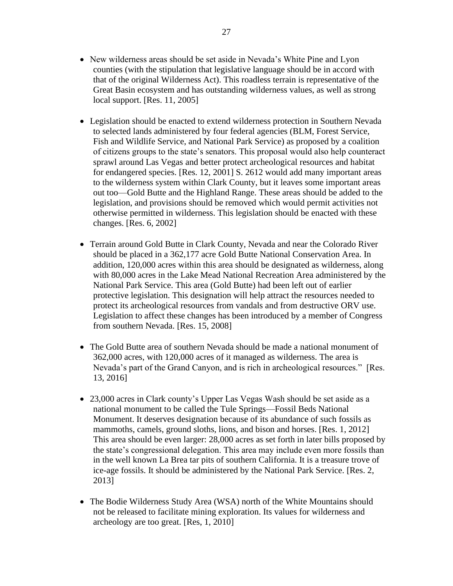- New wilderness areas should be set aside in Nevada's White Pine and Lyon counties (with the stipulation that legislative language should be in accord with that of the original Wilderness Act). This roadless terrain is representative of the Great Basin ecosystem and has outstanding wilderness values, as well as strong local support. [Res. 11, 2005]
- Legislation should be enacted to extend wilderness protection in Southern Nevada to selected lands administered by four federal agencies (BLM, Forest Service, Fish and Wildlife Service, and National Park Service) as proposed by a coalition of citizens groups to the state's senators. This proposal would also help counteract sprawl around Las Vegas and better protect archeological resources and habitat for endangered species. [Res. 12, 2001] S. 2612 would add many important areas to the wilderness system within Clark County, but it leaves some important areas out too—Gold Butte and the Highland Range. These areas should be added to the legislation, and provisions should be removed which would permit activities not otherwise permitted in wilderness. This legislation should be enacted with these changes. [Res. 6, 2002]
- Terrain around Gold Butte in Clark County, Nevada and near the Colorado River should be placed in a 362,177 acre Gold Butte National Conservation Area. In addition, 120,000 acres within this area should be designated as wilderness, along with 80,000 acres in the Lake Mead National Recreation Area administered by the National Park Service. This area (Gold Butte) had been left out of earlier protective legislation. This designation will help attract the resources needed to protect its archeological resources from vandals and from destructive ORV use. Legislation to affect these changes has been introduced by a member of Congress from southern Nevada. [Res. 15, 2008]
- The Gold Butte area of southern Nevada should be made a national monument of 362,000 acres, with 120,000 acres of it managed as wilderness. The area is Nevada's part of the Grand Canyon, and is rich in archeological resources." [Res. 13, 2016]
- 23,000 acres in Clark county's Upper Las Vegas Wash should be set aside as a national monument to be called the Tule Springs—Fossil Beds National Monument. It deserves designation because of its abundance of such fossils as mammoths, camels, ground sloths, lions, and bison and horses. [Res. 1, 2012] This area should be even larger: 28,000 acres as set forth in later bills proposed by the state's congressional delegation. This area may include even more fossils than in the well known La Brea tar pits of southern California. It is a treasure trove of ice-age fossils. It should be administered by the National Park Service. [Res. 2, 2013]
- The Bodie Wilderness Study Area (WSA) north of the White Mountains should not be released to facilitate mining exploration. Its values for wilderness and archeology are too great. [Res, 1, 2010]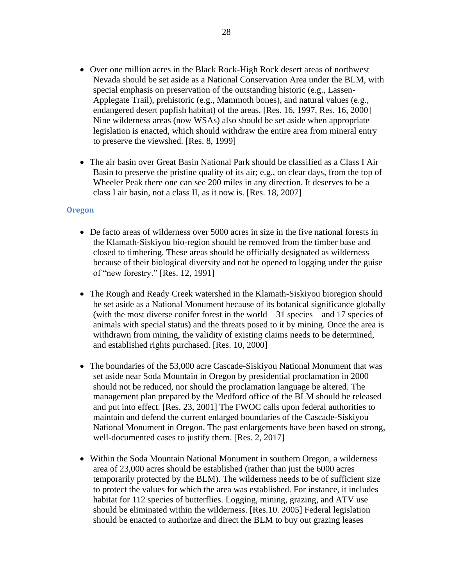- Over one million acres in the Black Rock-High Rock desert areas of northwest Nevada should be set aside as a National Conservation Area under the BLM, with special emphasis on preservation of the outstanding historic (e.g., Lassen-Applegate Trail), prehistoric (e.g., Mammoth bones), and natural values (e.g., endangered desert pupfish habitat) of the areas. [Res. 16, 1997, Res. 16, 2000] Nine wilderness areas (now WSAs) also should be set aside when appropriate legislation is enacted, which should withdraw the entire area from mineral entry to preserve the viewshed. [Res. 8, 1999]
- The air basin over Great Basin National Park should be classified as a Class I Air Basin to preserve the pristine quality of its air; e.g., on clear days, from the top of Wheeler Peak there one can see 200 miles in any direction. It deserves to be a class I air basin, not a class II, as it now is. [Res. 18, 2007]

#### <span id="page-27-0"></span>**Oregon**

- De facto areas of wilderness over 5000 acres in size in the five national forests in the Klamath-Siskiyou bio-region should be removed from the timber base and closed to timbering. These areas should be officially designated as wilderness because of their biological diversity and not be opened to logging under the guise of "new forestry." [Res. 12, 1991]
- The Rough and Ready Creek watershed in the Klamath-Siskiyou bioregion should be set aside as a National Monument because of its botanical significance globally (with the most diverse conifer forest in the world—31 species—and 17 species of animals with special status) and the threats posed to it by mining. Once the area is withdrawn from mining, the validity of existing claims needs to be determined, and established rights purchased. [Res. 10, 2000]
- The boundaries of the 53,000 acre Cascade-Siskiyou National Monument that was set aside near Soda Mountain in Oregon by presidential proclamation in 2000 should not be reduced, nor should the proclamation language be altered. The management plan prepared by the Medford office of the BLM should be released and put into effect. [Res. 23, 2001] The FWOC calls upon federal authorities to maintain and defend the current enlarged boundaries of the Cascade-Siskiyou National Monument in Oregon. The past enlargements have been based on strong, well-documented cases to justify them. [Res. 2, 2017]
- Within the Soda Mountain National Monument in southern Oregon, a wilderness area of 23,000 acres should be established (rather than just the 6000 acres temporarily protected by the BLM). The wilderness needs to be of sufficient size to protect the values for which the area was established. For instance, it includes habitat for 112 species of butterflies. Logging, mining, grazing, and ATV use should be eliminated within the wilderness. [Res.10. 2005] Federal legislation should be enacted to authorize and direct the BLM to buy out grazing leases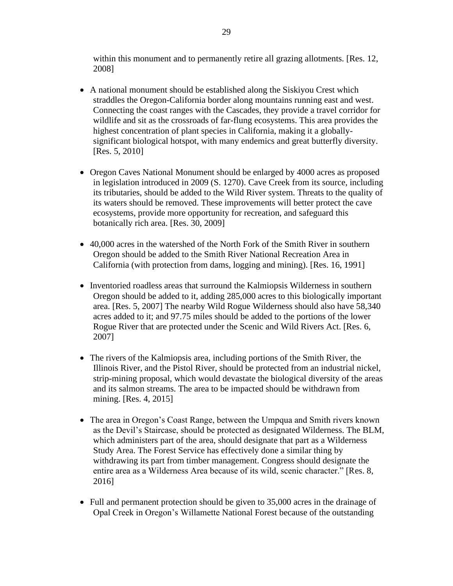within this monument and to permanently retire all grazing allotments. [Res. 12, 2008]

- A national monument should be established along the Siskiyou Crest which straddles the Oregon-California border along mountains running east and west. Connecting the coast ranges with the Cascades, they provide a travel corridor for wildlife and sit as the crossroads of far-flung ecosystems. This area provides the highest concentration of plant species in California, making it a globallysignificant biological hotspot, with many endemics and great butterfly diversity. [Res. 5, 2010]
- Oregon Caves National Monument should be enlarged by 4000 acres as proposed in legislation introduced in 2009 (S. 1270). Cave Creek from its source, including its tributaries, should be added to the Wild River system. Threats to the quality of its waters should be removed. These improvements will better protect the cave ecosystems, provide more opportunity for recreation, and safeguard this botanically rich area. [Res. 30, 2009]
- 40,000 acres in the watershed of the North Fork of the Smith River in southern Oregon should be added to the Smith River National Recreation Area in California (with protection from dams, logging and mining). [Res. 16, 1991]
- Inventoried roadless areas that surround the Kalmiopsis Wilderness in southern Oregon should be added to it, adding 285,000 acres to this biologically important area. [Res. 5, 2007] The nearby Wild Rogue Wilderness should also have 58,340 acres added to it; and 97.75 miles should be added to the portions of the lower Rogue River that are protected under the Scenic and Wild Rivers Act. [Res. 6, 2007]
- The rivers of the Kalmiopsis area, including portions of the Smith River, the Illinois River, and the Pistol River, should be protected from an industrial nickel, strip-mining proposal, which would devastate the biological diversity of the areas and its salmon streams. The area to be impacted should be withdrawn from mining. [Res. 4, 2015]
- The area in Oregon's Coast Range, between the Umpqua and Smith rivers known as the Devil's Staircase, should be protected as designated Wilderness. The BLM, which administers part of the area, should designate that part as a Wilderness Study Area. The Forest Service has effectively done a similar thing by withdrawing its part from timber management. Congress should designate the entire area as a Wilderness Area because of its wild, scenic character." [Res. 8, 2016]
- Full and permanent protection should be given to 35,000 acres in the drainage of Opal Creek in Oregon's Willamette National Forest because of the outstanding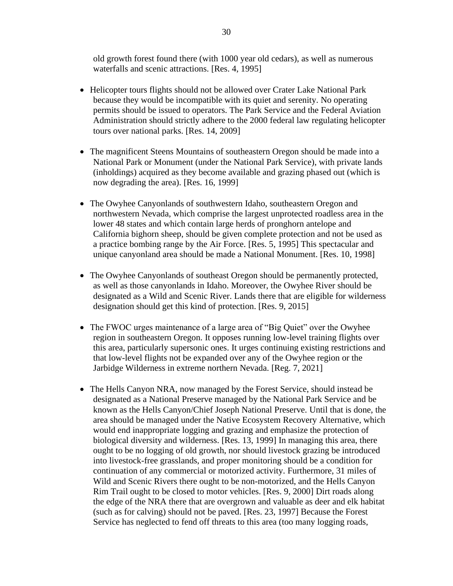old growth forest found there (with 1000 year old cedars), as well as numerous waterfalls and scenic attractions. [Res. 4, 1995]

- Helicopter tours flights should not be allowed over Crater Lake National Park because they would be incompatible with its quiet and serenity. No operating permits should be issued to operators. The Park Service and the Federal Aviation Administration should strictly adhere to the 2000 federal law regulating helicopter tours over national parks. [Res. 14, 2009]
- The magnificent Steens Mountains of southeastern Oregon should be made into a National Park or Monument (under the National Park Service), with private lands (inholdings) acquired as they become available and grazing phased out (which is now degrading the area). [Res. 16, 1999]
- The Owyhee Canyonlands of southwestern Idaho, southeastern Oregon and northwestern Nevada, which comprise the largest unprotected roadless area in the lower 48 states and which contain large herds of pronghorn antelope and California bighorn sheep, should be given complete protection and not be used as a practice bombing range by the Air Force. [Res. 5, 1995] This spectacular and unique canyonland area should be made a National Monument. [Res. 10, 1998]
- The Owyhee Canyonlands of southeast Oregon should be permanently protected, as well as those canyonlands in Idaho. Moreover, the Owyhee River should be designated as a Wild and Scenic River. Lands there that are eligible for wilderness designation should get this kind of protection. [Res. 9, 2015]
- The FWOC urges maintenance of a large area of "Big Quiet" over the Owyhee region in southeastern Oregon. It opposes running low-level training flights over this area, particularly supersonic ones. It urges continuing existing restrictions and that low-level flights not be expanded over any of the Owyhee region or the Jarbidge Wilderness in extreme northern Nevada. [Reg. 7, 2021]
- The Hells Canyon NRA, now managed by the Forest Service, should instead be designated as a National Preserve managed by the National Park Service and be known as the Hells Canyon/Chief Joseph National Preserve. Until that is done, the area should be managed under the Native Ecosystem Recovery Alternative, which would end inappropriate logging and grazing and emphasize the protection of biological diversity and wilderness. [Res. 13, 1999] In managing this area, there ought to be no logging of old growth, nor should livestock grazing be introduced into livestock-free grasslands, and proper monitoring should be a condition for continuation of any commercial or motorized activity. Furthermore, 31 miles of Wild and Scenic Rivers there ought to be non-motorized, and the Hells Canyon Rim Trail ought to be closed to motor vehicles. [Res. 9, 2000] Dirt roads along the edge of the NRA there that are overgrown and valuable as deer and elk habitat (such as for calving) should not be paved. [Res. 23, 1997] Because the Forest Service has neglected to fend off threats to this area (too many logging roads,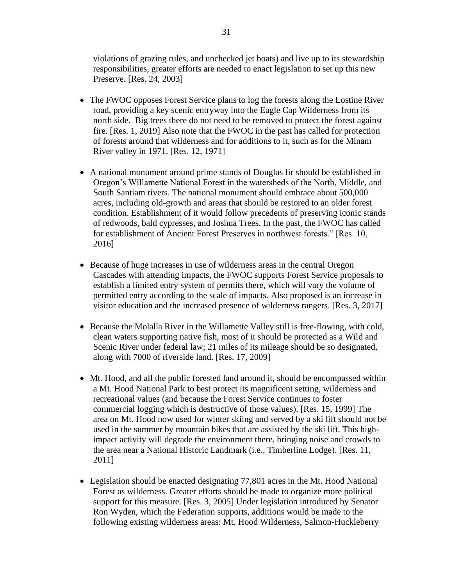violations of grazing rules, and unchecked jet boats) and live up to its stewardship responsibilities, greater efforts are needed to enact legislation to set up this new Preserve. [Res. 24, 2003]

- The FWOC opposes Forest Service plans to log the forests along the Lostine River road, providing a key scenic entryway into the Eagle Cap Wilderness from its north side. Big trees there do not need to be removed to protect the forest against fire. [Res. 1, 2019] Also note that the FWOC in the past has called for protection of forests around that wilderness and for additions to it, such as for the Minam River valley in 1971. [Res. 12, 1971]
- A national monument around prime stands of Douglas fir should be established in Oregon's Willamette National Forest in the watersheds of the North, Middle, and South Santiam rivers. The national monument should embrace about 500,000 acres, including old-growth and areas that should be restored to an older forest condition. Establishment of it would follow precedents of preserving iconic stands of redwoods, bald cypresses, and Joshua Trees. In the past, the FWOC has called for establishment of Ancient Forest Preserves in northwest forests." [Res. 10, 2016]
- Because of huge increases in use of wilderness areas in the central Oregon Cascades with attending impacts, the FWOC supports Forest Service proposals to establish a limited entry system of permits there, which will vary the volume of permitted entry according to the scale of impacts. Also proposed is an increase in visitor education and the increased presence of wilderness rangers. [Res. 3, 2017]
- Because the Molalla River in the Willamette Valley still is free-flowing, with cold, clean waters supporting native fish, most of it should be protected as a Wild and Scenic River under federal law; 21 miles of its mileage should be so designated, along with 7000 of riverside land. [Res. 17, 2009]
- Mt. Hood, and all the public forested land around it, should be encompassed within a Mt. Hood National Park to best protect its magnificent setting, wilderness and recreational values (and because the Forest Service continues to foster commercial logging which is destructive of those values). [Res. 15, 1999] The area on Mt. Hood now used for winter skiing and served by a ski lift should not be used in the summer by mountain bikes that are assisted by the ski lift. This highimpact activity will degrade the environment there, bringing noise and crowds to the area near a National Historic Landmark (i.e., Timberline Lodge). [Res. 11, 2011]
- Legislation should be enacted designating 77,801 acres in the Mt. Hood National Forest as wilderness. Greater efforts should be made to organize more political support for this measure. [Res. 3, 2005] Under legislation introduced by Senator Ron Wyden, which the Federation supports, additions would be made to the following existing wilderness areas: Mt. Hood Wilderness, Salmon-Huckleberry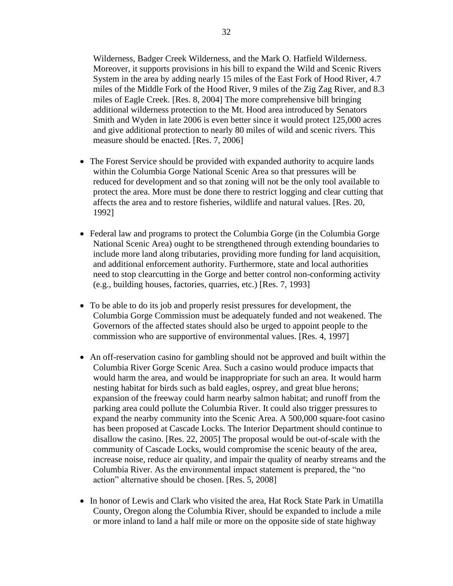Wilderness, Badger Creek Wilderness, and the Mark O. Hatfield Wilderness. Moreover, it supports provisions in his bill to expand the Wild and Scenic Rivers System in the area by adding nearly 15 miles of the East Fork of Hood River, 4.7 miles of the Middle Fork of the Hood River, 9 miles of the Zig Zag River, and 8.3 miles of Eagle Creek. [Res. 8, 2004] The more comprehensive bill bringing additional wilderness protection to the Mt. Hood area introduced by Senators Smith and Wyden in late 2006 is even better since it would protect 125,000 acres and give additional protection to nearly 80 miles of wild and scenic rivers. This measure should be enacted. [Res. 7, 2006]

- The Forest Service should be provided with expanded authority to acquire lands within the Columbia Gorge National Scenic Area so that pressures will be reduced for development and so that zoning will not be the only tool available to protect the area. More must be done there to restrict logging and clear cutting that affects the area and to restore fisheries, wildlife and natural values. [Res. 20, 1992]
- Federal law and programs to protect the Columbia Gorge (in the Columbia Gorge National Scenic Area) ought to be strengthened through extending boundaries to include more land along tributaries, providing more funding for land acquisition, and additional enforcement authority. Furthermore, state and local authorities need to stop clearcutting in the Gorge and better control non-conforming activity (e.g., building houses, factories, quarries, etc.) [Res. 7, 1993]
- To be able to do its job and properly resist pressures for development, the Columbia Gorge Commission must be adequately funded and not weakened. The Governors of the affected states should also be urged to appoint people to the commission who are supportive of environmental values. [Res. 4, 1997]
- An off-reservation casino for gambling should not be approved and built within the Columbia River Gorge Scenic Area. Such a casino would produce impacts that would harm the area, and would be inappropriate for such an area. It would harm nesting habitat for birds such as bald eagles, osprey, and great blue herons; expansion of the freeway could harm nearby salmon habitat; and runoff from the parking area could pollute the Columbia River. It could also trigger pressures to expand the nearby community into the Scenic Area. A 500,000 square-foot casino has been proposed at Cascade Locks. The Interior Department should continue to disallow the casino. [Res. 22, 2005] The proposal would be out-of-scale with the community of Cascade Locks, would compromise the scenic beauty of the area, increase noise, reduce air quality, and impair the quality of nearby streams and the Columbia River. As the environmental impact statement is prepared, the "no action" alternative should be chosen. [Res. 5, 2008]
- In honor of Lewis and Clark who visited the area, Hat Rock State Park in Umatilla County, Oregon along the Columbia River, should be expanded to include a mile or more inland to land a half mile or more on the opposite side of state highway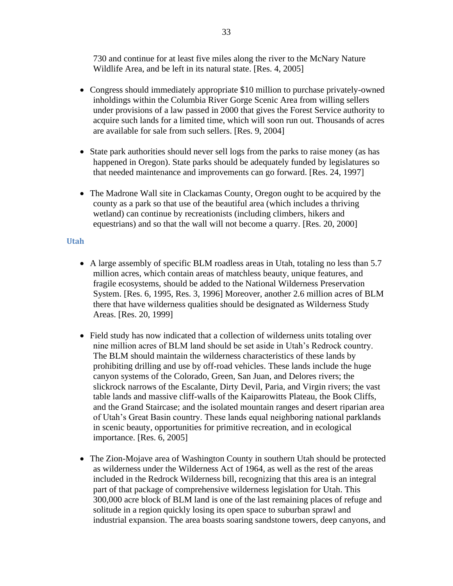730 and continue for at least five miles along the river to the McNary Nature Wildlife Area, and be left in its natural state. [Res. 4, 2005]

- Congress should immediately appropriate \$10 million to purchase privately-owned inholdings within the Columbia River Gorge Scenic Area from willing sellers under provisions of a law passed in 2000 that gives the Forest Service authority to acquire such lands for a limited time, which will soon run out. Thousands of acres are available for sale from such sellers. [Res. 9, 2004]
- State park authorities should never sell logs from the parks to raise money (as has happened in Oregon). State parks should be adequately funded by legislatures so that needed maintenance and improvements can go forward. [Res. 24, 1997]
- The Madrone Wall site in Clackamas County, Oregon ought to be acquired by the county as a park so that use of the beautiful area (which includes a thriving wetland) can continue by recreationists (including climbers, hikers and equestrians) and so that the wall will not become a quarry. [Res. 20, 2000]

#### <span id="page-32-0"></span>**Utah**

- A large assembly of specific BLM roadless areas in Utah, totaling no less than 5.7 million acres, which contain areas of matchless beauty, unique features, and fragile ecosystems, should be added to the National Wilderness Preservation System. [Res. 6, 1995, Res. 3, 1996] Moreover, another 2.6 million acres of BLM there that have wilderness qualities should be designated as Wilderness Study Areas. [Res. 20, 1999]
- Field study has now indicated that a collection of wilderness units totaling over nine million acres of BLM land should be set aside in Utah's Redrock country. The BLM should maintain the wilderness characteristics of these lands by prohibiting drilling and use by off-road vehicles. These lands include the huge canyon systems of the Colorado, Green, San Juan, and Delores rivers; the slickrock narrows of the Escalante, Dirty Devil, Paria, and Virgin rivers; the vast table lands and massive cliff-walls of the Kaiparowitts Plateau, the Book Cliffs, and the Grand Staircase; and the isolated mountain ranges and desert riparian area of Utah's Great Basin country. These lands equal neighboring national parklands in scenic beauty, opportunities for primitive recreation, and in ecological importance. [Res. 6, 2005]
- The Zion-Mojave area of Washington County in southern Utah should be protected as wilderness under the Wilderness Act of 1964, as well as the rest of the areas included in the Redrock Wilderness bill, recognizing that this area is an integral part of that package of comprehensive wilderness legislation for Utah. This 300,000 acre block of BLM land is one of the last remaining places of refuge and solitude in a region quickly losing its open space to suburban sprawl and industrial expansion. The area boasts soaring sandstone towers, deep canyons, and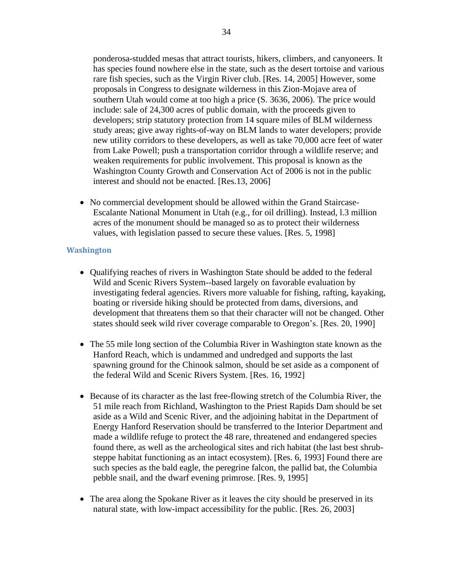ponderosa-studded mesas that attract tourists, hikers, climbers, and canyoneers. It has species found nowhere else in the state, such as the desert tortoise and various rare fish species, such as the Virgin River club. [Res. 14, 2005] However, some proposals in Congress to designate wilderness in this Zion-Mojave area of southern Utah would come at too high a price (S. 3636, 2006). The price would include: sale of 24,300 acres of public domain, with the proceeds given to developers; strip statutory protection from 14 square miles of BLM wilderness study areas; give away rights-of-way on BLM lands to water developers; provide new utility corridors to these developers, as well as take 70,000 acre feet of water from Lake Powell; push a transportation corridor through a wildlife reserve; and weaken requirements for public involvement. This proposal is known as the Washington County Growth and Conservation Act of 2006 is not in the public interest and should not be enacted. [Res.13, 2006]

• No commercial development should be allowed within the Grand Staircase-Escalante National Monument in Utah (e.g., for oil drilling). Instead, l.3 million acres of the monument should be managed so as to protect their wilderness values, with legislation passed to secure these values. [Res. 5, 1998]

#### <span id="page-33-0"></span>**Washington**

- Qualifying reaches of rivers in Washington State should be added to the federal Wild and Scenic Rivers System--based largely on favorable evaluation by investigating federal agencies. Rivers more valuable for fishing, rafting, kayaking, boating or riverside hiking should be protected from dams, diversions, and development that threatens them so that their character will not be changed. Other states should seek wild river coverage comparable to Oregon's. [Res. 20, 1990]
- The 55 mile long section of the Columbia River in Washington state known as the Hanford Reach, which is undammed and undredged and supports the last spawning ground for the Chinook salmon, should be set aside as a component of the federal Wild and Scenic Rivers System. [Res. 16, 1992]
- Because of its character as the last free-flowing stretch of the Columbia River, the 51 mile reach from Richland, Washington to the Priest Rapids Dam should be set aside as a Wild and Scenic River, and the adjoining habitat in the Department of Energy Hanford Reservation should be transferred to the Interior Department and made a wildlife refuge to protect the 48 rare, threatened and endangered species found there, as well as the archeological sites and rich habitat (the last best shrubsteppe habitat functioning as an intact ecosystem). [Res. 6, 1993] Found there are such species as the bald eagle, the peregrine falcon, the pallid bat, the Columbia pebble snail, and the dwarf evening primrose. [Res. 9, 1995]
- The area along the Spokane River as it leaves the city should be preserved in its natural state, with low-impact accessibility for the public. [Res. 26, 2003]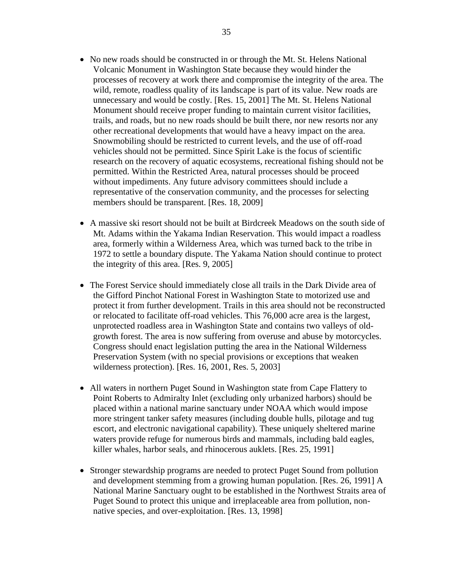- No new roads should be constructed in or through the Mt. St. Helens National Volcanic Monument in Washington State because they would hinder the processes of recovery at work there and compromise the integrity of the area. The wild, remote, roadless quality of its landscape is part of its value. New roads are unnecessary and would be costly. [Res. 15, 2001] The Mt. St. Helens National Monument should receive proper funding to maintain current visitor facilities, trails, and roads, but no new roads should be built there, nor new resorts nor any other recreational developments that would have a heavy impact on the area. Snowmobiling should be restricted to current levels, and the use of off-road vehicles should not be permitted. Since Spirit Lake is the focus of scientific research on the recovery of aquatic ecosystems, recreational fishing should not be permitted. Within the Restricted Area, natural processes should be proceed without impediments. Any future advisory committees should include a representative of the conservation community, and the processes for selecting members should be transparent. [Res. 18, 2009]
- A massive ski resort should not be built at Birdcreek Meadows on the south side of Mt. Adams within the Yakama Indian Reservation. This would impact a roadless area, formerly within a Wilderness Area, which was turned back to the tribe in 1972 to settle a boundary dispute. The Yakama Nation should continue to protect the integrity of this area. [Res. 9, 2005]
- The Forest Service should immediately close all trails in the Dark Divide area of the Gifford Pinchot National Forest in Washington State to motorized use and protect it from further development. Trails in this area should not be reconstructed or relocated to facilitate off-road vehicles. This 76,000 acre area is the largest, unprotected roadless area in Washington State and contains two valleys of oldgrowth forest. The area is now suffering from overuse and abuse by motorcycles. Congress should enact legislation putting the area in the National Wilderness Preservation System (with no special provisions or exceptions that weaken wilderness protection). [Res. 16, 2001, Res. 5, 2003]
- All waters in northern Puget Sound in Washington state from Cape Flattery to Point Roberts to Admiralty Inlet (excluding only urbanized harbors) should be placed within a national marine sanctuary under NOAA which would impose more stringent tanker safety measures (including double hulls, pilotage and tug escort, and electronic navigational capability). These uniquely sheltered marine waters provide refuge for numerous birds and mammals, including bald eagles, killer whales, harbor seals, and rhinocerous auklets. [Res. 25, 1991]
- Stronger stewardship programs are needed to protect Puget Sound from pollution and development stemming from a growing human population. [Res. 26, 1991] A National Marine Sanctuary ought to be established in the Northwest Straits area of Puget Sound to protect this unique and irreplaceable area from pollution, nonnative species, and over-exploitation. [Res. 13, 1998]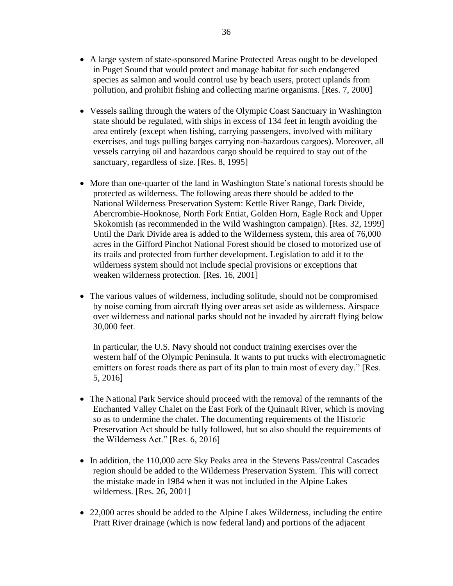- A large system of state-sponsored Marine Protected Areas ought to be developed in Puget Sound that would protect and manage habitat for such endangered species as salmon and would control use by beach users, protect uplands from pollution, and prohibit fishing and collecting marine organisms. [Res. 7, 2000]
- Vessels sailing through the waters of the Olympic Coast Sanctuary in Washington state should be regulated, with ships in excess of 134 feet in length avoiding the area entirely (except when fishing, carrying passengers, involved with military exercises, and tugs pulling barges carrying non-hazardous cargoes). Moreover, all vessels carrying oil and hazardous cargo should be required to stay out of the sanctuary, regardless of size. [Res. 8, 1995]
- More than one-quarter of the land in Washington State's national forests should be protected as wilderness. The following areas there should be added to the National Wilderness Preservation System: Kettle River Range, Dark Divide, Abercrombie-Hooknose, North Fork Entiat, Golden Horn, Eagle Rock and Upper Skokomish (as recommended in the Wild Washington campaign). [Res. 32, 1999] Until the Dark Divide area is added to the Wilderness system, this area of 76,000 acres in the Gifford Pinchot National Forest should be closed to motorized use of its trails and protected from further development. Legislation to add it to the wilderness system should not include special provisions or exceptions that weaken wilderness protection. [Res. 16, 2001]
- The various values of wilderness, including solitude, should not be compromised by noise coming from aircraft flying over areas set aside as wilderness. Airspace over wilderness and national parks should not be invaded by aircraft flying below 30,000 feet.

In particular, the U.S. Navy should not conduct training exercises over the western half of the Olympic Peninsula. It wants to put trucks with electromagnetic emitters on forest roads there as part of its plan to train most of every day." [Res. 5, 2016]

- The National Park Service should proceed with the removal of the remnants of the Enchanted Valley Chalet on the East Fork of the Quinault River, which is moving so as to undermine the chalet. The documenting requirements of the Historic Preservation Act should be fully followed, but so also should the requirements of the Wilderness Act." [Res. 6, 2016]
- In addition, the 110,000 acre Sky Peaks area in the Stevens Pass/central Cascades region should be added to the Wilderness Preservation System. This will correct the mistake made in 1984 when it was not included in the Alpine Lakes wilderness. [Res. 26, 2001]
- 22,000 acres should be added to the Alpine Lakes Wilderness, including the entire Pratt River drainage (which is now federal land) and portions of the adjacent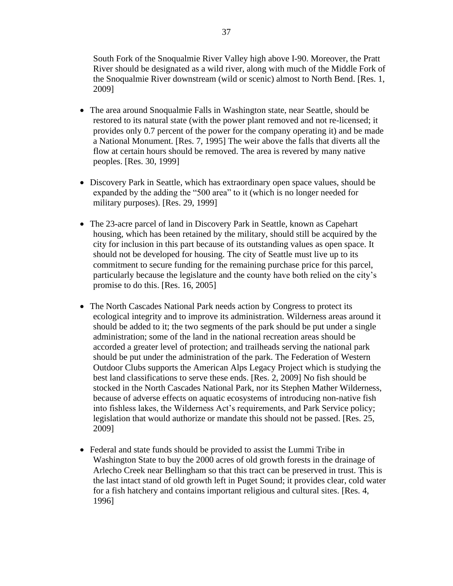South Fork of the Snoqualmie River Valley high above I-90. Moreover, the Pratt River should be designated as a wild river, along with much of the Middle Fork of the Snoqualmie River downstream (wild or scenic) almost to North Bend. [Res. 1, 2009]

- The area around Snoqualmie Falls in Washington state, near Seattle, should be restored to its natural state (with the power plant removed and not re-licensed; it provides only 0.7 percent of the power for the company operating it) and be made a National Monument. [Res. 7, 1995] The weir above the falls that diverts all the flow at certain hours should be removed. The area is revered by many native peoples. [Res. 30, 1999]
- Discovery Park in Seattle, which has extraordinary open space values, should be expanded by the adding the "500 area" to it (which is no longer needed for military purposes). [Res. 29, 1999]
- The 23-acre parcel of land in Discovery Park in Seattle, known as Capehart housing, which has been retained by the military, should still be acquired by the city for inclusion in this part because of its outstanding values as open space. It should not be developed for housing. The city of Seattle must live up to its commitment to secure funding for the remaining purchase price for this parcel, particularly because the legislature and the county have both relied on the city's promise to do this. [Res. 16, 2005]
- The North Cascades National Park needs action by Congress to protect its ecological integrity and to improve its administration. Wilderness areas around it should be added to it; the two segments of the park should be put under a single administration; some of the land in the national recreation areas should be accorded a greater level of protection; and trailheads serving the national park should be put under the administration of the park. The Federation of Western Outdoor Clubs supports the American Alps Legacy Project which is studying the best land classifications to serve these ends. [Res. 2, 2009] No fish should be stocked in the North Cascades National Park, nor its Stephen Mather Wilderness, because of adverse effects on aquatic ecosystems of introducing non-native fish into fishless lakes, the Wilderness Act's requirements, and Park Service policy; legislation that would authorize or mandate this should not be passed. [Res. 25, 2009]
- Federal and state funds should be provided to assist the Lummi Tribe in Washington State to buy the 2000 acres of old growth forests in the drainage of Arlecho Creek near Bellingham so that this tract can be preserved in trust. This is the last intact stand of old growth left in Puget Sound; it provides clear, cold water for a fish hatchery and contains important religious and cultural sites. [Res. 4, 1996]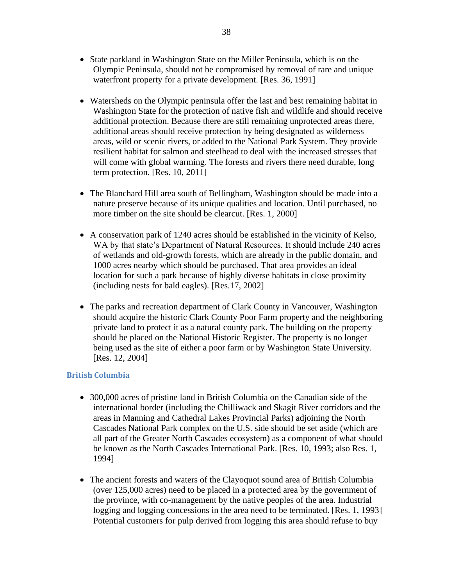- State parkland in Washington State on the Miller Peninsula, which is on the Olympic Peninsula, should not be compromised by removal of rare and unique waterfront property for a private development. [Res. 36, 1991]
- Watersheds on the Olympic peninsula offer the last and best remaining habitat in Washington State for the protection of native fish and wildlife and should receive additional protection. Because there are still remaining unprotected areas there, additional areas should receive protection by being designated as wilderness areas, wild or scenic rivers, or added to the National Park System. They provide resilient habitat for salmon and steelhead to deal with the increased stresses that will come with global warming. The forests and rivers there need durable, long term protection. [Res. 10, 2011]
- The Blanchard Hill area south of Bellingham, Washington should be made into a nature preserve because of its unique qualities and location. Until purchased, no more timber on the site should be clearcut. [Res. 1, 2000]
- A conservation park of 1240 acres should be established in the vicinity of Kelso, WA by that state's Department of Natural Resources. It should include 240 acres of wetlands and old-growth forests, which are already in the public domain, and 1000 acres nearby which should be purchased. That area provides an ideal location for such a park because of highly diverse habitats in close proximity (including nests for bald eagles). [Res.17, 2002]
- The parks and recreation department of Clark County in Vancouver, Washington should acquire the historic Clark County Poor Farm property and the neighboring private land to protect it as a natural county park. The building on the property should be placed on the National Historic Register. The property is no longer being used as the site of either a poor farm or by Washington State University. [Res. 12, 2004]

### **British Columbia**

- 300,000 acres of pristine land in British Columbia on the Canadian side of the international border (including the Chilliwack and Skagit River corridors and the areas in Manning and Cathedral Lakes Provincial Parks) adjoining the North Cascades National Park complex on the U.S. side should be set aside (which are all part of the Greater North Cascades ecosystem) as a component of what should be known as the North Cascades International Park. [Res. 10, 1993; also Res. 1, 1994]
- The ancient forests and waters of the Clayoquot sound area of British Columbia (over 125,000 acres) need to be placed in a protected area by the government of the province, with co-management by the native peoples of the area. Industrial logging and logging concessions in the area need to be terminated. [Res. 1, 1993] Potential customers for pulp derived from logging this area should refuse to buy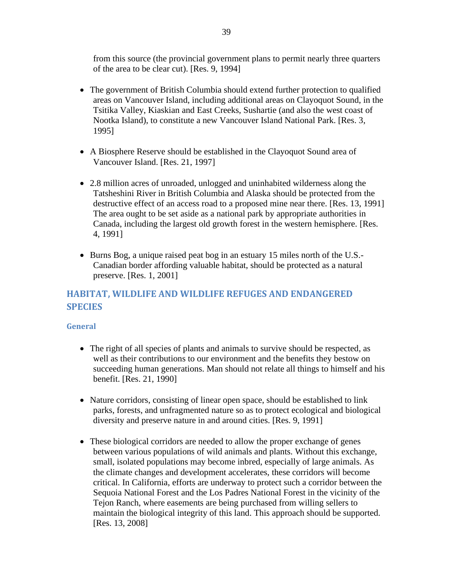from this source (the provincial government plans to permit nearly three quarters of the area to be clear cut). [Res. 9, 1994]

- The government of British Columbia should extend further protection to qualified areas on Vancouver Island, including additional areas on Clayoquot Sound, in the Tsitika Valley, Kiaskian and East Creeks, Sushartie (and also the west coast of Nootka Island), to constitute a new Vancouver Island National Park. [Res. 3, 1995]
- A Biosphere Reserve should be established in the Clayoquot Sound area of Vancouver Island. [Res. 21, 1997]
- 2.8 million acres of unroaded, unlogged and uninhabited wilderness along the Tatsheshini River in British Columbia and Alaska should be protected from the destructive effect of an access road to a proposed mine near there. [Res. 13, 1991] The area ought to be set aside as a national park by appropriate authorities in Canada, including the largest old growth forest in the western hemisphere. [Res. 4, 1991]
- Burns Bog, a unique raised peat bog in an estuary 15 miles north of the U.S.- Canadian border affording valuable habitat, should be protected as a natural preserve. [Res. 1, 2001]

# **HABITAT, WILDLIFE AND WILDLIFE REFUGES AND ENDANGERED SPECIES**

### **General**

- The right of all species of plants and animals to survive should be respected, as well as their contributions to our environment and the benefits they bestow on succeeding human generations. Man should not relate all things to himself and his benefit. [Res. 21, 1990]
- Nature corridors, consisting of linear open space, should be established to link parks, forests, and unfragmented nature so as to protect ecological and biological diversity and preserve nature in and around cities. [Res. 9, 1991]
- These biological corridors are needed to allow the proper exchange of genes between various populations of wild animals and plants. Without this exchange, small, isolated populations may become inbred, especially of large animals. As the climate changes and development accelerates, these corridors will become critical. In California, efforts are underway to protect such a corridor between the Sequoia National Forest and the Los Padres National Forest in the vicinity of the Tejon Ranch, where easements are being purchased from willing sellers to maintain the biological integrity of this land. This approach should be supported. [Res. 13, 2008]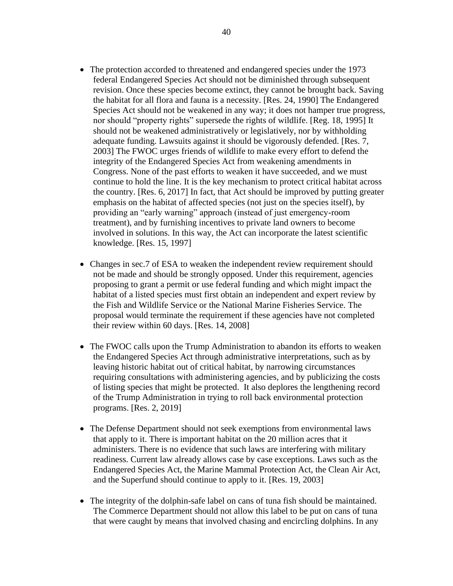- The protection accorded to threatened and endangered species under the 1973 federal Endangered Species Act should not be diminished through subsequent revision. Once these species become extinct, they cannot be brought back. Saving the habitat for all flora and fauna is a necessity. [Res. 24, 1990] The Endangered Species Act should not be weakened in any way; it does not hamper true progress, nor should "property rights" supersede the rights of wildlife. [Reg. 18, 1995] It should not be weakened administratively or legislatively, nor by withholding adequate funding. Lawsuits against it should be vigorously defended. [Res. 7, 2003] The FWOC urges friends of wildlife to make every effort to defend the integrity of the Endangered Species Act from weakening amendments in Congress. None of the past efforts to weaken it have succeeded, and we must continue to hold the line. It is the key mechanism to protect critical habitat across the country. [Res. 6, 2017] In fact, that Act should be improved by putting greater emphasis on the habitat of affected species (not just on the species itself), by providing an "early warning" approach (instead of just emergency-room treatment), and by furnishing incentives to private land owners to become involved in solutions. In this way, the Act can incorporate the latest scientific knowledge. [Res. 15, 1997]
- Changes in sec.7 of ESA to weaken the independent review requirement should not be made and should be strongly opposed. Under this requirement, agencies proposing to grant a permit or use federal funding and which might impact the habitat of a listed species must first obtain an independent and expert review by the Fish and Wildlife Service or the National Marine Fisheries Service. The proposal would terminate the requirement if these agencies have not completed their review within 60 days. [Res. 14, 2008]
- The FWOC calls upon the Trump Administration to abandon its efforts to weaken the Endangered Species Act through administrative interpretations, such as by leaving historic habitat out of critical habitat, by narrowing circumstances requiring consultations with administering agencies, and by publicizing the costs of listing species that might be protected. It also deplores the lengthening record of the Trump Administration in trying to roll back environmental protection programs. [Res. 2, 2019]
- The Defense Department should not seek exemptions from environmental laws that apply to it. There is important habitat on the 20 million acres that it administers. There is no evidence that such laws are interfering with military readiness. Current law already allows case by case exceptions. Laws such as the Endangered Species Act, the Marine Mammal Protection Act, the Clean Air Act, and the Superfund should continue to apply to it. [Res. 19, 2003]
- The integrity of the dolphin-safe label on cans of tuna fish should be maintained. The Commerce Department should not allow this label to be put on cans of tuna that were caught by means that involved chasing and encircling dolphins. In any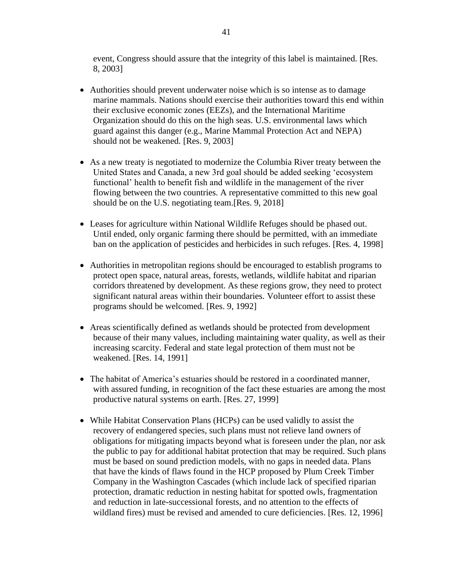event, Congress should assure that the integrity of this label is maintained. [Res. 8, 2003]

- Authorities should prevent underwater noise which is so intense as to damage marine mammals. Nations should exercise their authorities toward this end within their exclusive economic zones (EEZs), and the International Maritime Organization should do this on the high seas. U.S. environmental laws which guard against this danger (e.g., Marine Mammal Protection Act and NEPA) should not be weakened. [Res. 9, 2003]
- As a new treaty is negotiated to modernize the Columbia River treaty between the United States and Canada, a new 3rd goal should be added seeking 'ecosystem functional' health to benefit fish and wildlife in the management of the river flowing between the two countries. A representative committed to this new goal should be on the U.S. negotiating team.[Res. 9, 2018]
- Leases for agriculture within National Wildlife Refuges should be phased out. Until ended, only organic farming there should be permitted, with an immediate ban on the application of pesticides and herbicides in such refuges. [Res. 4, 1998]
- Authorities in metropolitan regions should be encouraged to establish programs to protect open space, natural areas, forests, wetlands, wildlife habitat and riparian corridors threatened by development. As these regions grow, they need to protect significant natural areas within their boundaries. Volunteer effort to assist these programs should be welcomed. [Res. 9, 1992]
- Areas scientifically defined as wetlands should be protected from development because of their many values, including maintaining water quality, as well as their increasing scarcity. Federal and state legal protection of them must not be weakened. [Res. 14, 1991]
- The habitat of America's estuaries should be restored in a coordinated manner, with assured funding, in recognition of the fact these estuaries are among the most productive natural systems on earth. [Res. 27, 1999]
- While Habitat Conservation Plans (HCPs) can be used validly to assist the recovery of endangered species, such plans must not relieve land owners of obligations for mitigating impacts beyond what is foreseen under the plan, nor ask the public to pay for additional habitat protection that may be required. Such plans must be based on sound prediction models, with no gaps in needed data. Plans that have the kinds of flaws found in the HCP proposed by Plum Creek Timber Company in the Washington Cascades (which include lack of specified riparian protection, dramatic reduction in nesting habitat for spotted owls, fragmentation and reduction in late-successional forests, and no attention to the effects of wildland fires) must be revised and amended to cure deficiencies. [Res. 12, 1996]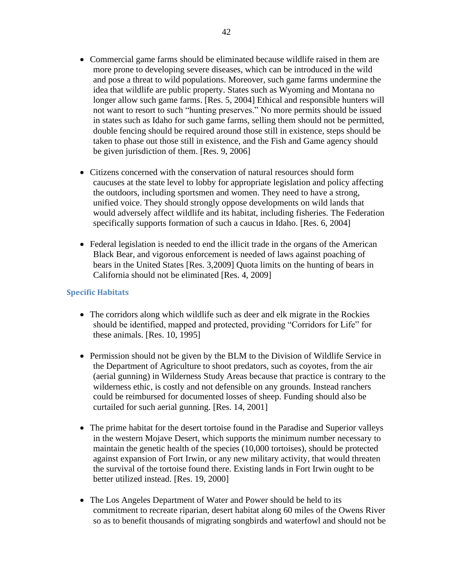- Commercial game farms should be eliminated because wildlife raised in them are more prone to developing severe diseases, which can be introduced in the wild and pose a threat to wild populations. Moreover, such game farms undermine the idea that wildlife are public property. States such as Wyoming and Montana no longer allow such game farms. [Res. 5, 2004] Ethical and responsible hunters will not want to resort to such "hunting preserves." No more permits should be issued in states such as Idaho for such game farms, selling them should not be permitted, double fencing should be required around those still in existence, steps should be taken to phase out those still in existence, and the Fish and Game agency should be given jurisdiction of them. [Res. 9, 2006]
- Citizens concerned with the conservation of natural resources should form caucuses at the state level to lobby for appropriate legislation and policy affecting the outdoors, including sportsmen and women. They need to have a strong, unified voice. They should strongly oppose developments on wild lands that would adversely affect wildlife and its habitat, including fisheries. The Federation specifically supports formation of such a caucus in Idaho. [Res. 6, 2004]
- Federal legislation is needed to end the illicit trade in the organs of the American Black Bear, and vigorous enforcement is needed of laws against poaching of bears in the United States [Res. 3,2009] Quota limits on the hunting of bears in California should not be eliminated [Res. 4, 2009]

### **Specific Habitats**

- The corridors along which wildlife such as deer and elk migrate in the Rockies should be identified, mapped and protected, providing "Corridors for Life" for these animals. [Res. 10, 1995]
- Permission should not be given by the BLM to the Division of Wildlife Service in the Department of Agriculture to shoot predators, such as coyotes, from the air (aerial gunning) in Wilderness Study Areas because that practice is contrary to the wilderness ethic, is costly and not defensible on any grounds. Instead ranchers could be reimbursed for documented losses of sheep. Funding should also be curtailed for such aerial gunning. [Res. 14, 2001]
- The prime habitat for the desert tortoise found in the Paradise and Superior valleys in the western Mojave Desert, which supports the minimum number necessary to maintain the genetic health of the species (10,000 tortoises), should be protected against expansion of Fort Irwin, or any new military activity, that would threaten the survival of the tortoise found there. Existing lands in Fort Irwin ought to be better utilized instead. [Res. 19, 2000]
- The Los Angeles Department of Water and Power should be held to its commitment to recreate riparian, desert habitat along 60 miles of the Owens River so as to benefit thousands of migrating songbirds and waterfowl and should not be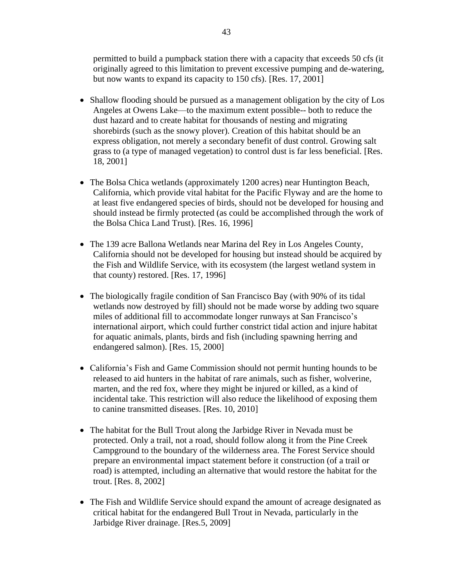permitted to build a pumpback station there with a capacity that exceeds 50 cfs (it originally agreed to this limitation to prevent excessive pumping and de-watering, but now wants to expand its capacity to 150 cfs). [Res. 17, 2001]

- Shallow flooding should be pursued as a management obligation by the city of Los Angeles at Owens Lake—to the maximum extent possible-- both to reduce the dust hazard and to create habitat for thousands of nesting and migrating shorebirds (such as the snowy plover). Creation of this habitat should be an express obligation, not merely a secondary benefit of dust control. Growing salt grass to (a type of managed vegetation) to control dust is far less beneficial. [Res. 18, 2001]
- The Bolsa Chica wetlands (approximately 1200 acres) near Huntington Beach, California, which provide vital habitat for the Pacific Flyway and are the home to at least five endangered species of birds, should not be developed for housing and should instead be firmly protected (as could be accomplished through the work of the Bolsa Chica Land Trust). [Res. 16, 1996]
- The 139 acre Ballona Wetlands near Marina del Rey in Los Angeles County, California should not be developed for housing but instead should be acquired by the Fish and Wildlife Service, with its ecosystem (the largest wetland system in that county) restored. [Res. 17, 1996]
- The biologically fragile condition of San Francisco Bay (with 90% of its tidal wetlands now destroyed by fill) should not be made worse by adding two square miles of additional fill to accommodate longer runways at San Francisco's international airport, which could further constrict tidal action and injure habitat for aquatic animals, plants, birds and fish (including spawning herring and endangered salmon). [Res. 15, 2000]
- California's Fish and Game Commission should not permit hunting hounds to be released to aid hunters in the habitat of rare animals, such as fisher, wolverine, marten, and the red fox, where they might be injured or killed, as a kind of incidental take. This restriction will also reduce the likelihood of exposing them to canine transmitted diseases. [Res. 10, 2010]
- The habitat for the Bull Trout along the Jarbidge River in Nevada must be protected. Only a trail, not a road, should follow along it from the Pine Creek Campground to the boundary of the wilderness area. The Forest Service should prepare an environmental impact statement before it construction (of a trail or road) is attempted, including an alternative that would restore the habitat for the trout. [Res. 8, 2002]
- The Fish and Wildlife Service should expand the amount of acreage designated as critical habitat for the endangered Bull Trout in Nevada, particularly in the Jarbidge River drainage. [Res.5, 2009]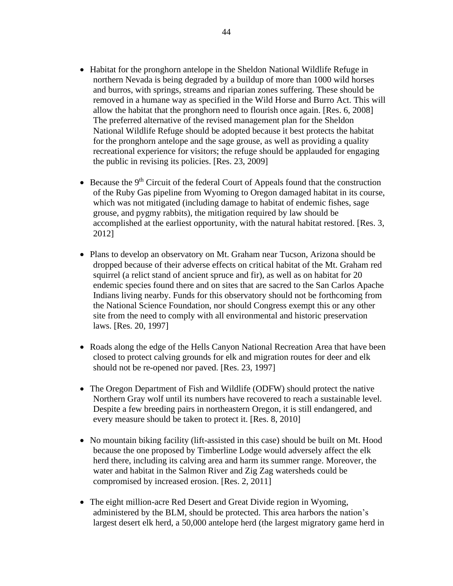- Habitat for the pronghorn antelope in the Sheldon National Wildlife Refuge in northern Nevada is being degraded by a buildup of more than 1000 wild horses and burros, with springs, streams and riparian zones suffering. These should be removed in a humane way as specified in the Wild Horse and Burro Act. This will allow the habitat that the pronghorn need to flourish once again. [Res. 6, 2008] The preferred alternative of the revised management plan for the Sheldon National Wildlife Refuge should be adopted because it best protects the habitat for the pronghorn antelope and the sage grouse, as well as providing a quality recreational experience for visitors; the refuge should be applauded for engaging the public in revising its policies. [Res. 23, 2009]
- Because the  $9<sup>th</sup>$  Circuit of the federal Court of Appeals found that the construction of the Ruby Gas pipeline from Wyoming to Oregon damaged habitat in its course, which was not mitigated (including damage to habitat of endemic fishes, sage grouse, and pygmy rabbits), the mitigation required by law should be accomplished at the earliest opportunity, with the natural habitat restored. [Res. 3, 2012]
- Plans to develop an observatory on Mt. Graham near Tucson, Arizona should be dropped because of their adverse effects on critical habitat of the Mt. Graham red squirrel (a relict stand of ancient spruce and fir), as well as on habitat for 20 endemic species found there and on sites that are sacred to the San Carlos Apache Indians living nearby. Funds for this observatory should not be forthcoming from the National Science Foundation, nor should Congress exempt this or any other site from the need to comply with all environmental and historic preservation laws. [Res. 20, 1997]
- Roads along the edge of the Hells Canyon National Recreation Area that have been closed to protect calving grounds for elk and migration routes for deer and elk should not be re-opened nor paved. [Res. 23, 1997]
- The Oregon Department of Fish and Wildlife (ODFW) should protect the native Northern Gray wolf until its numbers have recovered to reach a sustainable level. Despite a few breeding pairs in northeastern Oregon, it is still endangered, and every measure should be taken to protect it. [Res. 8, 2010]
- No mountain biking facility (lift-assisted in this case) should be built on Mt. Hood because the one proposed by Timberline Lodge would adversely affect the elk herd there, including its calving area and harm its summer range. Moreover, the water and habitat in the Salmon River and Zig Zag watersheds could be compromised by increased erosion. [Res. 2, 2011]
- The eight million-acre Red Desert and Great Divide region in Wyoming, administered by the BLM, should be protected. This area harbors the nation's largest desert elk herd, a 50,000 antelope herd (the largest migratory game herd in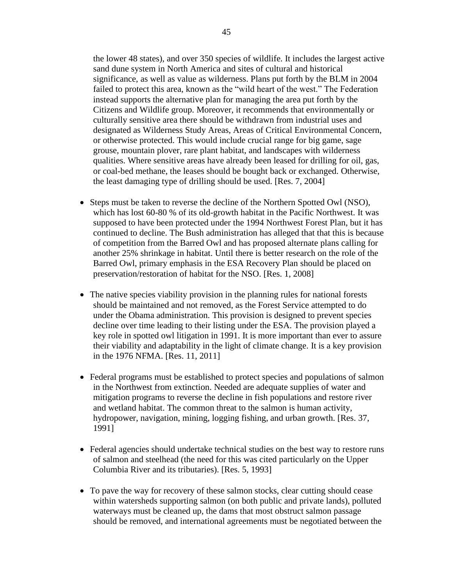the lower 48 states), and over 350 species of wildlife. It includes the largest active sand dune system in North America and sites of cultural and historical significance, as well as value as wilderness. Plans put forth by the BLM in 2004 failed to protect this area, known as the "wild heart of the west." The Federation instead supports the alternative plan for managing the area put forth by the Citizens and Wildlife group. Moreover, it recommends that environmentally or culturally sensitive area there should be withdrawn from industrial uses and designated as Wilderness Study Areas, Areas of Critical Environmental Concern, or otherwise protected. This would include crucial range for big game, sage grouse, mountain plover, rare plant habitat, and landscapes with wilderness qualities. Where sensitive areas have already been leased for drilling for oil, gas, or coal-bed methane, the leases should be bought back or exchanged. Otherwise, the least damaging type of drilling should be used. [Res. 7, 2004]

- Steps must be taken to reverse the decline of the Northern Spotted Owl (NSO), which has lost 60-80 % of its old-growth habitat in the Pacific Northwest. It was supposed to have been protected under the 1994 Northwest Forest Plan, but it has continued to decline. The Bush administration has alleged that that this is because of competition from the Barred Owl and has proposed alternate plans calling for another 25% shrinkage in habitat. Until there is better research on the role of the Barred Owl, primary emphasis in the ESA Recovery Plan should be placed on preservation/restoration of habitat for the NSO. [Res. 1, 2008]
- The native species viability provision in the planning rules for national forests should be maintained and not removed, as the Forest Service attempted to do under the Obama administration. This provision is designed to prevent species decline over time leading to their listing under the ESA. The provision played a key role in spotted owl litigation in 1991. It is more important than ever to assure their viability and adaptability in the light of climate change. It is a key provision in the 1976 NFMA. [Res. 11, 2011]
- Federal programs must be established to protect species and populations of salmon in the Northwest from extinction. Needed are adequate supplies of water and mitigation programs to reverse the decline in fish populations and restore river and wetland habitat. The common threat to the salmon is human activity, hydropower, navigation, mining, logging fishing, and urban growth. [Res. 37, 1991]
- Federal agencies should undertake technical studies on the best way to restore runs of salmon and steelhead (the need for this was cited particularly on the Upper Columbia River and its tributaries). [Res. 5, 1993]
- To pave the way for recovery of these salmon stocks, clear cutting should cease within watersheds supporting salmon (on both public and private lands), polluted waterways must be cleaned up, the dams that most obstruct salmon passage should be removed, and international agreements must be negotiated between the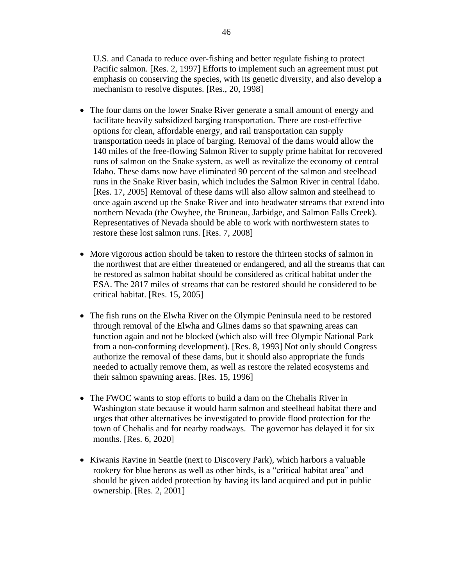U.S. and Canada to reduce over-fishing and better regulate fishing to protect Pacific salmon. [Res. 2, 1997] Efforts to implement such an agreement must put emphasis on conserving the species, with its genetic diversity, and also develop a mechanism to resolve disputes. [Res., 20, 1998]

- The four dams on the lower Snake River generate a small amount of energy and facilitate heavily subsidized barging transportation. There are cost-effective options for clean, affordable energy, and rail transportation can supply transportation needs in place of barging. Removal of the dams would allow the 140 miles of the free-flowing Salmon River to supply prime habitat for recovered runs of salmon on the Snake system, as well as revitalize the economy of central Idaho. These dams now have eliminated 90 percent of the salmon and steelhead runs in the Snake River basin, which includes the Salmon River in central Idaho. [Res. 17, 2005] Removal of these dams will also allow salmon and steelhead to once again ascend up the Snake River and into headwater streams that extend into northern Nevada (the Owyhee, the Bruneau, Jarbidge, and Salmon Falls Creek). Representatives of Nevada should be able to work with northwestern states to restore these lost salmon runs. [Res. 7, 2008]
- More vigorous action should be taken to restore the thirteen stocks of salmon in the northwest that are either threatened or endangered, and all the streams that can be restored as salmon habitat should be considered as critical habitat under the ESA. The 2817 miles of streams that can be restored should be considered to be critical habitat. [Res. 15, 2005]
- The fish runs on the Elwha River on the Olympic Peninsula need to be restored through removal of the Elwha and Glines dams so that spawning areas can function again and not be blocked (which also will free Olympic National Park from a non-conforming development). [Res. 8, 1993] Not only should Congress authorize the removal of these dams, but it should also appropriate the funds needed to actually remove them, as well as restore the related ecosystems and their salmon spawning areas. [Res. 15, 1996]
- The FWOC wants to stop efforts to build a dam on the Chehalis River in Washington state because it would harm salmon and steelhead habitat there and urges that other alternatives be investigated to provide flood protection for the town of Chehalis and for nearby roadways. The governor has delayed it for six months. [Res. 6, 2020]
- Kiwanis Ravine in Seattle (next to Discovery Park), which harbors a valuable rookery for blue herons as well as other birds, is a "critical habitat area" and should be given added protection by having its land acquired and put in public ownership. [Res. 2, 2001]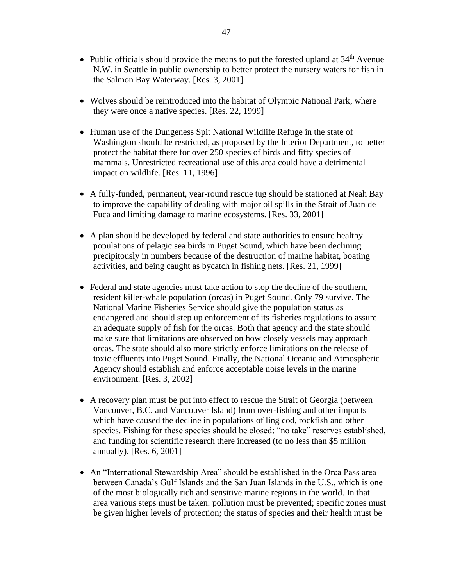- Public officials should provide the means to put the forested upland at  $34<sup>th</sup>$  Avenue N.W. in Seattle in public ownership to better protect the nursery waters for fish in the Salmon Bay Waterway. [Res. 3, 2001]
- Wolves should be reintroduced into the habitat of Olympic National Park, where they were once a native species. [Res. 22, 1999]
- Human use of the Dungeness Spit National Wildlife Refuge in the state of Washington should be restricted, as proposed by the Interior Department, to better protect the habitat there for over 250 species of birds and fifty species of mammals. Unrestricted recreational use of this area could have a detrimental impact on wildlife. [Res. 11, 1996]
- A fully-funded, permanent, year-round rescue tug should be stationed at Neah Bay to improve the capability of dealing with major oil spills in the Strait of Juan de Fuca and limiting damage to marine ecosystems. [Res. 33, 2001]
- A plan should be developed by federal and state authorities to ensure healthy populations of pelagic sea birds in Puget Sound, which have been declining precipitously in numbers because of the destruction of marine habitat, boating activities, and being caught as bycatch in fishing nets. [Res. 21, 1999]
- Federal and state agencies must take action to stop the decline of the southern, resident killer-whale population (orcas) in Puget Sound. Only 79 survive. The National Marine Fisheries Service should give the population status as endangered and should step up enforcement of its fisheries regulations to assure an adequate supply of fish for the orcas. Both that agency and the state should make sure that limitations are observed on how closely vessels may approach orcas. The state should also more strictly enforce limitations on the release of toxic effluents into Puget Sound. Finally, the National Oceanic and Atmospheric Agency should establish and enforce acceptable noise levels in the marine environment. [Res. 3, 2002]
- A recovery plan must be put into effect to rescue the Strait of Georgia (between Vancouver, B.C. and Vancouver Island) from over-fishing and other impacts which have caused the decline in populations of ling cod, rockfish and other species. Fishing for these species should be closed; "no take" reserves established, and funding for scientific research there increased (to no less than \$5 million annually). [Res. 6, 2001]
- An "International Stewardship Area" should be established in the Orca Pass area between Canada's Gulf Islands and the San Juan Islands in the U.S., which is one of the most biologically rich and sensitive marine regions in the world. In that area various steps must be taken: pollution must be prevented; specific zones must be given higher levels of protection; the status of species and their health must be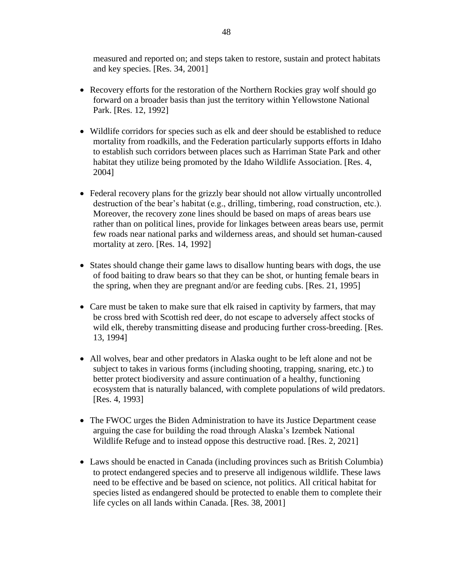measured and reported on; and steps taken to restore, sustain and protect habitats and key species. [Res. 34, 2001]

- Recovery efforts for the restoration of the Northern Rockies gray wolf should go forward on a broader basis than just the territory within Yellowstone National Park. [Res. 12, 1992]
- Wildlife corridors for species such as elk and deer should be established to reduce mortality from roadkills, and the Federation particularly supports efforts in Idaho to establish such corridors between places such as Harriman State Park and other habitat they utilize being promoted by the Idaho Wildlife Association. [Res. 4, 2004]
- Federal recovery plans for the grizzly bear should not allow virtually uncontrolled destruction of the bear's habitat (e.g., drilling, timbering, road construction, etc.). Moreover, the recovery zone lines should be based on maps of areas bears use rather than on political lines, provide for linkages between areas bears use, permit few roads near national parks and wilderness areas, and should set human-caused mortality at zero. [Res. 14, 1992]
- States should change their game laws to disallow hunting bears with dogs, the use of food baiting to draw bears so that they can be shot, or hunting female bears in the spring, when they are pregnant and/or are feeding cubs. [Res. 21, 1995]
- Care must be taken to make sure that elk raised in captivity by farmers, that may be cross bred with Scottish red deer, do not escape to adversely affect stocks of wild elk, thereby transmitting disease and producing further cross-breeding. [Res. 13, 1994]
- All wolves, bear and other predators in Alaska ought to be left alone and not be subject to takes in various forms (including shooting, trapping, snaring, etc.) to better protect biodiversity and assure continuation of a healthy, functioning ecosystem that is naturally balanced, with complete populations of wild predators. [Res. 4, 1993]
- The FWOC urges the Biden Administration to have its Justice Department cease arguing the case for building the road through Alaska's Izembek National Wildlife Refuge and to instead oppose this destructive road. [Res. 2, 2021]
- Laws should be enacted in Canada (including provinces such as British Columbia) to protect endangered species and to preserve all indigenous wildlife. These laws need to be effective and be based on science, not politics. All critical habitat for species listed as endangered should be protected to enable them to complete their life cycles on all lands within Canada. [Res. 38, 2001]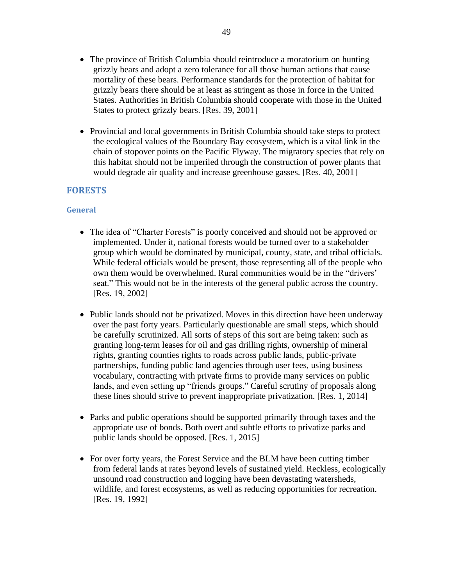- The province of British Columbia should reintroduce a moratorium on hunting grizzly bears and adopt a zero tolerance for all those human actions that cause mortality of these bears. Performance standards for the protection of habitat for grizzly bears there should be at least as stringent as those in force in the United States. Authorities in British Columbia should cooperate with those in the United States to protect grizzly bears. [Res. 39, 2001]
- Provincial and local governments in British Columbia should take steps to protect the ecological values of the Boundary Bay ecosystem, which is a vital link in the chain of stopover points on the Pacific Flyway. The migratory species that rely on this habitat should not be imperiled through the construction of power plants that would degrade air quality and increase greenhouse gasses. [Res. 40, 2001]

## **FORESTS**

### **General**

- The idea of "Charter Forests" is poorly conceived and should not be approved or implemented. Under it, national forests would be turned over to a stakeholder group which would be dominated by municipal, county, state, and tribal officials. While federal officials would be present, those representing all of the people who own them would be overwhelmed. Rural communities would be in the "drivers' seat." This would not be in the interests of the general public across the country. [Res. 19, 2002]
- Public lands should not be privatized. Moves in this direction have been underway over the past forty years. Particularly questionable are small steps, which should be carefully scrutinized. All sorts of steps of this sort are being taken: such as granting long-term leases for oil and gas drilling rights, ownership of mineral rights, granting counties rights to roads across public lands, public-private partnerships, funding public land agencies through user fees, using business vocabulary, contracting with private firms to provide many services on public lands, and even setting up "friends groups." Careful scrutiny of proposals along these lines should strive to prevent inappropriate privatization. [Res. 1, 2014]
- Parks and public operations should be supported primarily through taxes and the appropriate use of bonds. Both overt and subtle efforts to privatize parks and public lands should be opposed. [Res. 1, 2015]
- For over forty years, the Forest Service and the BLM have been cutting timber from federal lands at rates beyond levels of sustained yield. Reckless, ecologically unsound road construction and logging have been devastating watersheds, wildlife, and forest ecosystems, as well as reducing opportunities for recreation. [Res. 19, 1992]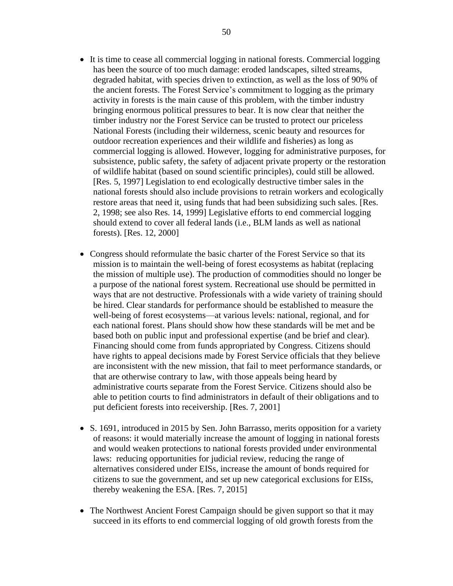- It is time to cease all commercial logging in national forests. Commercial logging has been the source of too much damage: eroded landscapes, silted streams, degraded habitat, with species driven to extinction, as well as the loss of 90% of the ancient forests. The Forest Service's commitment to logging as the primary activity in forests is the main cause of this problem, with the timber industry bringing enormous political pressures to bear. It is now clear that neither the timber industry nor the Forest Service can be trusted to protect our priceless National Forests (including their wilderness, scenic beauty and resources for outdoor recreation experiences and their wildlife and fisheries) as long as commercial logging is allowed. However, logging for administrative purposes, for subsistence, public safety, the safety of adjacent private property or the restoration of wildlife habitat (based on sound scientific principles), could still be allowed. [Res. 5, 1997] Legislation to end ecologically destructive timber sales in the national forests should also include provisions to retrain workers and ecologically restore areas that need it, using funds that had been subsidizing such sales. [Res. 2, 1998; see also Res. 14, 1999] Legislative efforts to end commercial logging should extend to cover all federal lands (i.e., BLM lands as well as national forests). [Res. 12, 2000]
- Congress should reformulate the basic charter of the Forest Service so that its mission is to maintain the well-being of forest ecosystems as habitat (replacing the mission of multiple use). The production of commodities should no longer be a purpose of the national forest system. Recreational use should be permitted in ways that are not destructive. Professionals with a wide variety of training should be hired. Clear standards for performance should be established to measure the well-being of forest ecosystems—at various levels: national, regional, and for each national forest. Plans should show how these standards will be met and be based both on public input and professional expertise (and be brief and clear). Financing should come from funds appropriated by Congress. Citizens should have rights to appeal decisions made by Forest Service officials that they believe are inconsistent with the new mission, that fail to meet performance standards, or that are otherwise contrary to law, with those appeals being heard by administrative courts separate from the Forest Service. Citizens should also be able to petition courts to find administrators in default of their obligations and to put deficient forests into receivership. [Res. 7, 2001]
- S. 1691, introduced in 2015 by Sen. John Barrasso, merits opposition for a variety of reasons: it would materially increase the amount of logging in national forests and would weaken protections to national forests provided under environmental laws: reducing opportunities for judicial review, reducing the range of alternatives considered under EISs, increase the amount of bonds required for citizens to sue the government, and set up new categorical exclusions for EISs, thereby weakening the ESA. [Res. 7, 2015]
- The Northwest Ancient Forest Campaign should be given support so that it may succeed in its efforts to end commercial logging of old growth forests from the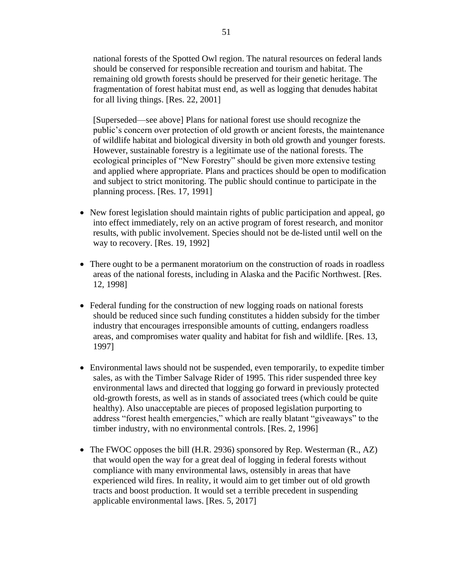national forests of the Spotted Owl region. The natural resources on federal lands should be conserved for responsible recreation and tourism and habitat. The remaining old growth forests should be preserved for their genetic heritage. The fragmentation of forest habitat must end, as well as logging that denudes habitat for all living things. [Res. 22, 2001]

[Superseded—see above] Plans for national forest use should recognize the public's concern over protection of old growth or ancient forests, the maintenance of wildlife habitat and biological diversity in both old growth and younger forests. However, sustainable forestry is a legitimate use of the national forests. The ecological principles of "New Forestry" should be given more extensive testing and applied where appropriate. Plans and practices should be open to modification and subject to strict monitoring. The public should continue to participate in the planning process. [Res. 17, 1991]

- New forest legislation should maintain rights of public participation and appeal, go into effect immediately, rely on an active program of forest research, and monitor results, with public involvement. Species should not be de-listed until well on the way to recovery. [Res. 19, 1992]
- There ought to be a permanent moratorium on the construction of roads in roadless areas of the national forests, including in Alaska and the Pacific Northwest. [Res. 12, 1998]
- Federal funding for the construction of new logging roads on national forests should be reduced since such funding constitutes a hidden subsidy for the timber industry that encourages irresponsible amounts of cutting, endangers roadless areas, and compromises water quality and habitat for fish and wildlife. [Res. 13, 1997]
- Environmental laws should not be suspended, even temporarily, to expedite timber sales, as with the Timber Salvage Rider of 1995. This rider suspended three key environmental laws and directed that logging go forward in previously protected old-growth forests, as well as in stands of associated trees (which could be quite healthy). Also unacceptable are pieces of proposed legislation purporting to address "forest health emergencies," which are really blatant "giveaways" to the timber industry, with no environmental controls. [Res. 2, 1996]
- The FWOC opposes the bill (H.R. 2936) sponsored by Rep. Westerman (R., AZ) that would open the way for a great deal of logging in federal forests without compliance with many environmental laws, ostensibly in areas that have experienced wild fires. In reality, it would aim to get timber out of old growth tracts and boost production. It would set a terrible precedent in suspending applicable environmental laws. [Res. 5, 2017]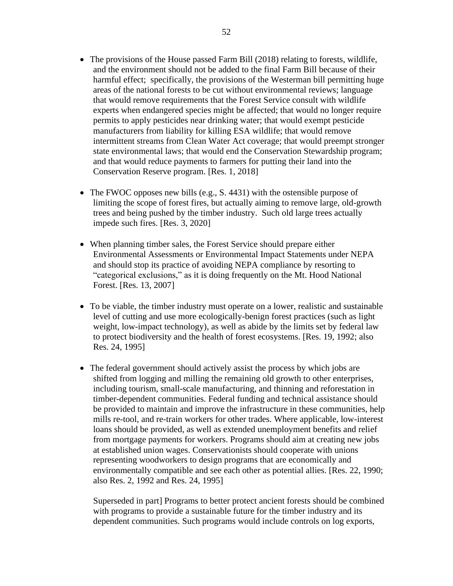- The provisions of the House passed Farm Bill (2018) relating to forests, wildlife, and the environment should not be added to the final Farm Bill because of their harmful effect; specifically, the provisions of the Westerman bill permitting huge areas of the national forests to be cut without environmental reviews; language that would remove requirements that the Forest Service consult with wildlife experts when endangered species might be affected; that would no longer require permits to apply pesticides near drinking water; that would exempt pesticide manufacturers from liability for killing ESA wildlife; that would remove intermittent streams from Clean Water Act coverage; that would preempt stronger state environmental laws; that would end the Conservation Stewardship program; and that would reduce payments to farmers for putting their land into the Conservation Reserve program. [Res. 1, 2018]
- The FWOC opposes new bills (e.g., S. 4431) with the ostensible purpose of limiting the scope of forest fires, but actually aiming to remove large, old-growth trees and being pushed by the timber industry. Such old large trees actually impede such fires. [Res. 3, 2020]
- When planning timber sales, the Forest Service should prepare either Environmental Assessments or Environmental Impact Statements under NEPA and should stop its practice of avoiding NEPA compliance by resorting to "categorical exclusions," as it is doing frequently on the Mt. Hood National Forest. [Res. 13, 2007]
- To be viable, the timber industry must operate on a lower, realistic and sustainable level of cutting and use more ecologically-benign forest practices (such as light weight, low-impact technology), as well as abide by the limits set by federal law to protect biodiversity and the health of forest ecosystems. [Res. 19, 1992; also Res. 24, 1995]
- The federal government should actively assist the process by which jobs are shifted from logging and milling the remaining old growth to other enterprises, including tourism, small-scale manufacturing, and thinning and reforestation in timber-dependent communities. Federal funding and technical assistance should be provided to maintain and improve the infrastructure in these communities, help mills re-tool, and re-train workers for other trades. Where applicable, low-interest loans should be provided, as well as extended unemployment benefits and relief from mortgage payments for workers. Programs should aim at creating new jobs at established union wages. Conservationists should cooperate with unions representing woodworkers to design programs that are economically and environmentally compatible and see each other as potential allies. [Res. 22, 1990; also Res. 2, 1992 and Res. 24, 1995]

Superseded in part] Programs to better protect ancient forests should be combined with programs to provide a sustainable future for the timber industry and its dependent communities. Such programs would include controls on log exports,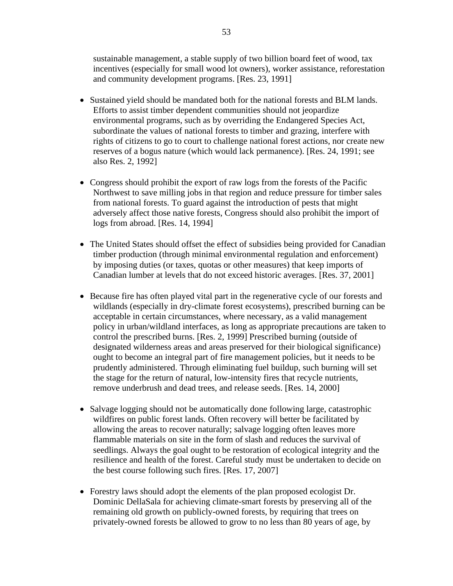sustainable management, a stable supply of two billion board feet of wood, tax incentives (especially for small wood lot owners), worker assistance, reforestation and community development programs. [Res. 23, 1991]

- Sustained yield should be mandated both for the national forests and BLM lands. Efforts to assist timber dependent communities should not jeopardize environmental programs, such as by overriding the Endangered Species Act, subordinate the values of national forests to timber and grazing, interfere with rights of citizens to go to court to challenge national forest actions, nor create new reserves of a bogus nature (which would lack permanence). [Res. 24, 1991; see also Res. 2, 1992]
- Congress should prohibit the export of raw logs from the forests of the Pacific Northwest to save milling jobs in that region and reduce pressure for timber sales from national forests. To guard against the introduction of pests that might adversely affect those native forests, Congress should also prohibit the import of logs from abroad. [Res. 14, 1994]
- The United States should offset the effect of subsidies being provided for Canadian timber production (through minimal environmental regulation and enforcement) by imposing duties (or taxes, quotas or other measures) that keep imports of Canadian lumber at levels that do not exceed historic averages. [Res. 37, 2001]
- Because fire has often played vital part in the regenerative cycle of our forests and wildlands (especially in dry-climate forest ecosystems), prescribed burning can be acceptable in certain circumstances, where necessary, as a valid management policy in urban/wildland interfaces, as long as appropriate precautions are taken to control the prescribed burns. [Res. 2, 1999] Prescribed burning (outside of designated wilderness areas and areas preserved for their biological significance) ought to become an integral part of fire management policies, but it needs to be prudently administered. Through eliminating fuel buildup, such burning will set the stage for the return of natural, low-intensity fires that recycle nutrients, remove underbrush and dead trees, and release seeds. [Res. 14, 2000]
- Salvage logging should not be automatically done following large, catastrophic wildfires on public forest lands. Often recovery will better be facilitated by allowing the areas to recover naturally; salvage logging often leaves more flammable materials on site in the form of slash and reduces the survival of seedlings. Always the goal ought to be restoration of ecological integrity and the resilience and health of the forest. Careful study must be undertaken to decide on the best course following such fires. [Res. 17, 2007]
- Forestry laws should adopt the elements of the plan proposed ecologist Dr. Dominic DellaSala for achieving climate-smart forests by preserving all of the remaining old growth on publicly-owned forests, by requiring that trees on privately-owned forests be allowed to grow to no less than 80 years of age, by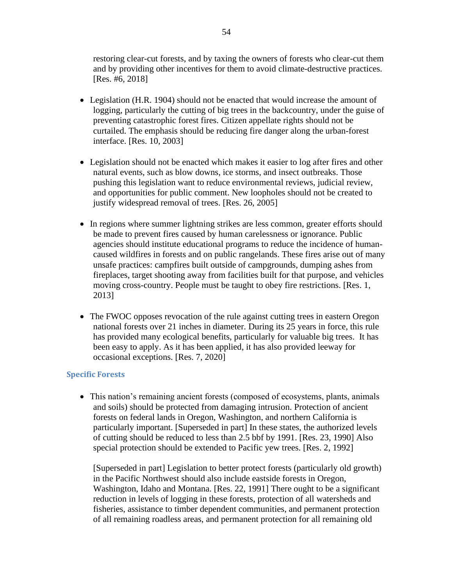restoring clear-cut forests, and by taxing the owners of forests who clear-cut them and by providing other incentives for them to avoid climate-destructive practices. [Res. #6, 2018]

- Legislation (H.R. 1904) should not be enacted that would increase the amount of logging, particularly the cutting of big trees in the backcountry, under the guise of preventing catastrophic forest fires. Citizen appellate rights should not be curtailed. The emphasis should be reducing fire danger along the urban-forest interface. [Res. 10, 2003]
- Legislation should not be enacted which makes it easier to log after fires and other natural events, such as blow downs, ice storms, and insect outbreaks. Those pushing this legislation want to reduce environmental reviews, judicial review, and opportunities for public comment. New loopholes should not be created to justify widespread removal of trees. [Res. 26, 2005]
- In regions where summer lightning strikes are less common, greater efforts should be made to prevent fires caused by human carelessness or ignorance. Public agencies should institute educational programs to reduce the incidence of humancaused wildfires in forests and on public rangelands. These fires arise out of many unsafe practices: campfires built outside of campgrounds, dumping ashes from fireplaces, target shooting away from facilities built for that purpose, and vehicles moving cross-country. People must be taught to obey fire restrictions. [Res. 1, 2013]
- The FWOC opposes revocation of the rule against cutting trees in eastern Oregon national forests over 21 inches in diameter. During its 25 years in force, this rule has provided many ecological benefits, particularly for valuable big trees. It has been easy to apply. As it has been applied, it has also provided leeway for occasional exceptions. [Res. 7, 2020]

### **Specific Forests**

• This nation's remaining ancient forests (composed of ecosystems, plants, animals and soils) should be protected from damaging intrusion. Protection of ancient forests on federal lands in Oregon, Washington, and northern California is particularly important. [Superseded in part] In these states, the authorized levels of cutting should be reduced to less than 2.5 bbf by 1991. [Res. 23, 1990] Also special protection should be extended to Pacific yew trees. [Res. 2, 1992]

[Superseded in part] Legislation to better protect forests (particularly old growth) in the Pacific Northwest should also include eastside forests in Oregon, Washington, Idaho and Montana. [Res. 22, 1991] There ought to be a significant reduction in levels of logging in these forests, protection of all watersheds and fisheries, assistance to timber dependent communities, and permanent protection of all remaining roadless areas, and permanent protection for all remaining old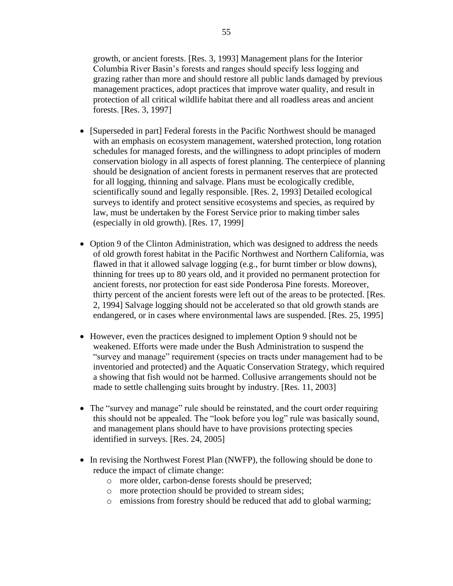growth, or ancient forests. [Res. 3, 1993] Management plans for the Interior Columbia River Basin's forests and ranges should specify less logging and grazing rather than more and should restore all public lands damaged by previous management practices, adopt practices that improve water quality, and result in protection of all critical wildlife habitat there and all roadless areas and ancient forests. [Res. 3, 1997]

- [Superseded in part] Federal forests in the Pacific Northwest should be managed with an emphasis on ecosystem management, watershed protection, long rotation schedules for managed forests, and the willingness to adopt principles of modern conservation biology in all aspects of forest planning. The centerpiece of planning should be designation of ancient forests in permanent reserves that are protected for all logging, thinning and salvage. Plans must be ecologically credible, scientifically sound and legally responsible. [Res. 2, 1993] Detailed ecological surveys to identify and protect sensitive ecosystems and species, as required by law, must be undertaken by the Forest Service prior to making timber sales (especially in old growth). [Res. 17, 1999]
- Option 9 of the Clinton Administration, which was designed to address the needs of old growth forest habitat in the Pacific Northwest and Northern California, was flawed in that it allowed salvage logging (e.g., for burnt timber or blow downs), thinning for trees up to 80 years old, and it provided no permanent protection for ancient forests, nor protection for east side Ponderosa Pine forests. Moreover, thirty percent of the ancient forests were left out of the areas to be protected. [Res. 2, 1994] Salvage logging should not be accelerated so that old growth stands are endangered, or in cases where environmental laws are suspended. [Res. 25, 1995]
- However, even the practices designed to implement Option 9 should not be weakened. Efforts were made under the Bush Administration to suspend the "survey and manage" requirement (species on tracts under management had to be inventoried and protected) and the Aquatic Conservation Strategy, which required a showing that fish would not be harmed. Collusive arrangements should not be made to settle challenging suits brought by industry. [Res. 11, 2003]
- The "survey and manage" rule should be reinstated, and the court order requiring this should not be appealed. The "look before you log" rule was basically sound, and management plans should have to have provisions protecting species identified in surveys. [Res. 24, 2005]
- In revising the Northwest Forest Plan (NWFP), the following should be done to reduce the impact of climate change:
	- o more older, carbon-dense forests should be preserved;
	- o more protection should be provided to stream sides;
	- o emissions from forestry should be reduced that add to global warming;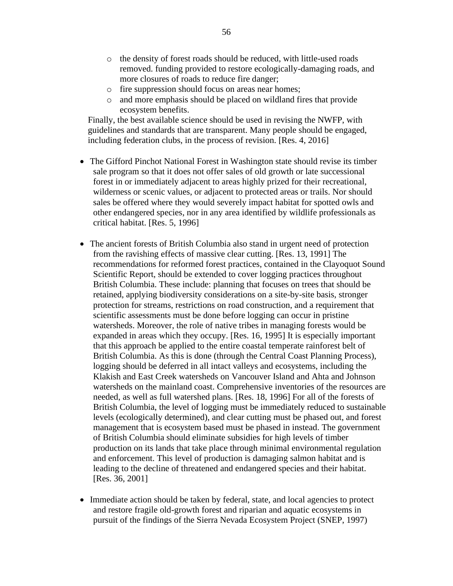- o the density of forest roads should be reduced, with little-used roads removed. funding provided to restore ecologically-damaging roads, and more closures of roads to reduce fire danger;
- o fire suppression should focus on areas near homes;
- o and more emphasis should be placed on wildland fires that provide ecosystem benefits.

Finally, the best available science should be used in revising the NWFP, with guidelines and standards that are transparent. Many people should be engaged, including federation clubs, in the process of revision. [Res. 4, 2016]

- The Gifford Pinchot National Forest in Washington state should revise its timber sale program so that it does not offer sales of old growth or late successional forest in or immediately adjacent to areas highly prized for their recreational, wilderness or scenic values, or adjacent to protected areas or trails. Nor should sales be offered where they would severely impact habitat for spotted owls and other endangered species, nor in any area identified by wildlife professionals as critical habitat. [Res. 5, 1996]
- The ancient forests of British Columbia also stand in urgent need of protection from the ravishing effects of massive clear cutting. [Res. 13, 1991] The recommendations for reformed forest practices, contained in the Clayoquot Sound Scientific Report, should be extended to cover logging practices throughout British Columbia. These include: planning that focuses on trees that should be retained, applying biodiversity considerations on a site-by-site basis, stronger protection for streams, restrictions on road construction, and a requirement that scientific assessments must be done before logging can occur in pristine watersheds. Moreover, the role of native tribes in managing forests would be expanded in areas which they occupy. [Res. 16, 1995] It is especially important that this approach be applied to the entire coastal temperate rainforest belt of British Columbia. As this is done (through the Central Coast Planning Process), logging should be deferred in all intact valleys and ecosystems, including the Klakish and East Creek watersheds on Vancouver Island and Ahta and Johnson watersheds on the mainland coast. Comprehensive inventories of the resources are needed, as well as full watershed plans. [Res. 18, 1996] For all of the forests of British Columbia, the level of logging must be immediately reduced to sustainable levels (ecologically determined), and clear cutting must be phased out, and forest management that is ecosystem based must be phased in instead. The government of British Columbia should eliminate subsidies for high levels of timber production on its lands that take place through minimal environmental regulation and enforcement. This level of production is damaging salmon habitat and is leading to the decline of threatened and endangered species and their habitat. [Res. 36, 2001]
- Immediate action should be taken by federal, state, and local agencies to protect and restore fragile old-growth forest and riparian and aquatic ecosystems in pursuit of the findings of the Sierra Nevada Ecosystem Project (SNEP, 1997)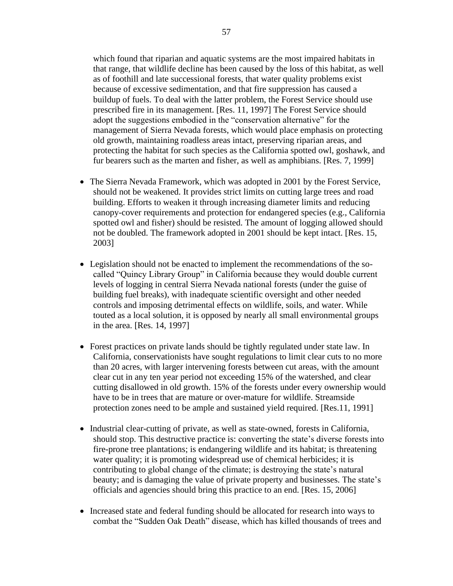which found that riparian and aquatic systems are the most impaired habitats in that range, that wildlife decline has been caused by the loss of this habitat, as well as of foothill and late successional forests, that water quality problems exist because of excessive sedimentation, and that fire suppression has caused a buildup of fuels. To deal with the latter problem, the Forest Service should use prescribed fire in its management. [Res. 11, 1997] The Forest Service should adopt the suggestions embodied in the "conservation alternative" for the management of Sierra Nevada forests, which would place emphasis on protecting old growth, maintaining roadless areas intact, preserving riparian areas, and protecting the habitat for such species as the California spotted owl, goshawk, and fur bearers such as the marten and fisher, as well as amphibians. [Res. 7, 1999]

- The Sierra Nevada Framework, which was adopted in 2001 by the Forest Service, should not be weakened. It provides strict limits on cutting large trees and road building. Efforts to weaken it through increasing diameter limits and reducing canopy-cover requirements and protection for endangered species (e.g., California spotted owl and fisher) should be resisted. The amount of logging allowed should not be doubled. The framework adopted in 2001 should be kept intact. [Res. 15, 2003]
- Legislation should not be enacted to implement the recommendations of the socalled "Quincy Library Group" in California because they would double current levels of logging in central Sierra Nevada national forests (under the guise of building fuel breaks), with inadequate scientific oversight and other needed controls and imposing detrimental effects on wildlife, soils, and water. While touted as a local solution, it is opposed by nearly all small environmental groups in the area. [Res. 14, 1997]
- Forest practices on private lands should be tightly regulated under state law. In California, conservationists have sought regulations to limit clear cuts to no more than 20 acres, with larger intervening forests between cut areas, with the amount clear cut in any ten year period not exceeding 15% of the watershed, and clear cutting disallowed in old growth. 15% of the forests under every ownership would have to be in trees that are mature or over-mature for wildlife. Streamside protection zones need to be ample and sustained yield required. [Res.11, 1991]
- Industrial clear-cutting of private, as well as state-owned, forests in California, should stop. This destructive practice is: converting the state's diverse forests into fire-prone tree plantations; is endangering wildlife and its habitat; is threatening water quality; it is promoting widespread use of chemical herbicides; it is contributing to global change of the climate; is destroying the state's natural beauty; and is damaging the value of private property and businesses. The state's officials and agencies should bring this practice to an end. [Res. 15, 2006]
- Increased state and federal funding should be allocated for research into ways to combat the "Sudden Oak Death" disease, which has killed thousands of trees and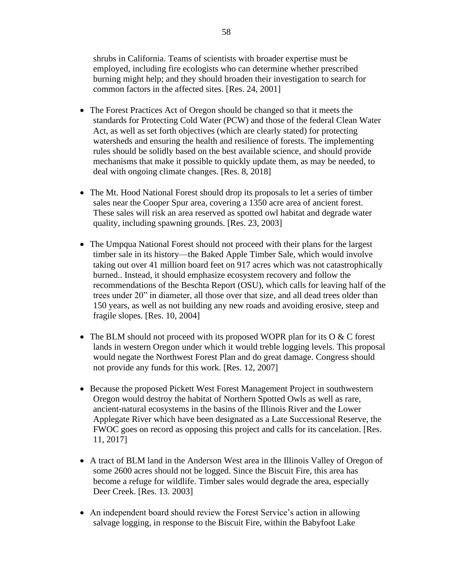shrubs in California. Teams of scientists with broader expertise must be employed, including fire ecologists who can determine whether prescribed burning might help; and they should broaden their investigation to search for common factors in the affected sites. [Res. 24, 2001]

- The Forest Practices Act of Oregon should be changed so that it meets the standards for Protecting Cold Water (PCW) and those of the federal Clean Water Act, as well as set forth objectives (which are clearly stated) for protecting watersheds and ensuring the health and resilience of forests. The implementing rules should be solidly based on the best available science, and should provide mechanisms that make it possible to quickly update them, as may be needed, to deal with ongoing climate changes. [Res. 8, 2018]
- The Mt. Hood National Forest should drop its proposals to let a series of timber sales near the Cooper Spur area, covering a 1350 acre area of ancient forest. These sales will risk an area reserved as spotted owl habitat and degrade water quality, including spawning grounds. [Res. 23, 2003]
- The Umpqua National Forest should not proceed with their plans for the largest timber sale in its history—the Baked Apple Timber Sale, which would involve taking out over 41 million board feet on 917 acres which was not catastrophically burned.. Instead, it should emphasize ecosystem recovery and follow the recommendations of the Beschta Report (OSU), which calls for leaving half of the trees under 20" in diameter, all those over that size, and all dead trees older than 150 years, as well as not building any new roads and avoiding erosive, steep and fragile slopes. [Res. 10, 2004]
- The BLM should not proceed with its proposed WOPR plan for its  $O & C$  forest lands in western Oregon under which it would treble logging levels. This proposal would negate the Northwest Forest Plan and do great damage. Congress should not provide any funds for this work. [Res. 12, 2007]
- Because the proposed Pickett West Forest Management Project in southwestern Oregon would destroy the habitat of Northern Spotted Owls as well as rare, ancient-natural ecosystems in the basins of the Illinois River and the Lower Applegate River which have been designated as a Late Successional Reserve, the FWOC goes on record as opposing this project and calls for its cancelation. [Res. 11, 2017]
- A tract of BLM land in the Anderson West area in the Illinois Valley of Oregon of some 2600 acres should not be logged. Since the Biscuit Fire, this area has become a refuge for wildlife. Timber sales would degrade the area, especially Deer Creek. [Res. 13. 2003]
- An independent board should review the Forest Service's action in allowing salvage logging, in response to the Biscuit Fire, within the Babyfoot Lake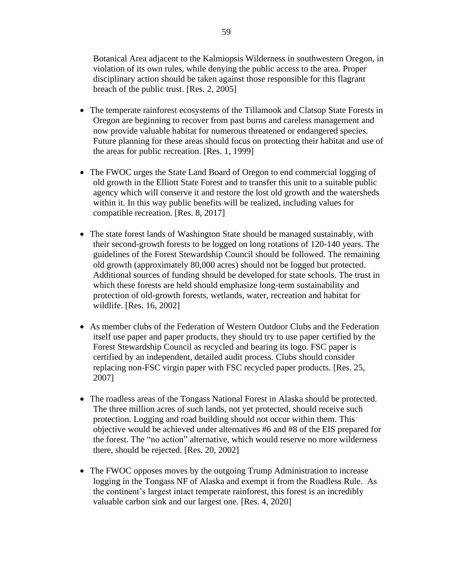Botanical Area adjacent to the Kalmiopsis Wilderness in southwestern Oregon, in violation of its own rules, while denying the public access to the area. Proper disciplinary action should be taken against those responsible for this flagrant breach of the public trust. [Res. 2, 2005]

- The temperate rainforest ecosystems of the Tillamook and Clatsop State Forests in Oregon are beginning to recover from past burns and careless management and now provide valuable habitat for numerous threatened or endangered species. Future planning for these areas should focus on protecting their habitat and use of the areas for public recreation. [Res. 1, 1999]
- The FWOC urges the State Land Board of Oregon to end commercial logging of old growth in the Elliott State Forest and to transfer this unit to a suitable public agency which will conserve it and restore the lost old growth and the watersheds within it. In this way public benefits will be realized, including values for compatible recreation. [Res. 8, 2017]
- The state forest lands of Washington State should be managed sustainably, with their second-growth forests to be logged on long rotations of 120-140 years. The guidelines of the Forest Stewardship Council should be followed. The remaining old growth (approximately 80,000 acres) should not be logged but protected. Additional sources of funding should be developed for state schools. The trust in which these forests are held should emphasize long-term sustainability and protection of old-growth forests, wetlands, water, recreation and habitat for wildlife. [Res. 16, 2002]
- As member clubs of the Federation of Western Outdoor Clubs and the Federation itself use paper and paper products, they should try to use paper certified by the Forest Stewardship Council as recycled and bearing its logo. FSC paper is certified by an independent, detailed audit process. Clubs should consider replacing non-FSC virgin paper with FSC recycled paper products. [Res. 25, 2007]
- The roadless areas of the Tongass National Forest in Alaska should be protected. The three million acres of such lands, not yet protected, should receive such protection. Logging and road building should not occur within them. This objective would be achieved under alternatives #6 and #8 of the EIS prepared for the forest. The "no action" alternative, which would reserve no more wilderness there, should be rejected. [Res. 20, 2002]
- The FWOC opposes moves by the outgoing Trump Administration to increase logging in the Tongass NF of Alaska and exempt it from the Roadless Rule. As the continent's largest intact temperate rainforest, this forest is an incredibly valuable carbon sink and our largest one. [Res. 4, 2020]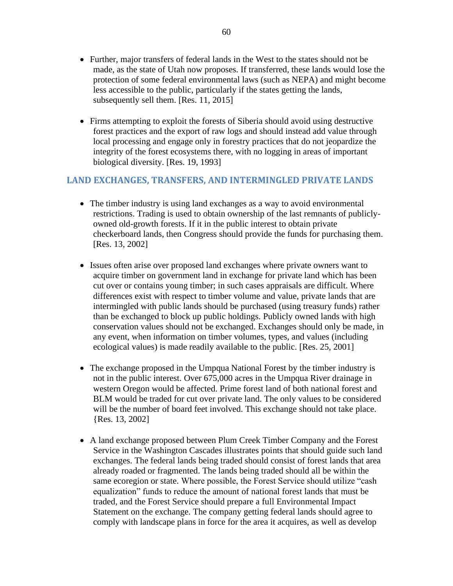- Further, major transfers of federal lands in the West to the states should not be made, as the state of Utah now proposes. If transferred, these lands would lose the protection of some federal environmental laws (such as NEPA) and might become less accessible to the public, particularly if the states getting the lands, subsequently sell them. [Res. 11, 2015]
- Firms attempting to exploit the forests of Siberia should avoid using destructive forest practices and the export of raw logs and should instead add value through local processing and engage only in forestry practices that do not jeopardize the integrity of the forest ecosystems there, with no logging in areas of important biological diversity. [Res. 19, 1993]

## **LAND EXCHANGES, TRANSFERS, AND INTERMINGLED PRIVATE LANDS**

- The timber industry is using land exchanges as a way to avoid environmental restrictions. Trading is used to obtain ownership of the last remnants of publiclyowned old-growth forests. If it in the public interest to obtain private checkerboard lands, then Congress should provide the funds for purchasing them. [Res. 13, 2002]
- Issues often arise over proposed land exchanges where private owners want to acquire timber on government land in exchange for private land which has been cut over or contains young timber; in such cases appraisals are difficult. Where differences exist with respect to timber volume and value, private lands that are intermingled with public lands should be purchased (using treasury funds) rather than be exchanged to block up public holdings. Publicly owned lands with high conservation values should not be exchanged. Exchanges should only be made, in any event, when information on timber volumes, types, and values (including ecological values) is made readily available to the public. [Res. 25, 2001]
- The exchange proposed in the Umpqua National Forest by the timber industry is not in the public interest. Over 675,000 acres in the Umpqua River drainage in western Oregon would be affected. Prime forest land of both national forest and BLM would be traded for cut over private land. The only values to be considered will be the number of board feet involved. This exchange should not take place. {Res. 13, 2002]
- A land exchange proposed between Plum Creek Timber Company and the Forest Service in the Washington Cascades illustrates points that should guide such land exchanges. The federal lands being traded should consist of forest lands that area already roaded or fragmented. The lands being traded should all be within the same ecoregion or state. Where possible, the Forest Service should utilize "cash equalization" funds to reduce the amount of national forest lands that must be traded, and the Forest Service should prepare a full Environmental Impact Statement on the exchange. The company getting federal lands should agree to comply with landscape plans in force for the area it acquires, as well as develop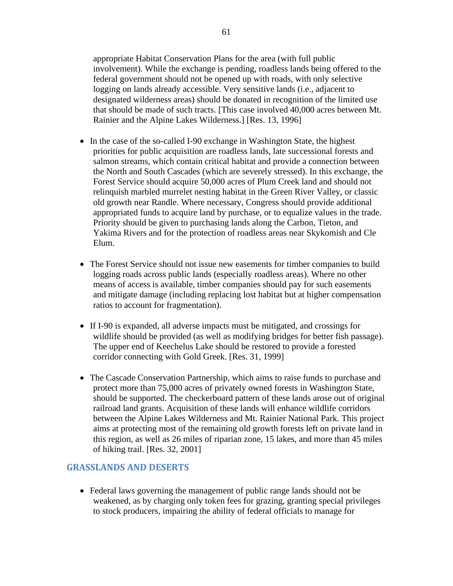appropriate Habitat Conservation Plans for the area (with full public involvement). While the exchange is pending, roadless lands being offered to the federal government should not be opened up with roads, with only selective logging on lands already accessible. Very sensitive lands (i.e., adjacent to designated wilderness areas) should be donated in recognition of the limited use that should be made of such tracts. [This case involved 40,000 acres between Mt. Rainier and the Alpine Lakes Wilderness.] [Res. 13, 1996]

- In the case of the so-called I-90 exchange in Washington State, the highest priorities for public acquisition are roadless lands, late successional forests and salmon streams, which contain critical habitat and provide a connection between the North and South Cascades (which are severely stressed). In this exchange, the Forest Service should acquire 50,000 acres of Plum Creek land and should not relinquish marbled murrelet nesting habitat in the Green River Valley, or classic old growth near Randle. Where necessary, Congress should provide additional appropriated funds to acquire land by purchase, or to equalize values in the trade. Priority should be given to purchasing lands along the Carbon, Tieton, and Yakima Rivers and for the protection of roadless areas near Skykomish and Cle Elum.
- The Forest Service should not issue new easements for timber companies to build logging roads across public lands (especially roadless areas). Where no other means of access is available, timber companies should pay for such easements and mitigate damage (including replacing lost habitat but at higher compensation ratios to account for fragmentation).
- If I-90 is expanded, all adverse impacts must be mitigated, and crossings for wildlife should be provided (as well as modifying bridges for better fish passage). The upper end of Keechelus Lake should be restored to provide a forested corridor connecting with Gold Greek. [Res. 31, 1999]
- The Cascade Conservation Partnership, which aims to raise funds to purchase and protect more than 75,000 acres of privately owned forests in Washington State, should be supported. The checkerboard pattern of these lands arose out of original railroad land grants. Acquisition of these lands will enhance wildlife corridors between the Alpine Lakes Wilderness and Mt. Rainier National Park. This project aims at protecting most of the remaining old growth forests left on private land in this region, as well as 26 miles of riparian zone, 15 lakes, and more than 45 miles of hiking trail. [Res. 32, 2001]

### **GRASSLANDS AND DESERTS**

• Federal laws governing the management of public range lands should not be weakened, as by charging only token fees for grazing, granting special privileges to stock producers, impairing the ability of federal officials to manage for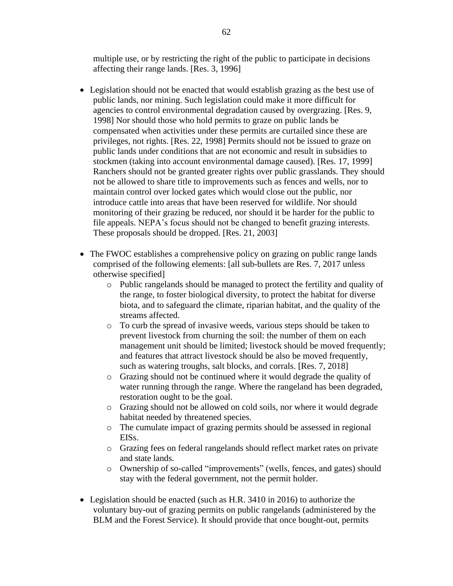multiple use, or by restricting the right of the public to participate in decisions affecting their range lands. [Res. 3, 1996]

- Legislation should not be enacted that would establish grazing as the best use of public lands, nor mining. Such legislation could make it more difficult for agencies to control environmental degradation caused by overgrazing. [Res. 9, 1998] Nor should those who hold permits to graze on public lands be compensated when activities under these permits are curtailed since these are privileges, not rights. [Res. 22, 1998] Permits should not be issued to graze on public lands under conditions that are not economic and result in subsidies to stockmen (taking into account environmental damage caused). [Res. 17, 1999] Ranchers should not be granted greater rights over public grasslands. They should not be allowed to share title to improvements such as fences and wells, nor to maintain control over locked gates which would close out the public, nor introduce cattle into areas that have been reserved for wildlife. Nor should monitoring of their grazing be reduced, nor should it be harder for the public to file appeals. NEPA's focus should not be changed to benefit grazing interests. These proposals should be dropped. [Res. 21, 2003]
- The FWOC establishes a comprehensive policy on grazing on public range lands comprised of the following elements: [all sub-bullets are Res. 7, 2017 unless otherwise specified]
	- o Public rangelands should be managed to protect the fertility and quality of the range, to foster biological diversity, to protect the habitat for diverse biota, and to safeguard the climate, riparian habitat, and the quality of the streams affected.
	- o To curb the spread of invasive weeds, various steps should be taken to prevent livestock from churning the soil: the number of them on each management unit should be limited; livestock should be moved frequently; and features that attract livestock should be also be moved frequently, such as watering troughs, salt blocks, and corrals. [Res. 7, 2018]
	- o Grazing should not be continued where it would degrade the quality of water running through the range. Where the rangeland has been degraded, restoration ought to be the goal.
	- o Grazing should not be allowed on cold soils, nor where it would degrade habitat needed by threatened species.
	- o The cumulate impact of grazing permits should be assessed in regional EISs.
	- o Grazing fees on federal rangelands should reflect market rates on private and state lands.
	- o Ownership of so-called "improvements" (wells, fences, and gates) should stay with the federal government, not the permit holder.
- Legislation should be enacted (such as H.R. 3410 in 2016) to authorize the voluntary buy-out of grazing permits on public rangelands (administered by the BLM and the Forest Service). It should provide that once bought-out, permits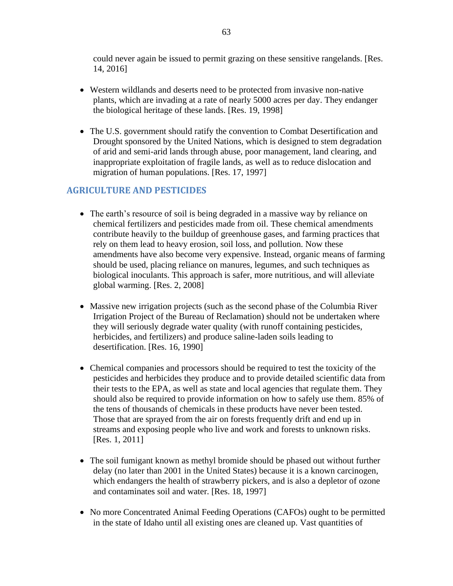could never again be issued to permit grazing on these sensitive rangelands. [Res. 14, 2016]

- Western wildlands and deserts need to be protected from invasive non-native plants, which are invading at a rate of nearly 5000 acres per day. They endanger the biological heritage of these lands. [Res. 19, 1998]
- The U.S. government should ratify the convention to Combat Desertification and Drought sponsored by the United Nations, which is designed to stem degradation of arid and semi-arid lands through abuse, poor management, land clearing, and inappropriate exploitation of fragile lands, as well as to reduce dislocation and migration of human populations. [Res. 17, 1997]

## **AGRICULTURE AND PESTICIDES**

- The earth's resource of soil is being degraded in a massive way by reliance on chemical fertilizers and pesticides made from oil. These chemical amendments contribute heavily to the buildup of greenhouse gases, and farming practices that rely on them lead to heavy erosion, soil loss, and pollution. Now these amendments have also become very expensive. Instead, organic means of farming should be used, placing reliance on manures, legumes, and such techniques as biological inoculants. This approach is safer, more nutritious, and will alleviate global warming. [Res. 2, 2008]
- Massive new irrigation projects (such as the second phase of the Columbia River Irrigation Project of the Bureau of Reclamation) should not be undertaken where they will seriously degrade water quality (with runoff containing pesticides, herbicides, and fertilizers) and produce saline-laden soils leading to desertification. [Res. 16, 1990]
- Chemical companies and processors should be required to test the toxicity of the pesticides and herbicides they produce and to provide detailed scientific data from their tests to the EPA, as well as state and local agencies that regulate them. They should also be required to provide information on how to safely use them. 85% of the tens of thousands of chemicals in these products have never been tested. Those that are sprayed from the air on forests frequently drift and end up in streams and exposing people who live and work and forests to unknown risks. [Res. 1, 2011]
- The soil fumigant known as methyl bromide should be phased out without further delay (no later than 2001 in the United States) because it is a known carcinogen, which endangers the health of strawberry pickers, and is also a depletor of ozone and contaminates soil and water. [Res. 18, 1997]
- No more Concentrated Animal Feeding Operations (CAFOs) ought to be permitted in the state of Idaho until all existing ones are cleaned up. Vast quantities of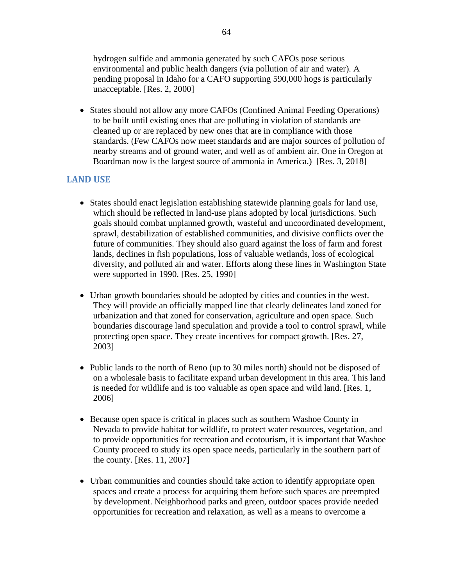hydrogen sulfide and ammonia generated by such CAFOs pose serious environmental and public health dangers (via pollution of air and water). A pending proposal in Idaho for a CAFO supporting 590,000 hogs is particularly unacceptable. [Res. 2, 2000]

• States should not allow any more CAFOs (Confined Animal Feeding Operations) to be built until existing ones that are polluting in violation of standards are cleaned up or are replaced by new ones that are in compliance with those standards. (Few CAFOs now meet standards and are major sources of pollution of nearby streams and of ground water, and well as of ambient air. One in Oregon at Boardman now is the largest source of ammonia in America.) [Res. 3, 2018]

## **LAND USE**

- States should enact legislation establishing statewide planning goals for land use, which should be reflected in land-use plans adopted by local jurisdictions. Such goals should combat unplanned growth, wasteful and uncoordinated development, sprawl, destabilization of established communities, and divisive conflicts over the future of communities. They should also guard against the loss of farm and forest lands, declines in fish populations, loss of valuable wetlands, loss of ecological diversity, and polluted air and water. Efforts along these lines in Washington State were supported in 1990. [Res. 25, 1990]
- Urban growth boundaries should be adopted by cities and counties in the west. They will provide an officially mapped line that clearly delineates land zoned for urbanization and that zoned for conservation, agriculture and open space. Such boundaries discourage land speculation and provide a tool to control sprawl, while protecting open space. They create incentives for compact growth. [Res. 27, 2003]
- Public lands to the north of Reno (up to 30 miles north) should not be disposed of on a wholesale basis to facilitate expand urban development in this area. This land is needed for wildlife and is too valuable as open space and wild land. [Res. 1, 2006]
- Because open space is critical in places such as southern Washoe County in Nevada to provide habitat for wildlife, to protect water resources, vegetation, and to provide opportunities for recreation and ecotourism, it is important that Washoe County proceed to study its open space needs, particularly in the southern part of the county. [Res. 11, 2007]
- Urban communities and counties should take action to identify appropriate open spaces and create a process for acquiring them before such spaces are preempted by development. Neighborhood parks and green, outdoor spaces provide needed opportunities for recreation and relaxation, as well as a means to overcome a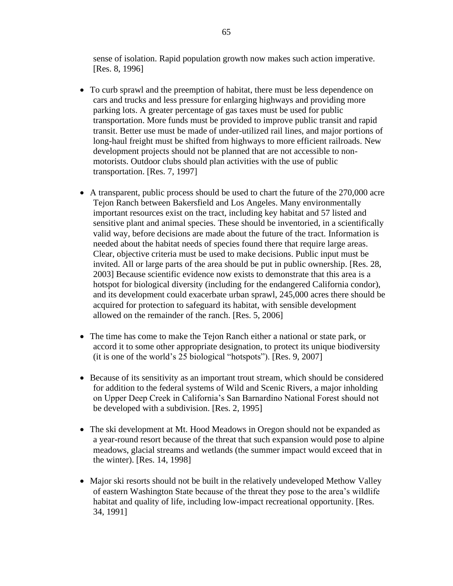sense of isolation. Rapid population growth now makes such action imperative. [Res. 8, 1996]

- To curb sprawl and the preemption of habitat, there must be less dependence on cars and trucks and less pressure for enlarging highways and providing more parking lots. A greater percentage of gas taxes must be used for public transportation. More funds must be provided to improve public transit and rapid transit. Better use must be made of under-utilized rail lines, and major portions of long-haul freight must be shifted from highways to more efficient railroads. New development projects should not be planned that are not accessible to nonmotorists. Outdoor clubs should plan activities with the use of public transportation. [Res. 7, 1997]
- A transparent, public process should be used to chart the future of the 270,000 acre Tejon Ranch between Bakersfield and Los Angeles. Many environmentally important resources exist on the tract, including key habitat and 57 listed and sensitive plant and animal species. These should be inventoried, in a scientifically valid way, before decisions are made about the future of the tract. Information is needed about the habitat needs of species found there that require large areas. Clear, objective criteria must be used to make decisions. Public input must be invited. All or large parts of the area should be put in public ownership. [Res. 28, 2003] Because scientific evidence now exists to demonstrate that this area is a hotspot for biological diversity (including for the endangered California condor), and its development could exacerbate urban sprawl, 245,000 acres there should be acquired for protection to safeguard its habitat, with sensible development allowed on the remainder of the ranch. [Res. 5, 2006]
- The time has come to make the Tejon Ranch either a national or state park, or accord it to some other appropriate designation, to protect its unique biodiversity (it is one of the world's 25 biological "hotspots"). [Res. 9, 2007]
- Because of its sensitivity as an important trout stream, which should be considered for addition to the federal systems of Wild and Scenic Rivers, a major inholding on Upper Deep Creek in California's San Barnardino National Forest should not be developed with a subdivision. [Res. 2, 1995]
- The ski development at Mt. Hood Meadows in Oregon should not be expanded as a year-round resort because of the threat that such expansion would pose to alpine meadows, glacial streams and wetlands (the summer impact would exceed that in the winter). [Res. 14, 1998]
- Major ski resorts should not be built in the relatively undeveloped Methow Valley of eastern Washington State because of the threat they pose to the area's wildlife habitat and quality of life, including low-impact recreational opportunity. [Res. 34, 1991]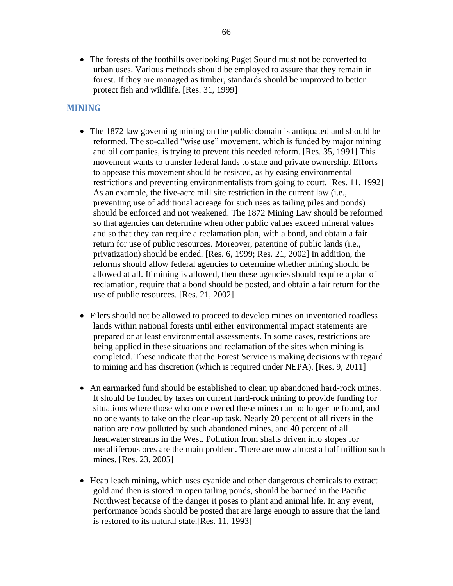• The forests of the foothills overlooking Puget Sound must not be converted to urban uses. Various methods should be employed to assure that they remain in forest. If they are managed as timber, standards should be improved to better protect fish and wildlife. [Res. 31, 1999]

## **MINING**

- The 1872 law governing mining on the public domain is antiquated and should be reformed. The so-called "wise use" movement, which is funded by major mining and oil companies, is trying to prevent this needed reform. [Res. 35, 1991] This movement wants to transfer federal lands to state and private ownership. Efforts to appease this movement should be resisted, as by easing environmental restrictions and preventing environmentalists from going to court. [Res. 11, 1992] As an example, the five-acre mill site restriction in the current law (i.e., preventing use of additional acreage for such uses as tailing piles and ponds) should be enforced and not weakened. The 1872 Mining Law should be reformed so that agencies can determine when other public values exceed mineral values and so that they can require a reclamation plan, with a bond, and obtain a fair return for use of public resources. Moreover, patenting of public lands (i.e., privatization) should be ended. [Res. 6, 1999; Res. 21, 2002] In addition, the reforms should allow federal agencies to determine whether mining should be allowed at all. If mining is allowed, then these agencies should require a plan of reclamation, require that a bond should be posted, and obtain a fair return for the use of public resources. [Res. 21, 2002]
- Filers should not be allowed to proceed to develop mines on inventoried roadless lands within national forests until either environmental impact statements are prepared or at least environmental assessments. In some cases, restrictions are being applied in these situations and reclamation of the sites when mining is completed. These indicate that the Forest Service is making decisions with regard to mining and has discretion (which is required under NEPA). [Res. 9, 2011]
- An earmarked fund should be established to clean up abandoned hard-rock mines. It should be funded by taxes on current hard-rock mining to provide funding for situations where those who once owned these mines can no longer be found, and no one wants to take on the clean-up task. Nearly 20 percent of all rivers in the nation are now polluted by such abandoned mines, and 40 percent of all headwater streams in the West. Pollution from shafts driven into slopes for metalliferous ores are the main problem. There are now almost a half million such mines. [Res. 23, 2005]
- Heap leach mining, which uses cyanide and other dangerous chemicals to extract gold and then is stored in open tailing ponds, should be banned in the Pacific Northwest because of the danger it poses to plant and animal life. In any event, performance bonds should be posted that are large enough to assure that the land is restored to its natural state.[Res. 11, 1993]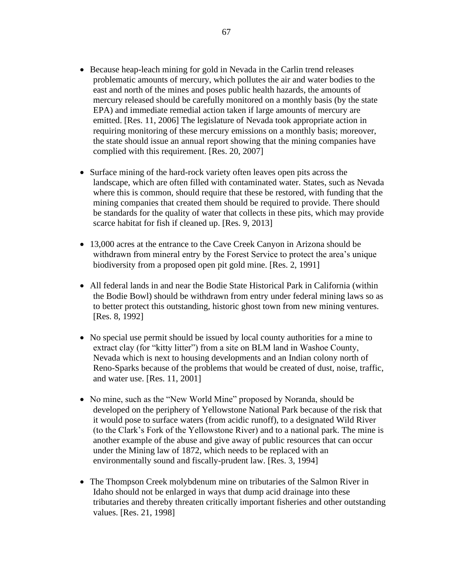- Because heap-leach mining for gold in Nevada in the Carlin trend releases problematic amounts of mercury, which pollutes the air and water bodies to the east and north of the mines and poses public health hazards, the amounts of mercury released should be carefully monitored on a monthly basis (by the state EPA) and immediate remedial action taken if large amounts of mercury are emitted. [Res. 11, 2006] The legislature of Nevada took appropriate action in requiring monitoring of these mercury emissions on a monthly basis; moreover, the state should issue an annual report showing that the mining companies have complied with this requirement. [Res. 20, 2007]
- Surface mining of the hard-rock variety often leaves open pits across the landscape, which are often filled with contaminated water. States, such as Nevada where this is common, should require that these be restored, with funding that the mining companies that created them should be required to provide. There should be standards for the quality of water that collects in these pits, which may provide scarce habitat for fish if cleaned up. [Res. 9, 2013]
- 13,000 acres at the entrance to the Cave Creek Canyon in Arizona should be withdrawn from mineral entry by the Forest Service to protect the area's unique biodiversity from a proposed open pit gold mine. [Res. 2, 1991]
- All federal lands in and near the Bodie State Historical Park in California (within the Bodie Bowl) should be withdrawn from entry under federal mining laws so as to better protect this outstanding, historic ghost town from new mining ventures. [Res. 8, 1992]
- No special use permit should be issued by local county authorities for a mine to extract clay (for "kitty litter") from a site on BLM land in Washoe County, Nevada which is next to housing developments and an Indian colony north of Reno-Sparks because of the problems that would be created of dust, noise, traffic, and water use. [Res. 11, 2001]
- No mine, such as the "New World Mine" proposed by Noranda, should be developed on the periphery of Yellowstone National Park because of the risk that it would pose to surface waters (from acidic runoff), to a designated Wild River (to the Clark's Fork of the Yellowstone River) and to a national park. The mine is another example of the abuse and give away of public resources that can occur under the Mining law of 1872, which needs to be replaced with an environmentally sound and fiscally-prudent law. [Res. 3, 1994]
- The Thompson Creek molybdenum mine on tributaries of the Salmon River in Idaho should not be enlarged in ways that dump acid drainage into these tributaries and thereby threaten critically important fisheries and other outstanding values. [Res. 21, 1998]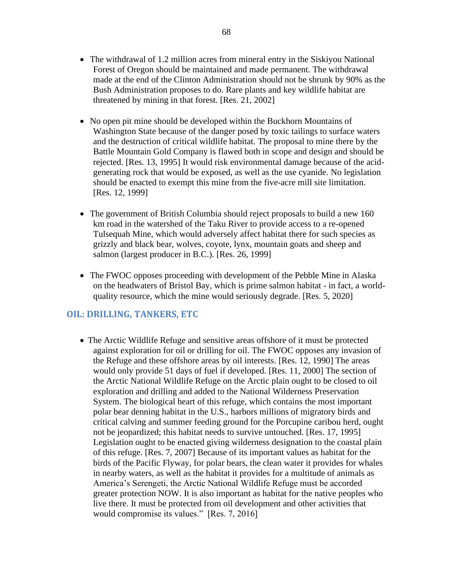- The withdrawal of 1.2 million acres from mineral entry in the Siskiyou National Forest of Oregon should be maintained and made permanent. The withdrawal made at the end of the Clinton Administration should not be shrunk by 90% as the Bush Administration proposes to do. Rare plants and key wildlife habitat are threatened by mining in that forest. [Res. 21, 2002]
- No open pit mine should be developed within the Buckhorn Mountains of Washington State because of the danger posed by toxic tailings to surface waters and the destruction of critical wildlife habitat. The proposal to mine there by the Battle Mountain Gold Company is flawed both in scope and design and should be rejected. [Res. 13, 1995] It would risk environmental damage because of the acidgenerating rock that would be exposed, as well as the use cyanide. No legislation should be enacted to exempt this mine from the five-acre mill site limitation. [Res. 12, 1999]
- The government of British Columbia should reject proposals to build a new 160 km road in the watershed of the Taku River to provide access to a re-opened Tulsequah Mine, which would adversely affect habitat there for such species as grizzly and black bear, wolves, coyote, lynx, mountain goats and sheep and salmon (largest producer in B.C.). [Res. 26, 1999]
- The FWOC opposes proceeding with development of the Pebble Mine in Alaska on the headwaters of Bristol Bay, which is prime salmon habitat - in fact, a worldquality resource, which the mine would seriously degrade. [Res. 5, 2020]

## **OIL: DRILLING, TANKERS, ETC**

• The Arctic Wildlife Refuge and sensitive areas offshore of it must be protected against exploration for oil or drilling for oil. The FWOC opposes any invasion of the Refuge and these offshore areas by oil interests. [Res. 12, 1990] The areas would only provide 51 days of fuel if developed. [Res. 11, 2000] The section of the Arctic National Wildlife Refuge on the Arctic plain ought to be closed to oil exploration and drilling and added to the National Wilderness Preservation System. The biological heart of this refuge, which contains the most important polar bear denning habitat in the U.S., harbors millions of migratory birds and critical calving and summer feeding ground for the Porcupine caribou herd, ought not be jeopardized; this habitat needs to survive untouched. [Res. 17, 1995] Legislation ought to be enacted giving wilderness designation to the coastal plain of this refuge. [Res. 7, 2007] Because of its important values as habitat for the birds of the Pacific Flyway, for polar bears, the clean water it provides for whales in nearby waters, as well as the habitat it provides for a multitude of animals as America's Serengeti, the Arctic National Wildlife Refuge must be accorded greater protection NOW. It is also important as habitat for the native peoples who live there. It must be protected from oil development and other activities that would compromise its values." [Res. 7, 2016]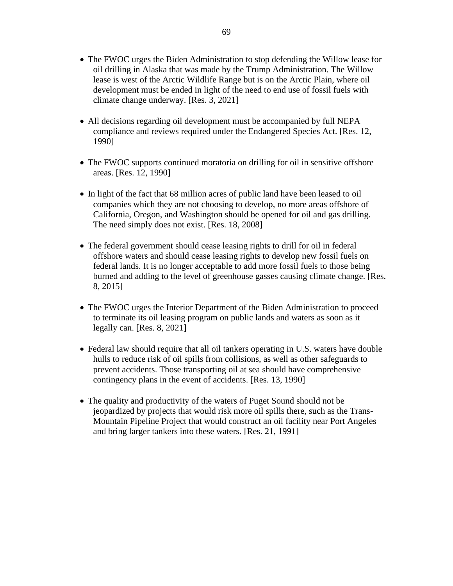- The FWOC urges the Biden Administration to stop defending the Willow lease for oil drilling in Alaska that was made by the Trump Administration. The Willow lease is west of the Arctic Wildlife Range but is on the Arctic Plain, where oil development must be ended in light of the need to end use of fossil fuels with climate change underway. [Res. 3, 2021]
- All decisions regarding oil development must be accompanied by full NEPA compliance and reviews required under the Endangered Species Act. [Res. 12, 1990]
- The FWOC supports continued moratoria on drilling for oil in sensitive offshore areas. [Res. 12, 1990]
- In light of the fact that 68 million acres of public land have been leased to oil companies which they are not choosing to develop, no more areas offshore of California, Oregon, and Washington should be opened for oil and gas drilling. The need simply does not exist. [Res. 18, 2008]
- The federal government should cease leasing rights to drill for oil in federal offshore waters and should cease leasing rights to develop new fossil fuels on federal lands. It is no longer acceptable to add more fossil fuels to those being burned and adding to the level of greenhouse gasses causing climate change. [Res. 8, 2015]
- The FWOC urges the Interior Department of the Biden Administration to proceed to terminate its oil leasing program on public lands and waters as soon as it legally can. [Res. 8, 2021]
- Federal law should require that all oil tankers operating in U.S. waters have double hulls to reduce risk of oil spills from collisions, as well as other safeguards to prevent accidents. Those transporting oil at sea should have comprehensive contingency plans in the event of accidents. [Res. 13, 1990]
- The quality and productivity of the waters of Puget Sound should not be jeopardized by projects that would risk more oil spills there, such as the Trans-Mountain Pipeline Project that would construct an oil facility near Port Angeles and bring larger tankers into these waters. [Res. 21, 1991]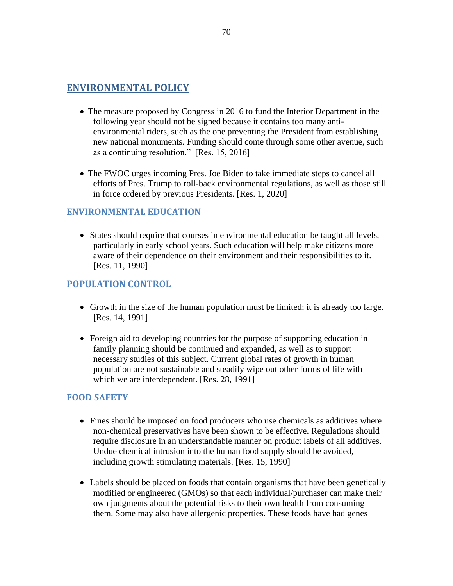## **ENVIRONMENTAL POLICY**

- The measure proposed by Congress in 2016 to fund the Interior Department in the following year should not be signed because it contains too many antienvironmental riders, such as the one preventing the President from establishing new national monuments. Funding should come through some other avenue, such as a continuing resolution." [Res. 15, 2016]
- The FWOC urges incoming Pres. Joe Biden to take immediate steps to cancel all efforts of Pres. Trump to roll-back environmental regulations, as well as those still in force ordered by previous Presidents. [Res. 1, 2020]

### **ENVIRONMENTAL EDUCATION**

• States should require that courses in environmental education be taught all levels, particularly in early school years. Such education will help make citizens more aware of their dependence on their environment and their responsibilities to it. [Res. 11, 1990]

## **POPULATION CONTROL**

- Growth in the size of the human population must be limited; it is already too large. [Res. 14, 1991]
- Foreign aid to developing countries for the purpose of supporting education in family planning should be continued and expanded, as well as to support necessary studies of this subject. Current global rates of growth in human population are not sustainable and steadily wipe out other forms of life with which we are interdependent. [Res. 28, 1991]

### **FOOD SAFETY**

- Fines should be imposed on food producers who use chemicals as additives where non-chemical preservatives have been shown to be effective. Regulations should require disclosure in an understandable manner on product labels of all additives. Undue chemical intrusion into the human food supply should be avoided, including growth stimulating materials. [Res. 15, 1990]
- Labels should be placed on foods that contain organisms that have been genetically modified or engineered (GMOs) so that each individual/purchaser can make their own judgments about the potential risks to their own health from consuming them. Some may also have allergenic properties. These foods have had genes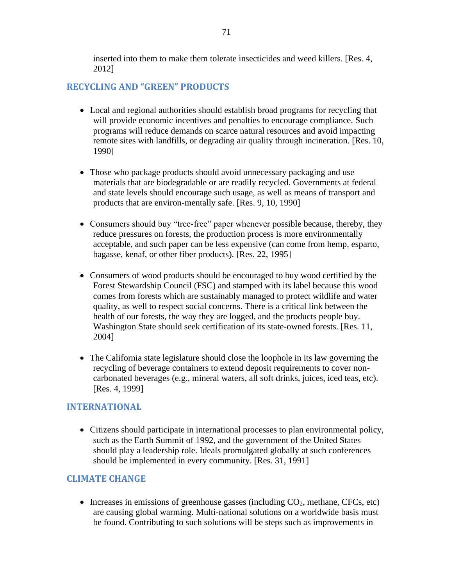inserted into them to make them tolerate insecticides and weed killers. [Res. 4, 2012]

## **RECYCLING AND "GREEN" PRODUCTS**

- Local and regional authorities should establish broad programs for recycling that will provide economic incentives and penalties to encourage compliance. Such programs will reduce demands on scarce natural resources and avoid impacting remote sites with landfills, or degrading air quality through incineration. [Res. 10, 1990]
- Those who package products should avoid unnecessary packaging and use materials that are biodegradable or are readily recycled. Governments at federal and state levels should encourage such usage, as well as means of transport and products that are environ-mentally safe. [Res. 9, 10, 1990]
- Consumers should buy "tree-free" paper whenever possible because, thereby, they reduce pressures on forests, the production process is more environmentally acceptable, and such paper can be less expensive (can come from hemp, esparto, bagasse, kenaf, or other fiber products). [Res. 22, 1995]
- Consumers of wood products should be encouraged to buy wood certified by the Forest Stewardship Council (FSC) and stamped with its label because this wood comes from forests which are sustainably managed to protect wildlife and water quality, as well to respect social concerns. There is a critical link between the health of our forests, the way they are logged, and the products people buy. Washington State should seek certification of its state-owned forests. [Res. 11, 2004]
- The California state legislature should close the loophole in its law governing the recycling of beverage containers to extend deposit requirements to cover noncarbonated beverages (e.g., mineral waters, all soft drinks, juices, iced teas, etc). [Res. 4, 1999]

### **INTERNATIONAL**

• Citizens should participate in international processes to plan environmental policy, such as the Earth Summit of 1992, and the government of the United States should play a leadership role. Ideals promulgated globally at such conferences should be implemented in every community. [Res. 31, 1991]

### **CLIMATE CHANGE**

• Increases in emissions of greenhouse gasses (including  $CO<sub>2</sub>$ , methane, CFCs, etc) are causing global warming. Multi-national solutions on a worldwide basis must be found. Contributing to such solutions will be steps such as improvements in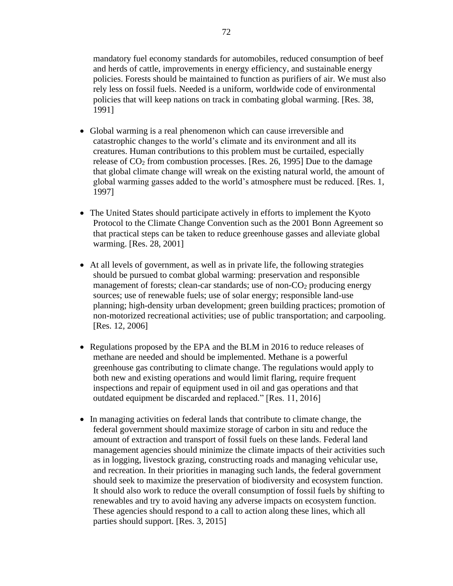mandatory fuel economy standards for automobiles, reduced consumption of beef and herds of cattle, improvements in energy efficiency, and sustainable energy policies. Forests should be maintained to function as purifiers of air. We must also rely less on fossil fuels. Needed is a uniform, worldwide code of environmental policies that will keep nations on track in combating global warming. [Res. 38, 1991]

- Global warming is a real phenomenon which can cause irreversible and catastrophic changes to the world's climate and its environment and all its creatures. Human contributions to this problem must be curtailed, especially release of  $CO<sub>2</sub>$  from combustion processes. [Res. 26, 1995] Due to the damage that global climate change will wreak on the existing natural world, the amount of global warming gasses added to the world's atmosphere must be reduced. [Res. 1, 1997]
- The United States should participate actively in efforts to implement the Kyoto Protocol to the Climate Change Convention such as the 2001 Bonn Agreement so that practical steps can be taken to reduce greenhouse gasses and alleviate global warming. [Res. 28, 2001]
- At all levels of government, as well as in private life, the following strategies should be pursued to combat global warming: preservation and responsible management of forests; clean-car standards; use of non- $CO<sub>2</sub>$  producing energy sources; use of renewable fuels; use of solar energy; responsible land-use planning; high-density urban development; green building practices; promotion of non-motorized recreational activities; use of public transportation; and carpooling. [Res. 12, 2006]
- Regulations proposed by the EPA and the BLM in 2016 to reduce releases of methane are needed and should be implemented. Methane is a powerful greenhouse gas contributing to climate change. The regulations would apply to both new and existing operations and would limit flaring, require frequent inspections and repair of equipment used in oil and gas operations and that outdated equipment be discarded and replaced." [Res. 11, 2016]
- In managing activities on federal lands that contribute to climate change, the federal government should maximize storage of carbon in situ and reduce the amount of extraction and transport of fossil fuels on these lands. Federal land management agencies should minimize the climate impacts of their activities such as in logging, livestock grazing, constructing roads and managing vehicular use, and recreation. In their priorities in managing such lands, the federal government should seek to maximize the preservation of biodiversity and ecosystem function. It should also work to reduce the overall consumption of fossil fuels by shifting to renewables and try to avoid having any adverse impacts on ecosystem function. These agencies should respond to a call to action along these lines, which all parties should support. [Res. 3, 2015]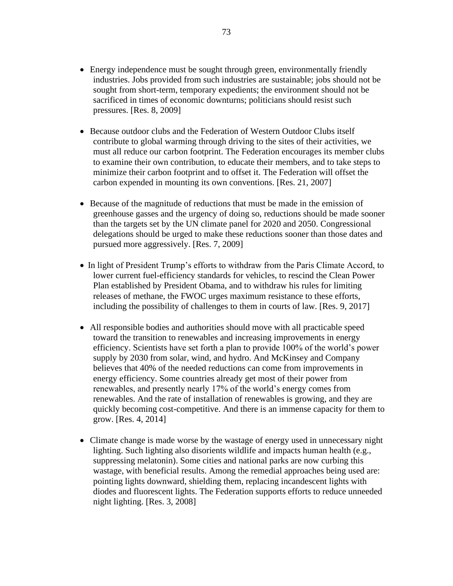- Energy independence must be sought through green, environmentally friendly industries. Jobs provided from such industries are sustainable; jobs should not be sought from short-term, temporary expedients; the environment should not be sacrificed in times of economic downturns; politicians should resist such pressures. [Res. 8, 2009]
- Because outdoor clubs and the Federation of Western Outdoor Clubs itself contribute to global warming through driving to the sites of their activities, we must all reduce our carbon footprint. The Federation encourages its member clubs to examine their own contribution, to educate their members, and to take steps to minimize their carbon footprint and to offset it. The Federation will offset the carbon expended in mounting its own conventions. [Res. 21, 2007]
- Because of the magnitude of reductions that must be made in the emission of greenhouse gasses and the urgency of doing so, reductions should be made sooner than the targets set by the UN climate panel for 2020 and 2050. Congressional delegations should be urged to make these reductions sooner than those dates and pursued more aggressively. [Res. 7, 2009]
- In light of President Trump's efforts to withdraw from the Paris Climate Accord, to lower current fuel-efficiency standards for vehicles, to rescind the Clean Power Plan established by President Obama, and to withdraw his rules for limiting releases of methane, the FWOC urges maximum resistance to these efforts, including the possibility of challenges to them in courts of law. [Res. 9, 2017]
- All responsible bodies and authorities should move with all practicable speed toward the transition to renewables and increasing improvements in energy efficiency. Scientists have set forth a plan to provide 100% of the world's power supply by 2030 from solar, wind, and hydro. And McKinsey and Company believes that 40% of the needed reductions can come from improvements in energy efficiency. Some countries already get most of their power from renewables, and presently nearly 17% of the world's energy comes from renewables. And the rate of installation of renewables is growing, and they are quickly becoming cost-competitive. And there is an immense capacity for them to grow. [Res. 4, 2014]
- Climate change is made worse by the wastage of energy used in unnecessary night lighting. Such lighting also disorients wildlife and impacts human health (e.g., suppressing melatonin). Some cities and national parks are now curbing this wastage, with beneficial results. Among the remedial approaches being used are: pointing lights downward, shielding them, replacing incandescent lights with diodes and fluorescent lights. The Federation supports efforts to reduce unneeded night lighting. [Res. 3, 2008]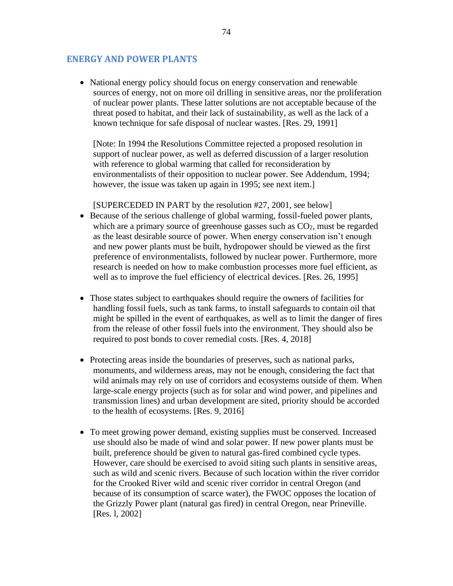#### **ENERGY AND POWER PLANTS**

• National energy policy should focus on energy conservation and renewable sources of energy, not on more oil drilling in sensitive areas, nor the proliferation of nuclear power plants. These latter solutions are not acceptable because of the threat posed to habitat, and their lack of sustainability, as well as the lack of a known technique for safe disposal of nuclear wastes. [Res. 29, 1991]

[Note: In 1994 the Resolutions Committee rejected a proposed resolution in support of nuclear power, as well as deferred discussion of a larger resolution with reference to global warming that called for reconsideration by environmentalists of their opposition to nuclear power. See Addendum, 1994; however, the issue was taken up again in 1995; see next item.

[SUPERCEDED IN PART by the resolution #27, 2001, see below] • Because of the serious challenge of global warming, fossil-fueled power plants,

- which are a primary source of greenhouse gasses such as  $CO<sub>2</sub>$ , must be regarded as the least desirable source of power. When energy conservation isn't enough and new power plants must be built, hydropower should be viewed as the first preference of environmentalists, followed by nuclear power. Furthermore, more research is needed on how to make combustion processes more fuel efficient, as well as to improve the fuel efficiency of electrical devices. [Res. 26, 1995]
- Those states subject to earthquakes should require the owners of facilities for handling fossil fuels, such as tank farms, to install safeguards to contain oil that might be spilled in the event of earthquakes, as well as to limit the danger of fires from the release of other fossil fuels into the environment. They should also be required to post bonds to cover remedial costs. [Res. 4, 2018]
- Protecting areas inside the boundaries of preserves, such as national parks, monuments, and wilderness areas, may not be enough, considering the fact that wild animals may rely on use of corridors and ecosystems outside of them. When large-scale energy projects (such as for solar and wind power, and pipelines and transmission lines) and urban development are sited, priority should be accorded to the health of ecosystems. [Res. 9, 2016]
- To meet growing power demand, existing supplies must be conserved. Increased use should also be made of wind and solar power. If new power plants must be built, preference should be given to natural gas-fired combined cycle types. However, care should be exercised to avoid siting such plants in sensitive areas, such as wild and scenic rivers. Because of such location within the river corridor for the Crooked River wild and scenic river corridor in central Oregon (and because of its consumption of scarce water), the FWOC opposes the location of the Grizzly Power plant (natural gas fired) in central Oregon, near Prineville. [Res. l, 2002]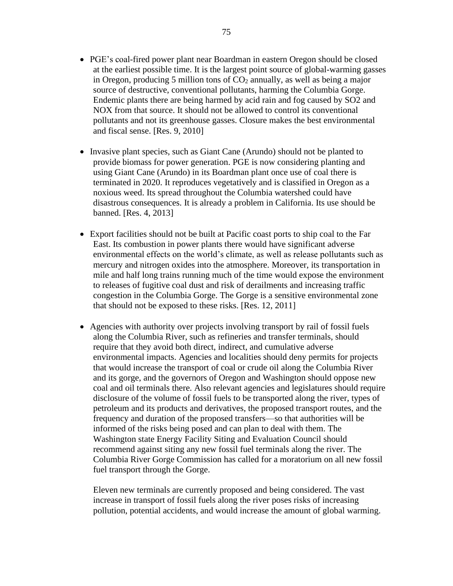- PGE's coal-fired power plant near Boardman in eastern Oregon should be closed at the earliest possible time. It is the largest point source of global-warming gasses in Oregon, producing 5 million tons of  $CO<sub>2</sub>$  annually, as well as being a major source of destructive, conventional pollutants, harming the Columbia Gorge. Endemic plants there are being harmed by acid rain and fog caused by SO2 and NOX from that source. It should not be allowed to control its conventional pollutants and not its greenhouse gasses. Closure makes the best environmental and fiscal sense. [Res. 9, 2010]
- Invasive plant species, such as Giant Cane (Arundo) should not be planted to provide biomass for power generation. PGE is now considering planting and using Giant Cane (Arundo) in its Boardman plant once use of coal there is terminated in 2020. It reproduces vegetatively and is classified in Oregon as a noxious weed. Its spread throughout the Columbia watershed could have disastrous consequences. It is already a problem in California. Its use should be banned. [Res. 4, 2013]
- Export facilities should not be built at Pacific coast ports to ship coal to the Far East. Its combustion in power plants there would have significant adverse environmental effects on the world's climate, as well as release pollutants such as mercury and nitrogen oxides into the atmosphere. Moreover, its transportation in mile and half long trains running much of the time would expose the environment to releases of fugitive coal dust and risk of derailments and increasing traffic congestion in the Columbia Gorge. The Gorge is a sensitive environmental zone that should not be exposed to these risks. [Res. 12, 2011]
- Agencies with authority over projects involving transport by rail of fossil fuels along the Columbia River, such as refineries and transfer terminals, should require that they avoid both direct, indirect, and cumulative adverse environmental impacts. Agencies and localities should deny permits for projects that would increase the transport of coal or crude oil along the Columbia River and its gorge, and the governors of Oregon and Washington should oppose new coal and oil terminals there. Also relevant agencies and legislatures should require disclosure of the volume of fossil fuels to be transported along the river, types of petroleum and its products and derivatives, the proposed transport routes, and the frequency and duration of the proposed transfers—so that authorities will be informed of the risks being posed and can plan to deal with them. The Washington state Energy Facility Siting and Evaluation Council should recommend against siting any new fossil fuel terminals along the river. The Columbia River Gorge Commission has called for a moratorium on all new fossil fuel transport through the Gorge.

Eleven new terminals are currently proposed and being considered. The vast increase in transport of fossil fuels along the river poses risks of increasing pollution, potential accidents, and would increase the amount of global warming.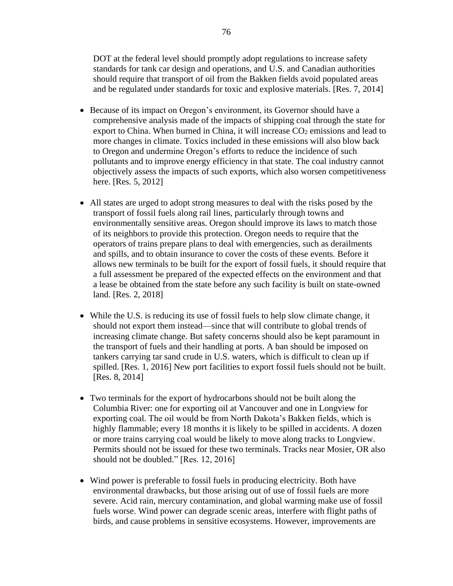DOT at the federal level should promptly adopt regulations to increase safety standards for tank car design and operations, and U.S. and Canadian authorities should require that transport of oil from the Bakken fields avoid populated areas and be regulated under standards for toxic and explosive materials. [Res. 7, 2014]

- Because of its impact on Oregon's environment, its Governor should have a comprehensive analysis made of the impacts of shipping coal through the state for export to China. When burned in China, it will increase  $CO<sub>2</sub>$  emissions and lead to more changes in climate. Toxics included in these emissions will also blow back to Oregon and undermine Oregon's efforts to reduce the incidence of such pollutants and to improve energy efficiency in that state. The coal industry cannot objectively assess the impacts of such exports, which also worsen competitiveness here. [Res. 5, 2012]
- All states are urged to adopt strong measures to deal with the risks posed by the transport of fossil fuels along rail lines, particularly through towns and environmentally sensitive areas. Oregon should improve its laws to match those of its neighbors to provide this protection. Oregon needs to require that the operators of trains prepare plans to deal with emergencies, such as derailments and spills, and to obtain insurance to cover the costs of these events. Before it allows new terminals to be built for the export of fossil fuels, it should require that a full assessment be prepared of the expected effects on the environment and that a lease be obtained from the state before any such facility is built on state-owned land. [Res. 2, 2018]
- While the U.S. is reducing its use of fossil fuels to help slow climate change, it should not export them instead—since that will contribute to global trends of increasing climate change. But safety concerns should also be kept paramount in the transport of fuels and their handling at ports. A ban should be imposed on tankers carrying tar sand crude in U.S. waters, which is difficult to clean up if spilled. [Res. 1, 2016] New port facilities to export fossil fuels should not be built. [Res. 8, 2014]
- Two terminals for the export of hydrocarbons should not be built along the Columbia River: one for exporting oil at Vancouver and one in Longview for exporting coal. The oil would be from North Dakota's Bakken fields, which is highly flammable; every 18 months it is likely to be spilled in accidents. A dozen or more trains carrying coal would be likely to move along tracks to Longview. Permits should not be issued for these two terminals. Tracks near Mosier, OR also should not be doubled." [Res. 12, 2016]
- Wind power is preferable to fossil fuels in producing electricity. Both have environmental drawbacks, but those arising out of use of fossil fuels are more severe. Acid rain, mercury contamination, and global warming make use of fossil fuels worse. Wind power can degrade scenic areas, interfere with flight paths of birds, and cause problems in sensitive ecosystems. However, improvements are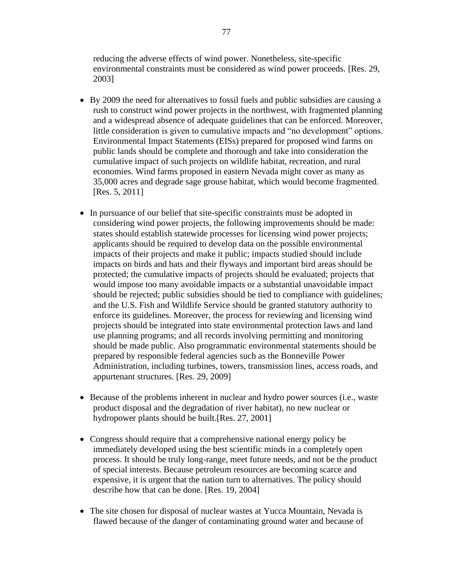reducing the adverse effects of wind power. Nonetheless, site-specific environmental constraints must be considered as wind power proceeds. [Res. 29, 2003]

- By 2009 the need for alternatives to fossil fuels and public subsidies are causing a rush to construct wind power projects in the northwest, with fragmented planning and a widespread absence of adequate guidelines that can be enforced. Moreover, little consideration is given to cumulative impacts and "no development" options. Environmental Impact Statements (EISs) prepared for proposed wind farms on public lands should be complete and thorough and take into consideration the cumulative impact of such projects on wildlife habitat, recreation, and rural economies. Wind farms proposed in eastern Nevada might cover as many as 35,000 acres and degrade sage grouse habitat, which would become fragmented. [Res. 5, 2011]
- In pursuance of our belief that site-specific constraints must be adopted in considering wind power projects, the following improvements should be made: states should establish statewide processes for licensing wind power projects; applicants should be required to develop data on the possible environmental impacts of their projects and make it public; impacts studied should include impacts on birds and bats and their flyways and important bird areas should be protected; the cumulative impacts of projects should be evaluated; projects that would impose too many avoidable impacts or a substantial unavoidable impact should be rejected; public subsidies should be tied to compliance with guidelines; and the U.S. Fish and Wildlife Service should be granted statutory authority to enforce its guidelines. Moreover, the process for reviewing and licensing wind projects should be integrated into state environmental protection laws and land use planning programs; and all records involving permitting and monitoring should be made public. Also programmatic environmental statements should be prepared by responsible federal agencies such as the Bonneville Power Administration, including turbines, towers, transmission lines, access roads, and appurtenant structures. [Res. 29, 2009]
- Because of the problems inherent in nuclear and hydro power sources (i.e., waste product disposal and the degradation of river habitat), no new nuclear or hydropower plants should be built.[Res. 27, 2001]
- Congress should require that a comprehensive national energy policy be immediately developed using the best scientific minds in a completely open process. It should be truly long-range, meet future needs, and not be the product of special interests. Because petroleum resources are becoming scarce and expensive, it is urgent that the nation turn to alternatives. The policy should describe how that can be done. [Res. 19, 2004]
- The site chosen for disposal of nuclear wastes at Yucca Mountain, Nevada is flawed because of the danger of contaminating ground water and because of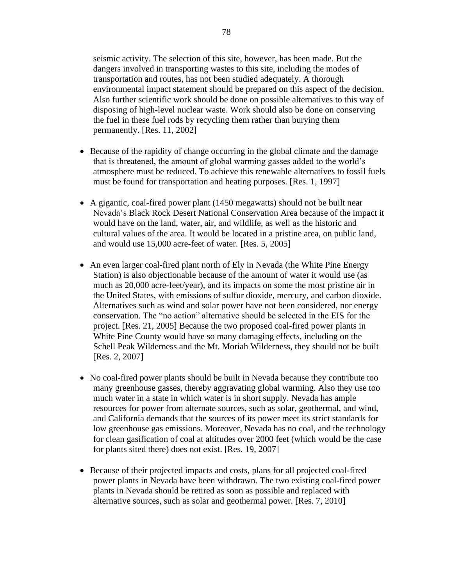seismic activity. The selection of this site, however, has been made. But the dangers involved in transporting wastes to this site, including the modes of transportation and routes, has not been studied adequately. A thorough environmental impact statement should be prepared on this aspect of the decision. Also further scientific work should be done on possible alternatives to this way of disposing of high-level nuclear waste. Work should also be done on conserving the fuel in these fuel rods by recycling them rather than burying them permanently. [Res. 11, 2002]

- Because of the rapidity of change occurring in the global climate and the damage that is threatened, the amount of global warming gasses added to the world's atmosphere must be reduced. To achieve this renewable alternatives to fossil fuels must be found for transportation and heating purposes. [Res. 1, 1997]
- A gigantic, coal-fired power plant (1450 megawatts) should not be built near Nevada's Black Rock Desert National Conservation Area because of the impact it would have on the land, water, air, and wildlife, as well as the historic and cultural values of the area. It would be located in a pristine area, on public land, and would use 15,000 acre-feet of water. [Res. 5, 2005]
- An even larger coal-fired plant north of Ely in Nevada (the White Pine Energy Station) is also objectionable because of the amount of water it would use (as much as 20,000 acre-feet/year), and its impacts on some the most pristine air in the United States, with emissions of sulfur dioxide, mercury, and carbon dioxide. Alternatives such as wind and solar power have not been considered, nor energy conservation. The "no action" alternative should be selected in the EIS for the project. [Res. 21, 2005] Because the two proposed coal-fired power plants in White Pine County would have so many damaging effects, including on the Schell Peak Wilderness and the Mt. Moriah Wilderness, they should not be built [Res. 2, 2007]
- No coal-fired power plants should be built in Nevada because they contribute too many greenhouse gasses, thereby aggravating global warming. Also they use too much water in a state in which water is in short supply. Nevada has ample resources for power from alternate sources, such as solar, geothermal, and wind, and California demands that the sources of its power meet its strict standards for low greenhouse gas emissions. Moreover, Nevada has no coal, and the technology for clean gasification of coal at altitudes over 2000 feet (which would be the case for plants sited there) does not exist. [Res. 19, 2007]
- Because of their projected impacts and costs, plans for all projected coal-fired power plants in Nevada have been withdrawn. The two existing coal-fired power plants in Nevada should be retired as soon as possible and replaced with alternative sources, such as solar and geothermal power. [Res. 7, 2010]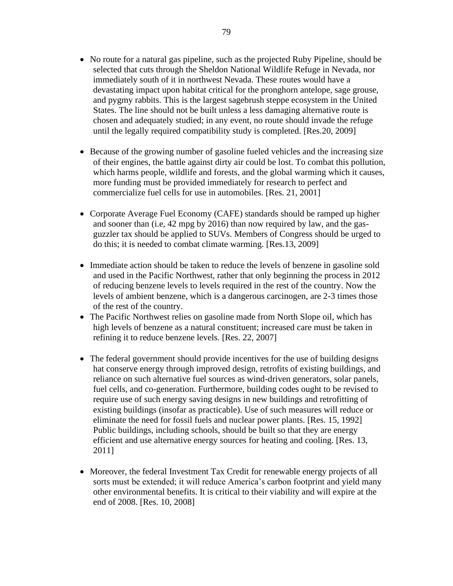- No route for a natural gas pipeline, such as the projected Ruby Pipeline, should be selected that cuts through the Sheldon National Wildlife Refuge in Nevada, nor immediately south of it in northwest Nevada. These routes would have a devastating impact upon habitat critical for the pronghorn antelope, sage grouse, and pygmy rabbits. This is the largest sagebrush steppe ecosystem in the United States. The line should not be built unless a less damaging alternative route is chosen and adequately studied; in any event, no route should invade the refuge until the legally required compatibility study is completed. [Res.20, 2009]
- Because of the growing number of gasoline fueled vehicles and the increasing size of their engines, the battle against dirty air could be lost. To combat this pollution, which harms people, wildlife and forests, and the global warming which it causes, more funding must be provided immediately for research to perfect and commercialize fuel cells for use in automobiles. [Res. 21, 2001]
- Corporate Average Fuel Economy (CAFE) standards should be ramped up higher and sooner than (i.e, 42 mpg by 2016) than now required by law, and the gasguzzler tax should be applied to SUVs. Members of Congress should be urged to do this; it is needed to combat climate warming. [Res.13, 2009]
- Immediate action should be taken to reduce the levels of benzene in gasoline sold and used in the Pacific Northwest, rather that only beginning the process in 2012 of reducing benzene levels to levels required in the rest of the country. Now the levels of ambient benzene, which is a dangerous carcinogen, are 2-3 times those of the rest of the country.
- The Pacific Northwest relies on gasoline made from North Slope oil, which has high levels of benzene as a natural constituent; increased care must be taken in refining it to reduce benzene levels. [Res. 22, 2007]
- The federal government should provide incentives for the use of building designs hat conserve energy through improved design, retrofits of existing buildings, and reliance on such alternative fuel sources as wind-driven generators, solar panels, fuel cells, and co-generation. Furthermore, building codes ought to be revised to require use of such energy saving designs in new buildings and retrofitting of existing buildings (insofar as practicable). Use of such measures will reduce or eliminate the need for fossil fuels and nuclear power plants. [Res. 15, 1992] Public buildings, including schools, should be built so that they are energy efficient and use alternative energy sources for heating and cooling. [Res. 13, 2011]
- Moreover, the federal Investment Tax Credit for renewable energy projects of all sorts must be extended; it will reduce America's carbon footprint and yield many other environmental benefits. It is critical to their viability and will expire at the end of 2008. [Res. 10, 2008]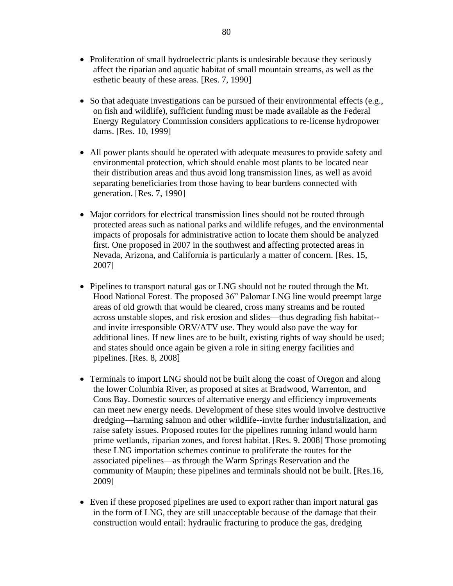- Proliferation of small hydroelectric plants is undesirable because they seriously affect the riparian and aquatic habitat of small mountain streams, as well as the esthetic beauty of these areas. [Res. 7, 1990]
- So that adequate investigations can be pursued of their environmental effects (e.g., on fish and wildlife), sufficient funding must be made available as the Federal Energy Regulatory Commission considers applications to re-license hydropower dams. [Res. 10, 1999]
- All power plants should be operated with adequate measures to provide safety and environmental protection, which should enable most plants to be located near their distribution areas and thus avoid long transmission lines, as well as avoid separating beneficiaries from those having to bear burdens connected with generation. [Res. 7, 1990]
- Major corridors for electrical transmission lines should not be routed through protected areas such as national parks and wildlife refuges, and the environmental impacts of proposals for administrative action to locate them should be analyzed first. One proposed in 2007 in the southwest and affecting protected areas in Nevada, Arizona, and California is particularly a matter of concern. [Res. 15, 2007]
- Pipelines to transport natural gas or LNG should not be routed through the Mt. Hood National Forest. The proposed 36" Palomar LNG line would preempt large areas of old growth that would be cleared, cross many streams and be routed across unstable slopes, and risk erosion and slides—thus degrading fish habitat- and invite irresponsible ORV/ATV use. They would also pave the way for additional lines. If new lines are to be built, existing rights of way should be used; and states should once again be given a role in siting energy facilities and pipelines. [Res. 8, 2008]
- Terminals to import LNG should not be built along the coast of Oregon and along the lower Columbia River, as proposed at sites at Bradwood, Warrenton, and Coos Bay. Domestic sources of alternative energy and efficiency improvements can meet new energy needs. Development of these sites would involve destructive dredging—harming salmon and other wildlife--invite further industrialization, and raise safety issues. Proposed routes for the pipelines running inland would harm prime wetlands, riparian zones, and forest habitat. [Res. 9. 2008] Those promoting these LNG importation schemes continue to proliferate the routes for the associated pipelines—as through the Warm Springs Reservation and the community of Maupin; these pipelines and terminals should not be built. [Res.16, 2009]
- Even if these proposed pipelines are used to export rather than import natural gas in the form of LNG, they are still unacceptable because of the damage that their construction would entail: hydraulic fracturing to produce the gas, dredging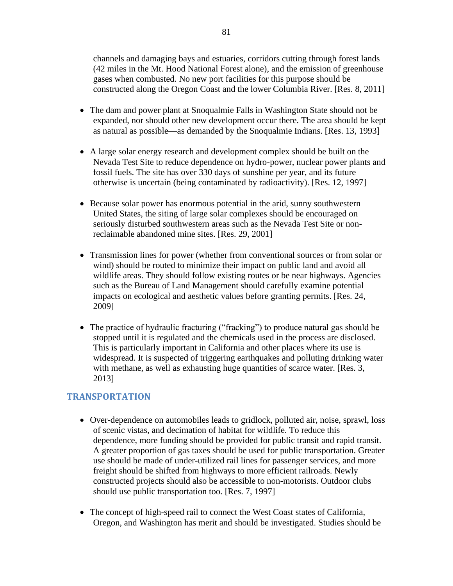channels and damaging bays and estuaries, corridors cutting through forest lands (42 miles in the Mt. Hood National Forest alone), and the emission of greenhouse gases when combusted. No new port facilities for this purpose should be constructed along the Oregon Coast and the lower Columbia River. [Res. 8, 2011]

- The dam and power plant at Snoqualmie Falls in Washington State should not be expanded, nor should other new development occur there. The area should be kept as natural as possible—as demanded by the Snoqualmie Indians. [Res. 13, 1993]
- A large solar energy research and development complex should be built on the Nevada Test Site to reduce dependence on hydro-power, nuclear power plants and fossil fuels. The site has over 330 days of sunshine per year, and its future otherwise is uncertain (being contaminated by radioactivity). [Res. 12, 1997]
- Because solar power has enormous potential in the arid, sunny southwestern United States, the siting of large solar complexes should be encouraged on seriously disturbed southwestern areas such as the Nevada Test Site or nonreclaimable abandoned mine sites. [Res. 29, 2001]
- Transmission lines for power (whether from conventional sources or from solar or wind) should be routed to minimize their impact on public land and avoid all wildlife areas. They should follow existing routes or be near highways. Agencies such as the Bureau of Land Management should carefully examine potential impacts on ecological and aesthetic values before granting permits. [Res. 24, 2009]
- The practice of hydraulic fracturing ("fracking") to produce natural gas should be stopped until it is regulated and the chemicals used in the process are disclosed. This is particularly important in California and other places where its use is widespread. It is suspected of triggering earthquakes and polluting drinking water with methane, as well as exhausting huge quantities of scarce water. [Res. 3, 2013]

# **TRANSPORTATION**

- Over-dependence on automobiles leads to gridlock, polluted air, noise, sprawl, loss of scenic vistas, and decimation of habitat for wildlife. To reduce this dependence, more funding should be provided for public transit and rapid transit. A greater proportion of gas taxes should be used for public transportation. Greater use should be made of under-utilized rail lines for passenger services, and more freight should be shifted from highways to more efficient railroads. Newly constructed projects should also be accessible to non-motorists. Outdoor clubs should use public transportation too. [Res. 7, 1997]
- The concept of high-speed rail to connect the West Coast states of California, Oregon, and Washington has merit and should be investigated. Studies should be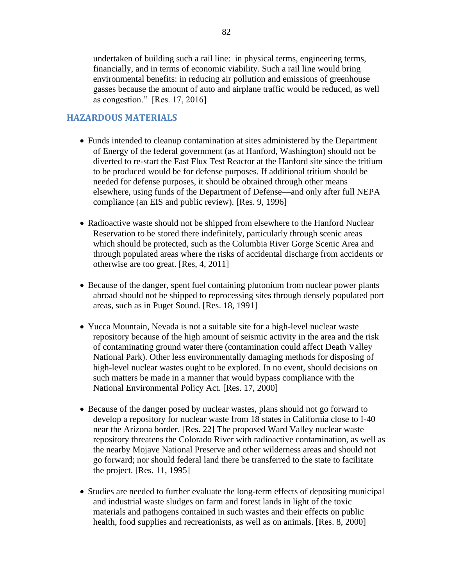undertaken of building such a rail line: in physical terms, engineering terms, financially, and in terms of economic viability. Such a rail line would bring environmental benefits: in reducing air pollution and emissions of greenhouse gasses because the amount of auto and airplane traffic would be reduced, as well as congestion." [Res. 17, 2016]

## **HAZARDOUS MATERIALS**

- Funds intended to cleanup contamination at sites administered by the Department of Energy of the federal government (as at Hanford, Washington) should not be diverted to re-start the Fast Flux Test Reactor at the Hanford site since the tritium to be produced would be for defense purposes. If additional tritium should be needed for defense purposes, it should be obtained through other means elsewhere, using funds of the Department of Defense—and only after full NEPA compliance (an EIS and public review). [Res. 9, 1996]
- Radioactive waste should not be shipped from elsewhere to the Hanford Nuclear Reservation to be stored there indefinitely, particularly through scenic areas which should be protected, such as the Columbia River Gorge Scenic Area and through populated areas where the risks of accidental discharge from accidents or otherwise are too great. [Res, 4, 2011]
- Because of the danger, spent fuel containing plutonium from nuclear power plants abroad should not be shipped to reprocessing sites through densely populated port areas, such as in Puget Sound. [Res. 18, 1991]
- Yucca Mountain, Nevada is not a suitable site for a high-level nuclear waste repository because of the high amount of seismic activity in the area and the risk of contaminating ground water there (contamination could affect Death Valley National Park). Other less environmentally damaging methods for disposing of high-level nuclear wastes ought to be explored. In no event, should decisions on such matters be made in a manner that would bypass compliance with the National Environmental Policy Act. [Res. 17, 2000]
- Because of the danger posed by nuclear wastes, plans should not go forward to develop a repository for nuclear waste from 18 states in California close to I-40 near the Arizona border. [Res. 22] The proposed Ward Valley nuclear waste repository threatens the Colorado River with radioactive contamination, as well as the nearby Mojave National Preserve and other wilderness areas and should not go forward; nor should federal land there be transferred to the state to facilitate the project. [Res. 11, 1995]
- Studies are needed to further evaluate the long-term effects of depositing municipal and industrial waste sludges on farm and forest lands in light of the toxic materials and pathogens contained in such wastes and their effects on public health, food supplies and recreationists, as well as on animals. [Res. 8, 2000]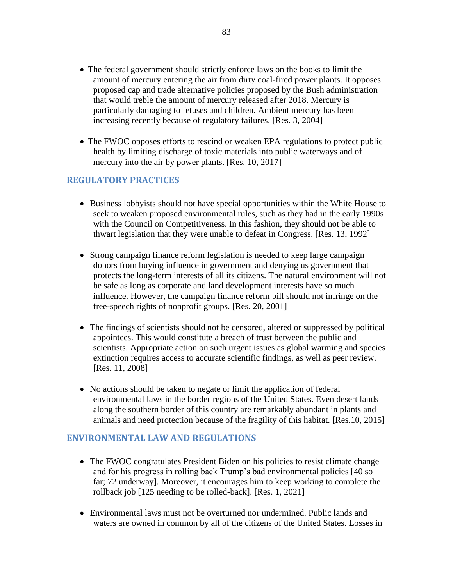- The federal government should strictly enforce laws on the books to limit the amount of mercury entering the air from dirty coal-fired power plants. It opposes proposed cap and trade alternative policies proposed by the Bush administration that would treble the amount of mercury released after 2018. Mercury is particularly damaging to fetuses and children. Ambient mercury has been increasing recently because of regulatory failures. [Res. 3, 2004]
- The FWOC opposes efforts to rescind or weaken EPA regulations to protect public health by limiting discharge of toxic materials into public waterways and of mercury into the air by power plants. [Res. 10, 2017]

### **REGULATORY PRACTICES**

- Business lobbyists should not have special opportunities within the White House to seek to weaken proposed environmental rules, such as they had in the early 1990s with the Council on Competitiveness. In this fashion, they should not be able to thwart legislation that they were unable to defeat in Congress. [Res. 13, 1992]
- Strong campaign finance reform legislation is needed to keep large campaign donors from buying influence in government and denying us government that protects the long-term interests of all its citizens. The natural environment will not be safe as long as corporate and land development interests have so much influence. However, the campaign finance reform bill should not infringe on the free-speech rights of nonprofit groups. [Res. 20, 2001]
- The findings of scientists should not be censored, altered or suppressed by political appointees. This would constitute a breach of trust between the public and scientists. Appropriate action on such urgent issues as global warming and species extinction requires access to accurate scientific findings, as well as peer review. [Res. 11, 2008]
- No actions should be taken to negate or limit the application of federal environmental laws in the border regions of the United States. Even desert lands along the southern border of this country are remarkably abundant in plants and animals and need protection because of the fragility of this habitat. [Res.10, 2015]

### **ENVIRONMENTAL LAW AND REGULATIONS**

- The FWOC congratulates President Biden on his policies to resist climate change and for his progress in rolling back Trump's bad environmental policies [40 so far; 72 underway]. Moreover, it encourages him to keep working to complete the rollback job [125 needing to be rolled-back]. [Res. 1, 2021]
- Environmental laws must not be overturned nor undermined. Public lands and waters are owned in common by all of the citizens of the United States. Losses in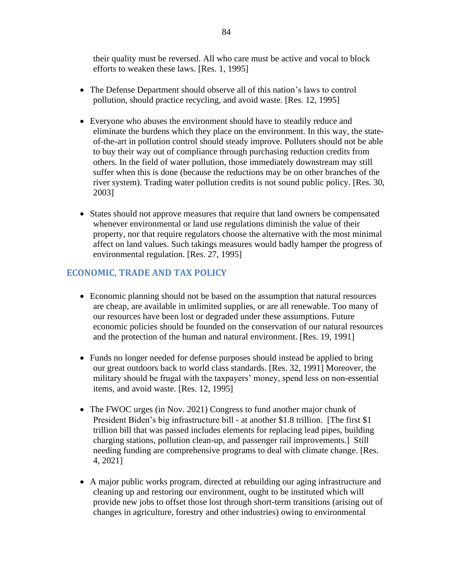their quality must be reversed. All who care must be active and vocal to block efforts to weaken these laws. [Res. 1, 1995]

- The Defense Department should observe all of this nation's laws to control pollution, should practice recycling, and avoid waste. [Res. 12, 1995]
- Everyone who abuses the environment should have to steadily reduce and eliminate the burdens which they place on the environment. In this way, the stateof-the-art in pollution control should steady improve. Polluters should not be able to buy their way out of compliance through purchasing reduction credits from others. In the field of water pollution, those immediately downstream may still suffer when this is done (because the reductions may be on other branches of the river system). Trading water pollution credits is not sound public policy. [Res. 30, 2003]
- States should not approve measures that require that land owners be compensated whenever environmental or land use regulations diminish the value of their property, nor that require regulators choose the alternative with the most minimal affect on land values. Such takings measures would badly hamper the progress of environmental regulation. [Res. 27, 1995]

### **ECONOMIC, TRADE AND TAX POLICY**

- Economic planning should not be based on the assumption that natural resources are cheap, are available in unlimited supplies, or are all renewable. Too many of our resources have been lost or degraded under these assumptions. Future economic policies should be founded on the conservation of our natural resources and the protection of the human and natural environment. [Res. 19, 1991]
- Funds no longer needed for defense purposes should instead be applied to bring our great outdoors back to world class standards. [Res. 32, 1991] Moreover, the military should be frugal with the taxpayers' money, spend less on non-essential items, and avoid waste. [Res. 12, 1995]
- The FWOC urges (in Nov. 2021) Congress to fund another major chunk of President Biden's big infrastructure bill - at another \$1.8 trillion. [The first \$1 trillion bill that was passed includes elements for replacing lead pipes, building charging stations, pollution clean-up, and passenger rail improvements.] Still needing funding are comprehensive programs to deal with climate change. [Res. 4, 2021]
- A major public works program, directed at rebuilding our aging infrastructure and cleaning up and restoring our environment, ought to be instituted which will provide new jobs to offset those lost through short-term transitions (arising out of changes in agriculture, forestry and other industries) owing to environmental